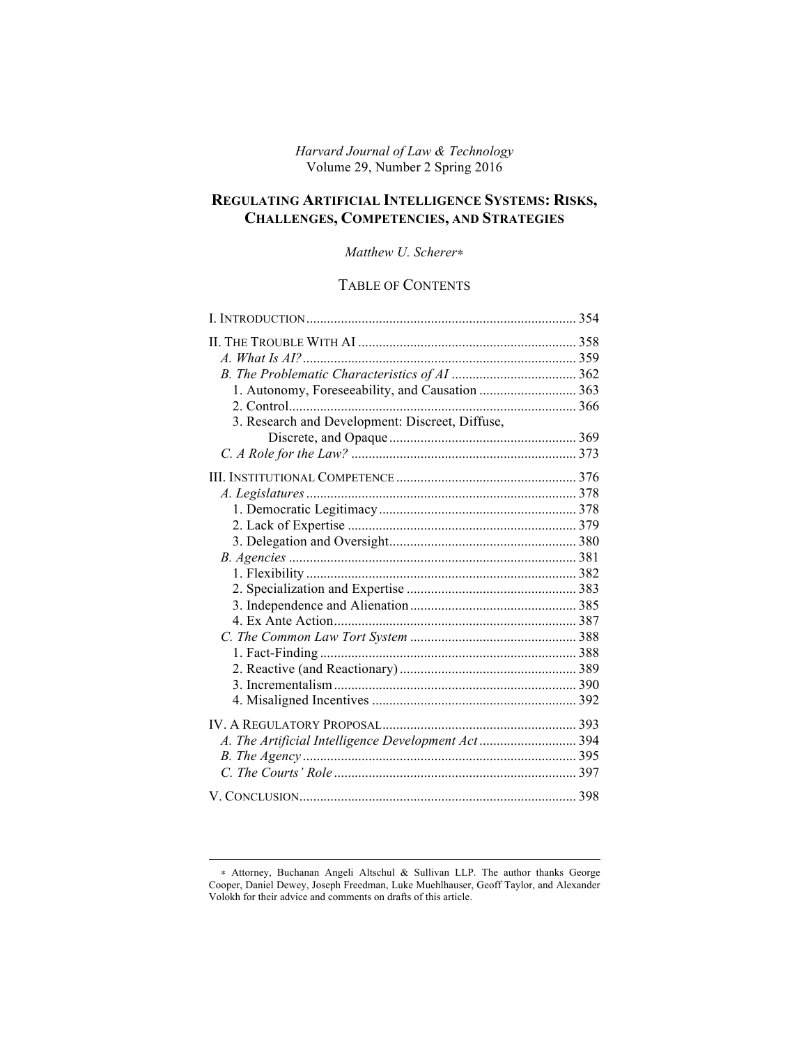# *Harvard Journal of Law & Technology* Volume 29, Number 2 Spring 2016

# **REGULATING ARTIFICIAL INTELLIGENCE SYSTEMS: RISKS, CHALLENGES, COMPETENCIES, AND STRATEGIES**

# *Matthew U. Scherer*∗

# TABLE OF CONTENTS

| 1. Autonomy, Foreseeability, and Causation  363   |  |
|---------------------------------------------------|--|
|                                                   |  |
| 3. Research and Development: Discreet, Diffuse,   |  |
|                                                   |  |
|                                                   |  |
|                                                   |  |
|                                                   |  |
|                                                   |  |
|                                                   |  |
|                                                   |  |
|                                                   |  |
|                                                   |  |
|                                                   |  |
|                                                   |  |
|                                                   |  |
|                                                   |  |
|                                                   |  |
|                                                   |  |
|                                                   |  |
|                                                   |  |
|                                                   |  |
|                                                   |  |
| A. The Artificial Intelligence Development Act394 |  |
|                                                   |  |
|                                                   |  |
|                                                   |  |

 $\overline{a}$ 

<sup>∗</sup> Attorney, Buchanan Angeli Altschul & Sullivan LLP. The author thanks George Cooper, Daniel Dewey, Joseph Freedman, Luke Muehlhauser, Geoff Taylor, and Alexander Volokh for their advice and comments on drafts of this article.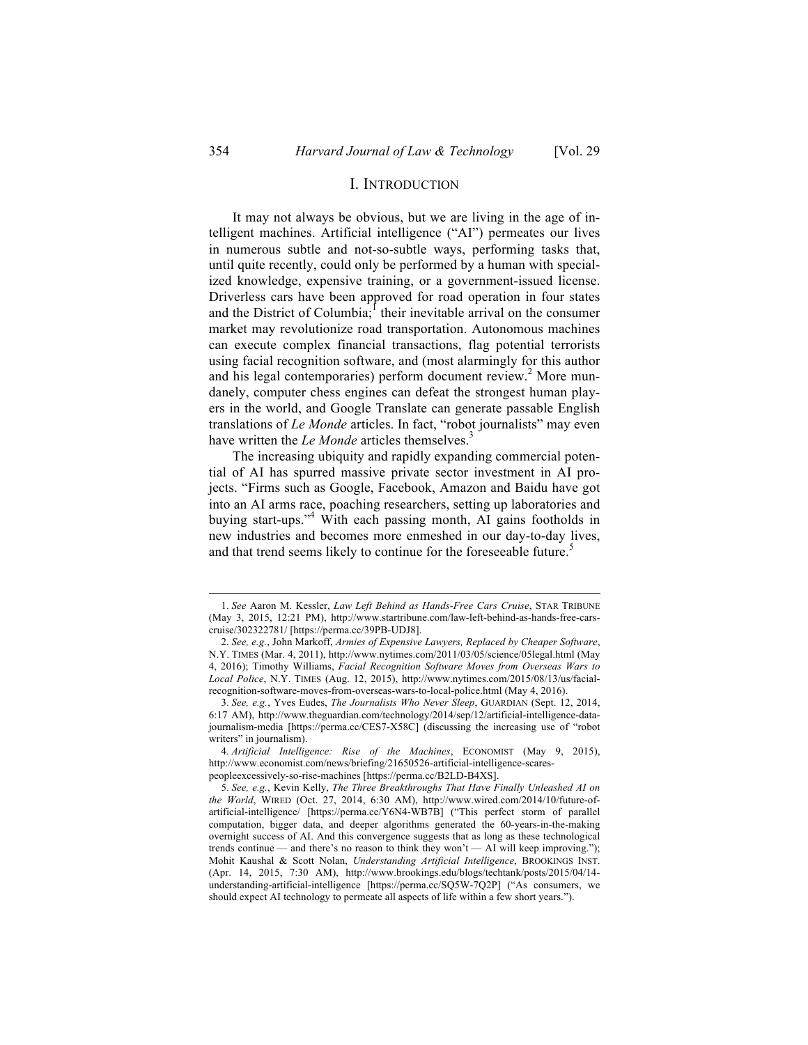### I. INTRODUCTION

It may not always be obvious, but we are living in the age of intelligent machines. Artificial intelligence ("AI") permeates our lives in numerous subtle and not-so-subtle ways, performing tasks that, until quite recently, could only be performed by a human with specialized knowledge, expensive training, or a government-issued license. Driverless cars have been approved for road operation in four states and the District of Columbia;<sup>1</sup> their inevitable arrival on the consumer market may revolutionize road transportation. Autonomous machines can execute complex financial transactions, flag potential terrorists using facial recognition software, and (most alarmingly for this author and his legal contemporaries) perform document review.<sup>2</sup> More mundanely, computer chess engines can defeat the strongest human players in the world, and Google Translate can generate passable English translations of *Le Monde* articles. In fact, "robot journalists" may even have written the *Le Monde* articles themselves.<sup>3</sup>

The increasing ubiquity and rapidly expanding commercial potential of AI has spurred massive private sector investment in AI projects. "Firms such as Google, Facebook, Amazon and Baidu have got into an AI arms race, poaching researchers, setting up laboratories and buying start-ups."<sup>4</sup> With each passing month, AI gains footholds in new industries and becomes more enmeshed in our day-to-day lives, and that trend seems likely to continue for the foreseeable future.<sup>5</sup>

 <sup>1.</sup> *See* Aaron M. Kessler, *Law Left Behind as Hands-Free Cars Cruise*, STAR TRIBUNE (May 3, 2015, 12:21 PM), http://www.startribune.com/law-left-behind-as-hands-free-carscruise/302322781/ [https://perma.cc/39PB-UDJ8].

<sup>2.</sup> *See, e.g.*, John Markoff, *Armies of Expensive Lawyers, Replaced by Cheaper Software*, N.Y. TIMES (Mar. 4, 2011), http://www.nytimes.com/2011/03/05/science/05legal.html (May 4, 2016); Timothy Williams, *Facial Recognition Software Moves from Overseas Wars to Local Police*, N.Y. TIMES (Aug. 12, 2015), http://www.nytimes.com/2015/08/13/us/facialrecognition-software-moves-from-overseas-wars-to-local-police.html (May 4, 2016).

<sup>3.</sup> *See, e.g.*, Yves Eudes, *The Journalists Who Never Sleep*, GUARDIAN (Sept. 12, 2014, 6:17 AM), http://www.theguardian.com/technology/2014/sep/12/artificial-intelligence-datajournalism-media [https://perma.cc/CES7-X58C] (discussing the increasing use of "robot writers" in journalism).

<sup>4.</sup> *Artificial Intelligence: Rise of the Machines*, ECONOMIST (May 9, 2015), http://www.economist.com/news/briefing/21650526-artificial-intelligence-scarespeopleexcessively-so-rise-machines [https://perma.cc/B2LD-B4XS].

<sup>5.</sup> *See, e.g.*, Kevin Kelly, *The Three Breakthroughs That Have Finally Unleashed AI on the World*, WIRED (Oct. 27, 2014, 6:30 AM), http://www.wired.com/2014/10/future-ofartificial-intelligence/ [https://perma.cc/Y6N4-WB7B] ("This perfect storm of parallel computation, bigger data, and deeper algorithms generated the 60-years-in-the-making overnight success of AI. And this convergence suggests that as long as these technological trends continue — and there's no reason to think they won't — AI will keep improving."); Mohit Kaushal & Scott Nolan, *Understanding Artificial Intelligence*, BROOKINGS INST. (Apr. 14, 2015, 7:30 AM), http://www.brookings.edu/blogs/techtank/posts/2015/04/14 understanding-artificial-intelligence [https://perma.cc/SQ5W-7Q2P] ("As consumers, we should expect AI technology to permeate all aspects of life within a few short years.").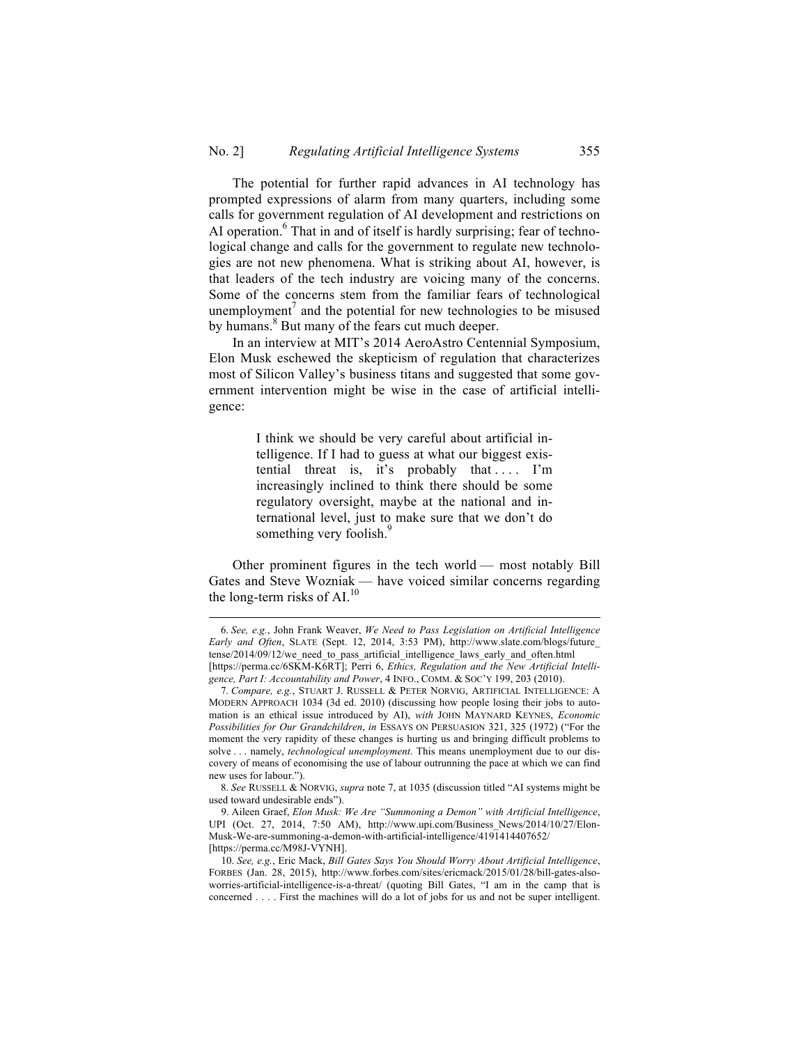The potential for further rapid advances in AI technology has prompted expressions of alarm from many quarters, including some calls for government regulation of AI development and restrictions on AI operation.<sup>6</sup> That in and of itself is hardly surprising; fear of technological change and calls for the government to regulate new technologies are not new phenomena. What is striking about AI, however, is that leaders of the tech industry are voicing many of the concerns. Some of the concerns stem from the familiar fears of technological unemployment<sup>7</sup> and the potential for new technologies to be misused by humans.<sup>8</sup> But many of the fears cut much deeper.

In an interview at MIT's 2014 AeroAstro Centennial Symposium, Elon Musk eschewed the skepticism of regulation that characterizes most of Silicon Valley's business titans and suggested that some government intervention might be wise in the case of artificial intelligence:

> I think we should be very careful about artificial intelligence. If I had to guess at what our biggest existential threat is, it's probably that . . . . I'm increasingly inclined to think there should be some regulatory oversight, maybe at the national and international level, just to make sure that we don't do something very foolish.<sup>9</sup>

Other prominent figures in the tech world — most notably Bill Gates and Steve Wozniak — have voiced similar concerns regarding the long-term risks of  $AI.<sup>10</sup>$ 

 <sup>6.</sup> *See, e.g.*, John Frank Weaver, *We Need to Pass Legislation on Artificial Intelligence Early and Often*, SLATE (Sept. 12, 2014, 3:53 PM), http://www.slate.com/blogs/future\_ tense/2014/09/12/we\_need\_to\_pass\_artificial\_intelligence\_laws\_early\_and\_often.html [https://perma.cc/6SKM-K6RT]; Perri 6, *Ethics, Regulation and the New Artificial Intelligence, Part I: Accountability and Power*, 4 INFO., COMM. & SOC'Y 199, 203 (2010).

<sup>7.</sup> *Compare, e.g.*, STUART J. RUSSELL & PETER NORVIG, ARTIFICIAL INTELLIGENCE: A MODERN APPROACH 1034 (3d ed. 2010) (discussing how people losing their jobs to automation is an ethical issue introduced by AI), *with* JOHN MAYNARD KEYNES, *Economic Possibilities for Our Grandchildren*, *in* ESSAYS ON PERSUASION 321, 325 (1972) ("For the moment the very rapidity of these changes is hurting us and bringing difficult problems to solve . . . namely, *technological unemployment*. This means unemployment due to our discovery of means of economising the use of labour outrunning the pace at which we can find new uses for labour.").

<sup>8.</sup> *See* RUSSELL & NORVIG, *supra* note 7, at 1035 (discussion titled "AI systems might be used toward undesirable ends").

<sup>9.</sup> Aileen Graef, *Elon Musk: We Are "Summoning a Demon" with Artificial Intelligence*, UPI (Oct. 27, 2014, 7:50 AM), http://www.upi.com/Business\_News/2014/10/27/Elon-Musk-We-are-summoning-a-demon-with-artificial-intelligence/4191414407652/ [https://perma.cc/M98J-VYNH].

<sup>10.</sup> *See, e.g.*, Eric Mack, *Bill Gates Says You Should Worry About Artificial Intelligence*, FORBES (Jan. 28, 2015), http://www.forbes.com/sites/ericmack/2015/01/28/bill-gates-alsoworries-artificial-intelligence-is-a-threat/ (quoting Bill Gates, "I am in the camp that is concerned . . . . First the machines will do a lot of jobs for us and not be super intelligent.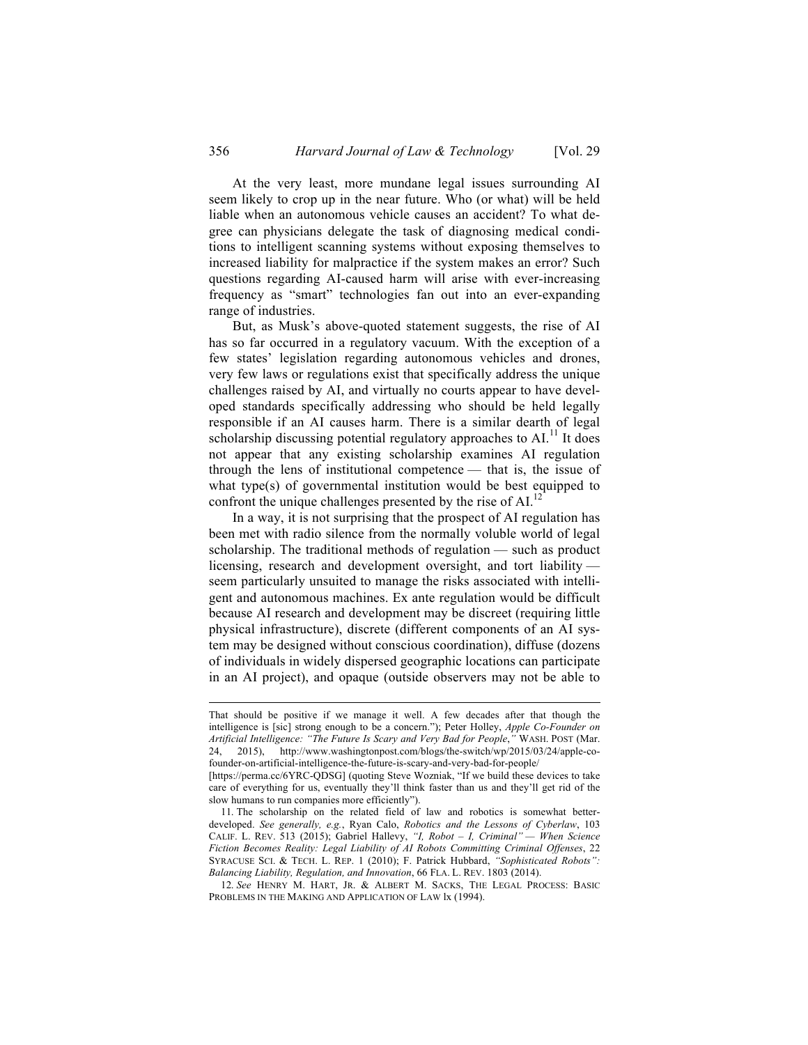At the very least, more mundane legal issues surrounding AI seem likely to crop up in the near future. Who (or what) will be held liable when an autonomous vehicle causes an accident? To what degree can physicians delegate the task of diagnosing medical conditions to intelligent scanning systems without exposing themselves to increased liability for malpractice if the system makes an error? Such questions regarding AI-caused harm will arise with ever-increasing frequency as "smart" technologies fan out into an ever-expanding range of industries.

But, as Musk's above-quoted statement suggests, the rise of AI has so far occurred in a regulatory vacuum. With the exception of a few states' legislation regarding autonomous vehicles and drones, very few laws or regulations exist that specifically address the unique challenges raised by AI, and virtually no courts appear to have developed standards specifically addressing who should be held legally responsible if an AI causes harm. There is a similar dearth of legal scholarship discussing potential regulatory approaches to  $AI<sub>11</sub>$ . It does not appear that any existing scholarship examines AI regulation through the lens of institutional competence — that is, the issue of what type(s) of governmental institution would be best equipped to confront the unique challenges presented by the rise of AI.<sup>12</sup>

In a way, it is not surprising that the prospect of AI regulation has been met with radio silence from the normally voluble world of legal scholarship. The traditional methods of regulation — such as product licensing, research and development oversight, and tort liability seem particularly unsuited to manage the risks associated with intelligent and autonomous machines. Ex ante regulation would be difficult because AI research and development may be discreet (requiring little physical infrastructure), discrete (different components of an AI system may be designed without conscious coordination), diffuse (dozens of individuals in widely dispersed geographic locations can participate in an AI project), and opaque (outside observers may not be able to

That should be positive if we manage it well. A few decades after that though the intelligence is [sic] strong enough to be a concern."); Peter Holley, *Apple Co-Founder on Artificial Intelligence: "The Future Is Scary and Very Bad for People*,*"* WASH. POST (Mar. 24, 2015), http://www.washingtonpost.com/blogs/the-switch/wp/2015/03/24/apple-cofounder-on-artificial-intelligence-the-future-is-scary-and-very-bad-for-people/

<sup>[</sup>https://perma.cc/6YRC-QDSG] (quoting Steve Wozniak, "If we build these devices to take care of everything for us, eventually they'll think faster than us and they'll get rid of the slow humans to run companies more efficiently").

<sup>11.</sup> The scholarship on the related field of law and robotics is somewhat betterdeveloped. *See generally, e.g.*, Ryan Calo, *Robotics and the Lessons of Cyberlaw*, 103 CALIF. L. REV. 513 (2015); Gabriel Hallevy, *"I, Robot – I, Criminal" — When Science Fiction Becomes Reality: Legal Liability of AI Robots Committing Criminal Offenses*, 22 SYRACUSE SCI. & TECH. L. REP. 1 (2010); F. Patrick Hubbard, *"Sophisticated Robots": Balancing Liability, Regulation, and Innovation*, 66 FLA. L. REV. 1803 (2014).

<sup>12.</sup> *See* HENRY M. HART, JR. & ALBERT M. SACKS, THE LEGAL PROCESS: BASIC PROBLEMS IN THE MAKING AND APPLICATION OF LAW  $\ln(1994)$ .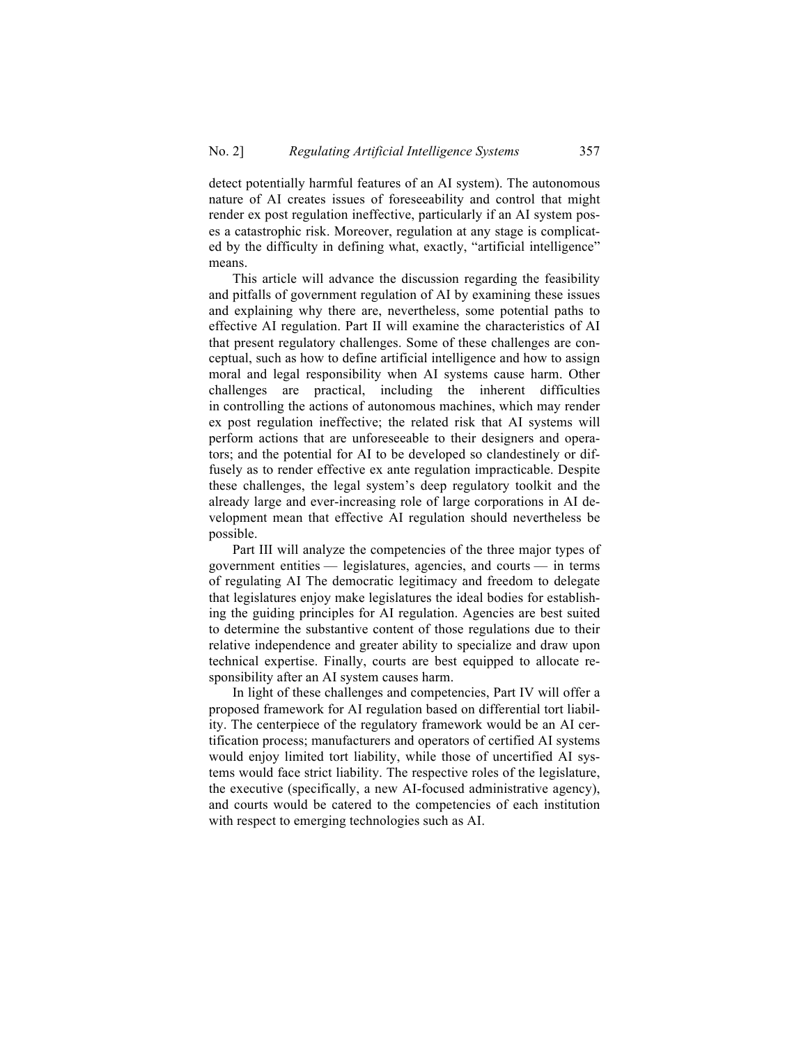detect potentially harmful features of an AI system). The autonomous nature of AI creates issues of foreseeability and control that might render ex post regulation ineffective, particularly if an AI system poses a catastrophic risk. Moreover, regulation at any stage is complicated by the difficulty in defining what, exactly, "artificial intelligence" means.

This article will advance the discussion regarding the feasibility and pitfalls of government regulation of AI by examining these issues and explaining why there are, nevertheless, some potential paths to effective AI regulation. Part II will examine the characteristics of AI that present regulatory challenges. Some of these challenges are conceptual, such as how to define artificial intelligence and how to assign moral and legal responsibility when AI systems cause harm. Other challenges are practical, including the inherent difficulties in controlling the actions of autonomous machines, which may render ex post regulation ineffective; the related risk that AI systems will perform actions that are unforeseeable to their designers and operators; and the potential for AI to be developed so clandestinely or diffusely as to render effective ex ante regulation impracticable. Despite these challenges, the legal system's deep regulatory toolkit and the already large and ever-increasing role of large corporations in AI development mean that effective AI regulation should nevertheless be possible.

Part III will analyze the competencies of the three major types of government entities — legislatures, agencies, and courts — in terms of regulating AI The democratic legitimacy and freedom to delegate that legislatures enjoy make legislatures the ideal bodies for establishing the guiding principles for AI regulation. Agencies are best suited to determine the substantive content of those regulations due to their relative independence and greater ability to specialize and draw upon technical expertise. Finally, courts are best equipped to allocate responsibility after an AI system causes harm.

In light of these challenges and competencies, Part IV will offer a proposed framework for AI regulation based on differential tort liability. The centerpiece of the regulatory framework would be an AI certification process; manufacturers and operators of certified AI systems would enjoy limited tort liability, while those of uncertified AI systems would face strict liability. The respective roles of the legislature, the executive (specifically, a new AI-focused administrative agency), and courts would be catered to the competencies of each institution with respect to emerging technologies such as AI.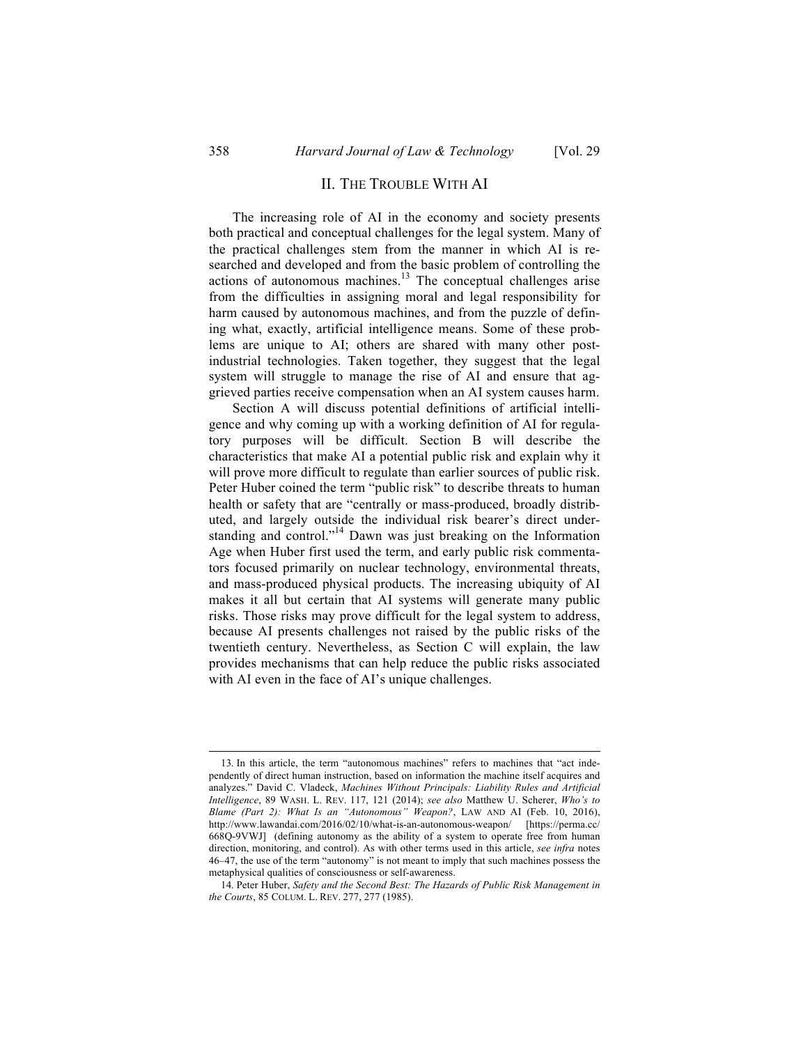# II. THE TROUBLE WITH AI

The increasing role of AI in the economy and society presents both practical and conceptual challenges for the legal system. Many of the practical challenges stem from the manner in which AI is researched and developed and from the basic problem of controlling the actions of autonomous machines. $13$  The conceptual challenges arise from the difficulties in assigning moral and legal responsibility for harm caused by autonomous machines, and from the puzzle of defining what, exactly, artificial intelligence means. Some of these problems are unique to AI; others are shared with many other postindustrial technologies. Taken together, they suggest that the legal system will struggle to manage the rise of AI and ensure that aggrieved parties receive compensation when an AI system causes harm.

Section A will discuss potential definitions of artificial intelligence and why coming up with a working definition of AI for regulatory purposes will be difficult. Section B will describe the characteristics that make AI a potential public risk and explain why it will prove more difficult to regulate than earlier sources of public risk. Peter Huber coined the term "public risk" to describe threats to human health or safety that are "centrally or mass-produced, broadly distributed, and largely outside the individual risk bearer's direct understanding and control."<sup>14</sup> Dawn was just breaking on the Information Age when Huber first used the term, and early public risk commentators focused primarily on nuclear technology, environmental threats, and mass-produced physical products. The increasing ubiquity of AI makes it all but certain that AI systems will generate many public risks. Those risks may prove difficult for the legal system to address, because AI presents challenges not raised by the public risks of the twentieth century. Nevertheless, as Section C will explain, the law provides mechanisms that can help reduce the public risks associated with AI even in the face of AI's unique challenges.

 <sup>13.</sup> In this article, the term "autonomous machines" refers to machines that "act independently of direct human instruction, based on information the machine itself acquires and analyzes." David C. Vladeck, *Machines Without Principals: Liability Rules and Artificial Intelligence*, 89 WASH. L. REV. 117, 121 (2014); *see also* Matthew U. Scherer, *Who's to Blame (Part 2): What Is an "Autonomous" Weapon?*, LAW AND AI (Feb. 10, 2016), http://www.lawandai.com/2016/02/10/what-is-an-autonomous-weapon/ [https://perma.cc/ 668Q-9VWJ] (defining autonomy as the ability of a system to operate free from human direction, monitoring, and control). As with other terms used in this article, *see infra* notes 46–47, the use of the term "autonomy" is not meant to imply that such machines possess the metaphysical qualities of consciousness or self-awareness.

<sup>14.</sup> Peter Huber, *Safety and the Second Best: The Hazards of Public Risk Management in the Courts*, 85 COLUM. L. REV. 277, 277 (1985).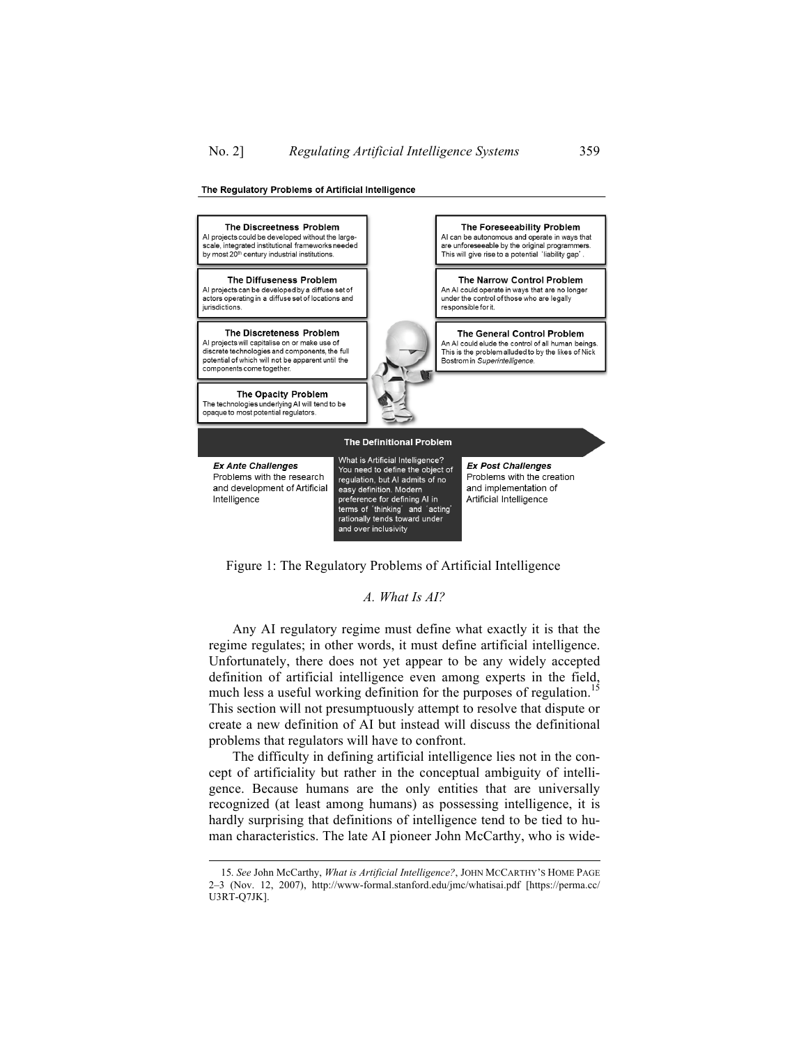The Regulatory Problems of Artificial Intelligence



Figure 1: The Regulatory Problems of Artificial Intelligence

# *A. What Is AI?*

Any AI regulatory regime must define what exactly it is that the regime regulates; in other words, it must define artificial intelligence. Unfortunately, there does not yet appear to be any widely accepted definition of artificial intelligence even among experts in the field, much less a useful working definition for the purposes of regulation.<sup>1</sup> This section will not presumptuously attempt to resolve that dispute or create a new definition of AI but instead will discuss the definitional problems that regulators will have to confront.

The difficulty in defining artificial intelligence lies not in the concept of artificiality but rather in the conceptual ambiguity of intelligence. Because humans are the only entities that are universally recognized (at least among humans) as possessing intelligence, it is hardly surprising that definitions of intelligence tend to be tied to human characteristics. The late AI pioneer John McCarthy, who is wide-

 <sup>15.</sup> *See* John McCarthy, *What is Artificial Intelligence?*, JOHN MCCARTHY'S HOME PAGE 2–3 (Nov. 12, 2007), http://www-formal.stanford.edu/jmc/whatisai.pdf [https://perma.cc/ U3RT-Q7JK].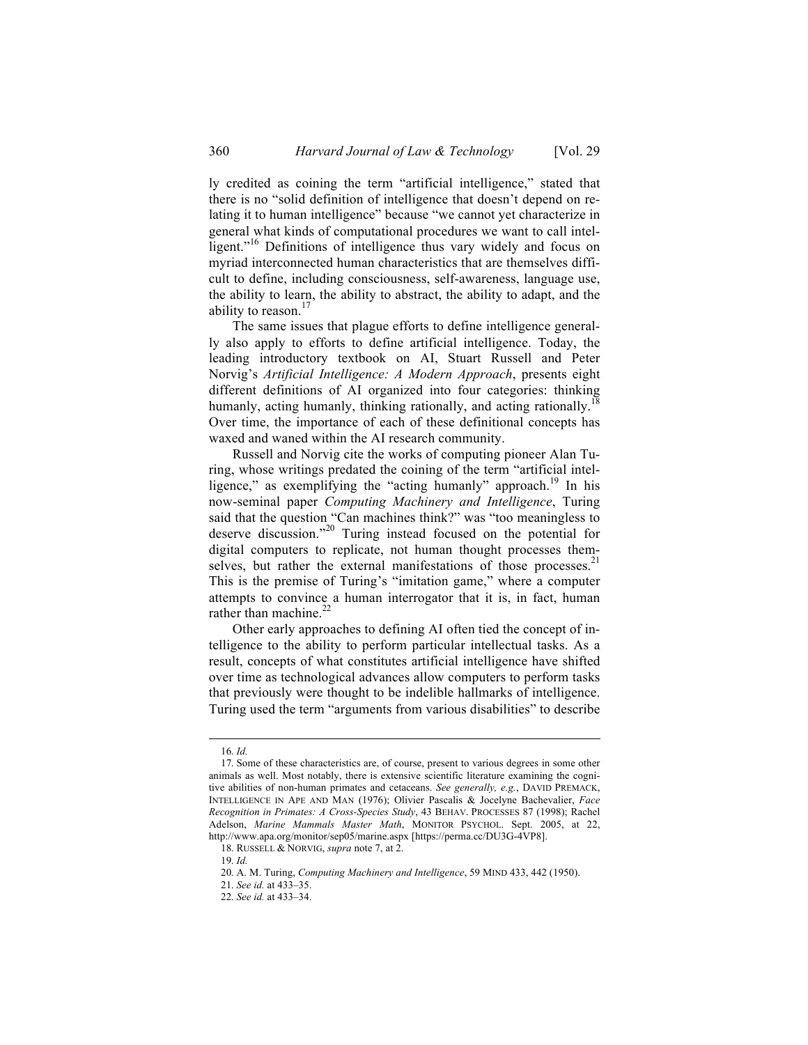ly credited as coining the term "artificial intelligence," stated that there is no "solid definition of intelligence that doesn't depend on relating it to human intelligence" because "we cannot yet characterize in general what kinds of computational procedures we want to call intelligent."<sup>16</sup> Definitions of intelligence thus vary widely and focus on myriad interconnected human characteristics that are themselves difficult to define, including consciousness, self-awareness, language use, the ability to learn, the ability to abstract, the ability to adapt, and the ability to reason. $17$ 

The same issues that plague efforts to define intelligence generally also apply to efforts to define artificial intelligence. Today, the leading introductory textbook on AI, Stuart Russell and Peter Norvig's *Artificial Intelligence: A Modern Approach*, presents eight different definitions of AI organized into four categories: thinking humanly, acting humanly, thinking rationally, and acting rationally.<sup>1</sup> Over time, the importance of each of these definitional concepts has waxed and waned within the AI research community.

Russell and Norvig cite the works of computing pioneer Alan Turing, whose writings predated the coining of the term "artificial intelligence," as exemplifying the "acting humanly" approach.<sup>19</sup> In his now-seminal paper *Computing Machinery and Intelligence*, Turing said that the question "Can machines think?" was "too meaningless to deserve discussion." <sup>20</sup> Turing instead focused on the potential for digital computers to replicate, not human thought processes themselves, but rather the external manifestations of those processes. $21$ This is the premise of Turing's "imitation game," where a computer attempts to convince a human interrogator that it is, in fact, human rather than machine.<sup>22</sup>

Other early approaches to defining AI often tied the concept of intelligence to the ability to perform particular intellectual tasks. As a result, concepts of what constitutes artificial intelligence have shifted over time as technological advances allow computers to perform tasks that previously were thought to be indelible hallmarks of intelligence. Turing used the term "arguments from various disabilities" to describe

 <sup>16.</sup> *Id.*

<sup>17.</sup> Some of these characteristics are, of course, present to various degrees in some other animals as well. Most notably, there is extensive scientific literature examining the cognitive abilities of non-human primates and cetaceans. *See generally, e.g.*, DAVID PREMACK, INTELLIGENCE IN APE AND MAN (1976); Olivier Pascalis & Jocelyne Bachevalier, *Face Recognition in Primates: A Cross-Species Study*, 43 BEHAV. PROCESSES 87 (1998); Rachel Adelson, *Marine Mammals Master Math*, MONITOR PSYCHOL. Sept. 2005, at 22, http://www.apa.org/monitor/sep05/marine.aspx [https://perma.cc/DU3G-4VP8].

<sup>18.</sup> RUSSELL & NORVIG, *supra* note 7, at 2.

<sup>19.</sup> *Id.*

<sup>20.</sup> A. M. Turing, *Computing Machinery and Intelligence*, 59 MIND 433, 442 (1950).

<sup>21.</sup> *See id.* at 433–35.

<sup>22.</sup> *See id.* at 433–34.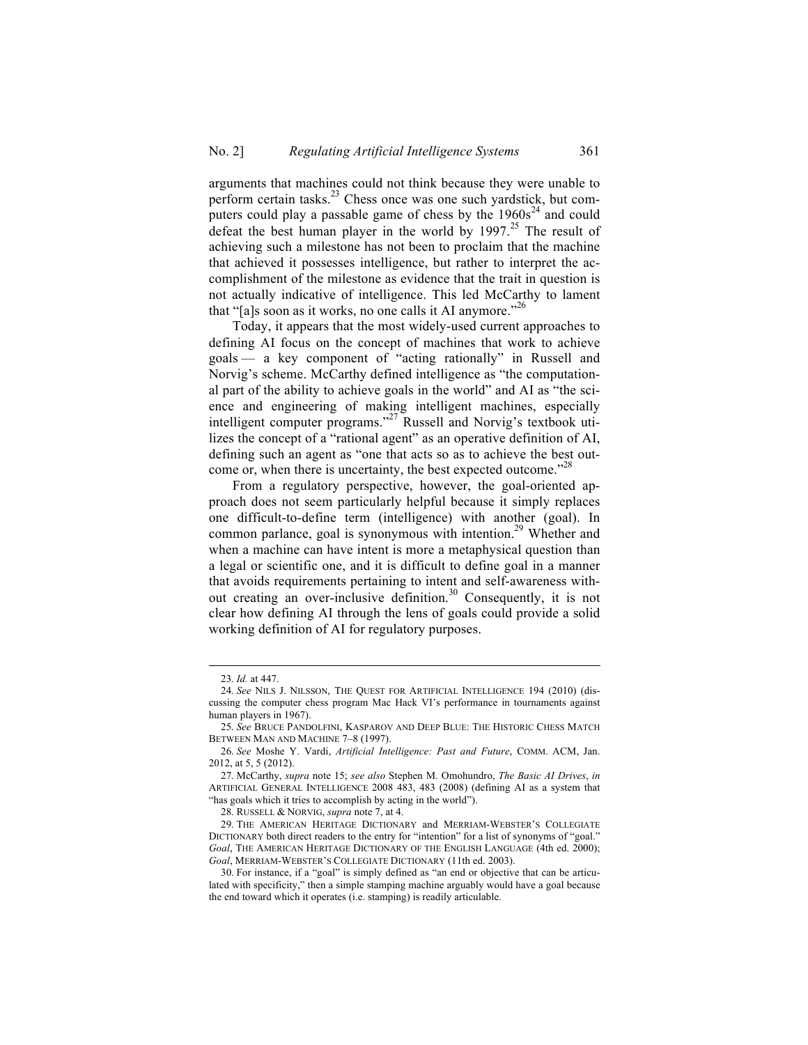arguments that machines could not think because they were unable to perform certain tasks. $^{23}$  Chess once was one such yardstick, but computers could play a passable game of chess by the  $1960s<sup>24</sup>$  and could defeat the best human player in the world by  $1997.25$  The result of achieving such a milestone has not been to proclaim that the machine that achieved it possesses intelligence, but rather to interpret the accomplishment of the milestone as evidence that the trait in question is not actually indicative of intelligence. This led McCarthy to lament that "[a]s soon as it works, no one calls it AI anymore."<sup>26</sup>

Today, it appears that the most widely-used current approaches to defining AI focus on the concept of machines that work to achieve goals — a key component of "acting rationally" in Russell and Norvig's scheme. McCarthy defined intelligence as "the computational part of the ability to achieve goals in the world" and AI as "the science and engineering of making intelligent machines, especially intelligent computer programs."<sup>27</sup> Russell and Norvig's textbook utilizes the concept of a "rational agent" as an operative definition of AI, defining such an agent as "one that acts so as to achieve the best outcome or, when there is uncertainty, the best expected outcome."<sup>28</sup>

From a regulatory perspective, however, the goal-oriented approach does not seem particularly helpful because it simply replaces one difficult-to-define term (intelligence) with another (goal). In common parlance, goal is synonymous with intention.<sup>29</sup> Whether and when a machine can have intent is more a metaphysical question than a legal or scientific one, and it is difficult to define goal in a manner that avoids requirements pertaining to intent and self-awareness without creating an over-inclusive definition.<sup>30</sup> Consequently, it is not clear how defining AI through the lens of goals could provide a solid working definition of AI for regulatory purposes.

28. RUSSELL & NORVIG, *supra* note 7, at 4.

 <sup>23.</sup> *Id.* at 447.

<sup>24.</sup> *See* NILS J. NILSSON, THE QUEST FOR ARTIFICIAL INTELLIGENCE 194 (2010) (discussing the computer chess program Mac Hack VI's performance in tournaments against human players in 1967).

<sup>25.</sup> *See* BRUCE PANDOLFINI, KASPAROV AND DEEP BLUE: THE HISTORIC CHESS MATCH BETWEEN MAN AND MACHINE 7-8 (1997).

<sup>26.</sup> *See* Moshe Y. Vardi, *Artificial Intelligence: Past and Future*, COMM. ACM, Jan. 2012, at 5, 5 (2012).

<sup>27.</sup> McCarthy, *supra* note 15; *see also* Stephen M. Omohundro, *The Basic AI Drives*, *in* ARTIFICIAL GENERAL INTELLIGENCE 2008 483, 483 (2008) (defining AI as a system that "has goals which it tries to accomplish by acting in the world").

<sup>29.</sup> THE AMERICAN HERITAGE DICTIONARY and MERRIAM-WEBSTER'S COLLEGIATE DICTIONARY both direct readers to the entry for "intention" for a list of synonyms of "goal." *Goal*, THE AMERICAN HERITAGE DICTIONARY OF THE ENGLISH LANGUAGE (4th ed. 2000); *Goal*, MERRIAM-WEBSTER'S COLLEGIATE DICTIONARY (11th ed. 2003).

<sup>30.</sup> For instance, if a "goal" is simply defined as "an end or objective that can be articulated with specificity," then a simple stamping machine arguably would have a goal because the end toward which it operates (i.e. stamping) is readily articulable.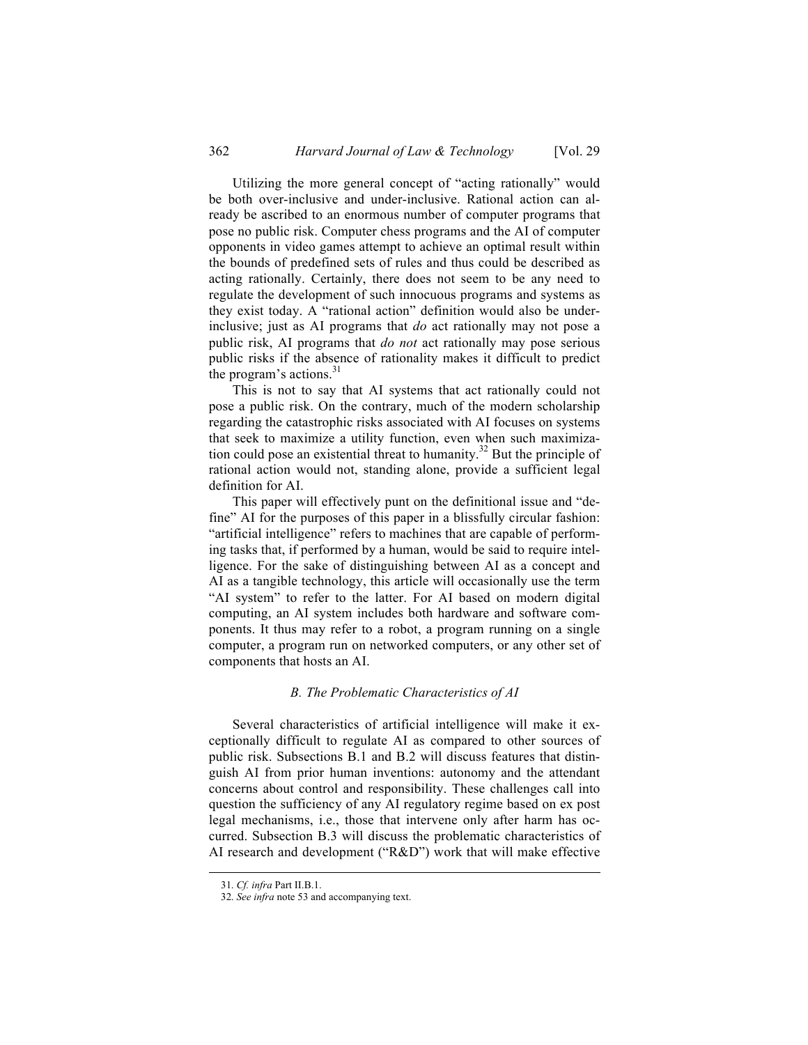Utilizing the more general concept of "acting rationally" would be both over-inclusive and under-inclusive. Rational action can already be ascribed to an enormous number of computer programs that pose no public risk. Computer chess programs and the AI of computer opponents in video games attempt to achieve an optimal result within the bounds of predefined sets of rules and thus could be described as acting rationally. Certainly, there does not seem to be any need to regulate the development of such innocuous programs and systems as they exist today. A "rational action" definition would also be underinclusive; just as AI programs that *do* act rationally may not pose a public risk, AI programs that *do not* act rationally may pose serious public risks if the absence of rationality makes it difficult to predict the program's actions. $31$ 

This is not to say that AI systems that act rationally could not pose a public risk. On the contrary, much of the modern scholarship regarding the catastrophic risks associated with AI focuses on systems that seek to maximize a utility function, even when such maximization could pose an existential threat to humanity.<sup>32</sup> But the principle of rational action would not, standing alone, provide a sufficient legal definition for AI.

This paper will effectively punt on the definitional issue and "define" AI for the purposes of this paper in a blissfully circular fashion: "artificial intelligence" refers to machines that are capable of performing tasks that, if performed by a human, would be said to require intelligence. For the sake of distinguishing between AI as a concept and AI as a tangible technology, this article will occasionally use the term "AI system" to refer to the latter. For AI based on modern digital computing, an AI system includes both hardware and software components. It thus may refer to a robot, a program running on a single computer, a program run on networked computers, or any other set of components that hosts an AI.

#### *B. The Problematic Characteristics of AI*

Several characteristics of artificial intelligence will make it exceptionally difficult to regulate AI as compared to other sources of public risk. Subsections B.1 and B.2 will discuss features that distinguish AI from prior human inventions: autonomy and the attendant concerns about control and responsibility. These challenges call into question the sufficiency of any AI regulatory regime based on ex post legal mechanisms, i.e., those that intervene only after harm has occurred. Subsection B.3 will discuss the problematic characteristics of AI research and development ("R&D") work that will make effective

 <sup>31.</sup> *Cf. infra* Part II.B.1.

<sup>32.</sup> *See infra* note 53 and accompanying text.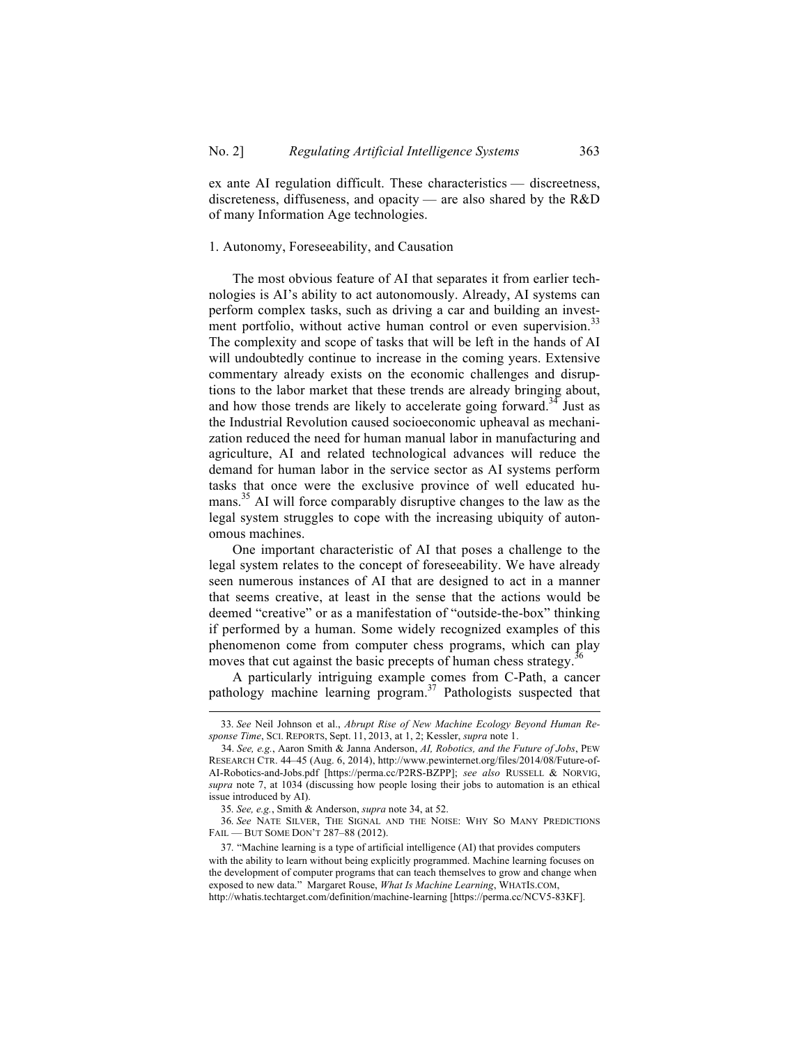ex ante AI regulation difficult. These characteristics — discreetness, discreteness, diffuseness, and opacity — are also shared by the R&D of many Information Age technologies.

#### 1. Autonomy, Foreseeability, and Causation

The most obvious feature of AI that separates it from earlier technologies is AI's ability to act autonomously. Already, AI systems can perform complex tasks, such as driving a car and building an investment portfolio, without active human control or even supervision.<sup>33</sup> The complexity and scope of tasks that will be left in the hands of AI will undoubtedly continue to increase in the coming years. Extensive commentary already exists on the economic challenges and disruptions to the labor market that these trends are already bringing about, and how those trends are likely to accelerate going forward.<sup>34</sup> Just as the Industrial Revolution caused socioeconomic upheaval as mechanization reduced the need for human manual labor in manufacturing and agriculture, AI and related technological advances will reduce the demand for human labor in the service sector as AI systems perform tasks that once were the exclusive province of well educated humans.<sup>35</sup> AI will force comparably disruptive changes to the law as the legal system struggles to cope with the increasing ubiquity of autonomous machines.

One important characteristic of AI that poses a challenge to the legal system relates to the concept of foreseeability. We have already seen numerous instances of AI that are designed to act in a manner that seems creative, at least in the sense that the actions would be deemed "creative" or as a manifestation of "outside-the-box" thinking if performed by a human. Some widely recognized examples of this phenomenon come from computer chess programs, which can play moves that cut against the basic precepts of human chess strategy.<sup>36</sup>

A particularly intriguing example comes from C-Path, a cancer pathology machine learning program.37 Pathologists suspected that

 <sup>33.</sup> *See* Neil Johnson et al., *Abrupt Rise of New Machine Ecology Beyond Human Response Time*, SCI. REPORTS, Sept. 11, 2013, at 1, 2; Kessler, *supra* note 1.

<sup>34.</sup> *See, e.g.*, Aaron Smith & Janna Anderson, *AI, Robotics, and the Future of Jobs*, PEW RESEARCH CTR. 44–45 (Aug. 6, 2014), http://www.pewinternet.org/files/2014/08/Future-of-AI-Robotics-and-Jobs.pdf [https://perma.cc/P2RS-BZPP]; *see also* RUSSELL & NORVIG, *supra* note 7, at 1034 (discussing how people losing their jobs to automation is an ethical issue introduced by AI).

<sup>35.</sup> *See, e.g.*, Smith & Anderson, *supra* note 34, at 52.

<sup>36.</sup> *See* NATE SILVER, THE SIGNAL AND THE NOISE: WHY SO MANY PREDICTIONS FAIL — BUT SOME DON'T 287–88 (2012).

<sup>37.</sup> "Machine learning is a type of artificial intelligence (AI) that provides computers with the ability to learn without being explicitly programmed. Machine learning focuses on the development of computer programs that can teach themselves to grow and change when exposed to new data." Margaret Rouse, *What Is Machine Learning*, WHATIS.COM, http://whatis.techtarget.com/definition/machine-learning [https://perma.cc/NCV5-83KF].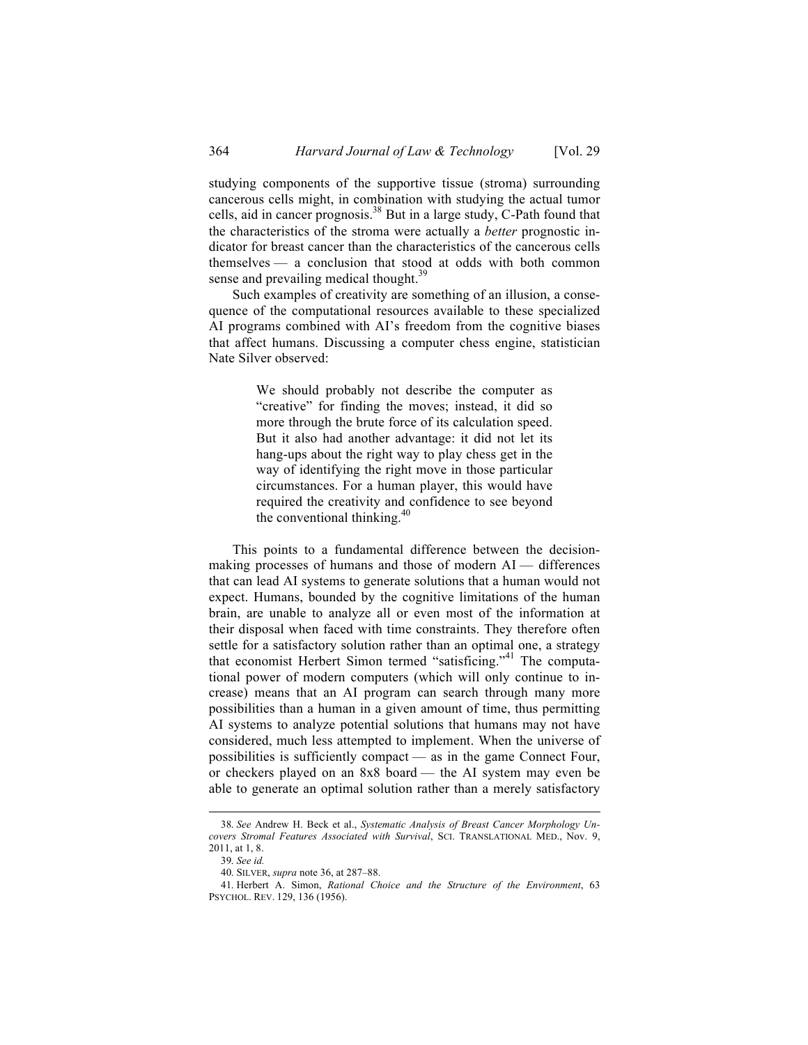studying components of the supportive tissue (stroma) surrounding cancerous cells might, in combination with studying the actual tumor cells, aid in cancer prognosis. <sup>38</sup> But in a large study, C-Path found that the characteristics of the stroma were actually a *better* prognostic indicator for breast cancer than the characteristics of the cancerous cells themselves — a conclusion that stood at odds with both common sense and prevailing medical thought.<sup>39</sup>

Such examples of creativity are something of an illusion, a consequence of the computational resources available to these specialized AI programs combined with AI's freedom from the cognitive biases that affect humans. Discussing a computer chess engine, statistician Nate Silver observed:

> We should probably not describe the computer as "creative" for finding the moves; instead, it did so more through the brute force of its calculation speed. But it also had another advantage: it did not let its hang-ups about the right way to play chess get in the way of identifying the right move in those particular circumstances. For a human player, this would have required the creativity and confidence to see beyond the conventional thinking.<sup>40</sup>

This points to a fundamental difference between the decisionmaking processes of humans and those of modern AI — differences that can lead AI systems to generate solutions that a human would not expect. Humans, bounded by the cognitive limitations of the human brain, are unable to analyze all or even most of the information at their disposal when faced with time constraints. They therefore often settle for a satisfactory solution rather than an optimal one, a strategy that economist Herbert Simon termed "satisficing." <sup>41</sup> The computational power of modern computers (which will only continue to increase) means that an AI program can search through many more possibilities than a human in a given amount of time, thus permitting AI systems to analyze potential solutions that humans may not have considered, much less attempted to implement. When the universe of possibilities is sufficiently compact — as in the game Connect Four, or checkers played on an 8x8 board — the AI system may even be able to generate an optimal solution rather than a merely satisfactory

 <sup>38.</sup> *See* Andrew H. Beck et al., *Systematic Analysis of Breast Cancer Morphology Uncovers Stromal Features Associated with Survival*, SCI. TRANSLATIONAL MED., Nov. 9, 2011, at 1, 8.

<sup>39.</sup> *See id.*

<sup>40.</sup> SILVER, *supra* note 36, at 287–88.

<sup>41.</sup> Herbert A. Simon, *Rational Choice and the Structure of the Environment*, 63 PSYCHOL. REV. 129, 136 (1956).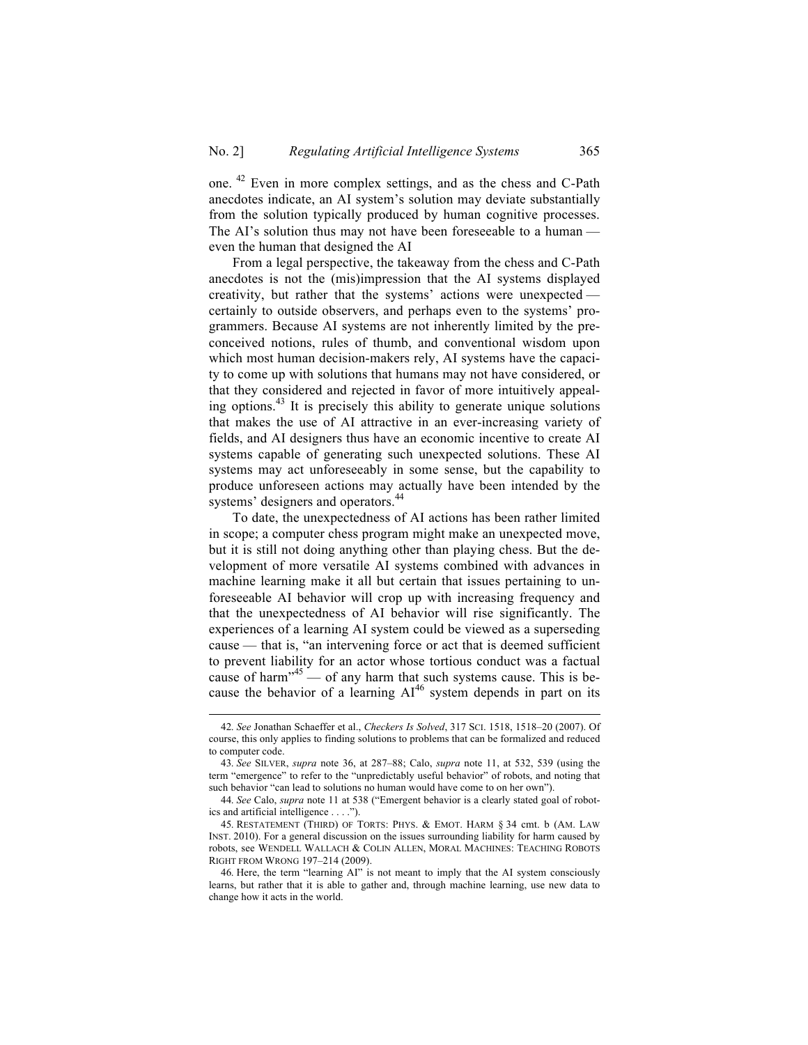one. <sup>42</sup> Even in more complex settings, and as the chess and C-Path anecdotes indicate, an AI system's solution may deviate substantially from the solution typically produced by human cognitive processes. The AI's solution thus may not have been foreseeable to a human even the human that designed the AI

From a legal perspective, the takeaway from the chess and C-Path anecdotes is not the (mis)impression that the AI systems displayed creativity, but rather that the systems' actions were unexpected certainly to outside observers, and perhaps even to the systems' programmers. Because AI systems are not inherently limited by the preconceived notions, rules of thumb, and conventional wisdom upon which most human decision-makers rely, AI systems have the capacity to come up with solutions that humans may not have considered, or that they considered and rejected in favor of more intuitively appealing options. <sup>43</sup> It is precisely this ability to generate unique solutions that makes the use of AI attractive in an ever-increasing variety of fields, and AI designers thus have an economic incentive to create AI systems capable of generating such unexpected solutions. These AI systems may act unforeseeably in some sense, but the capability to produce unforeseen actions may actually have been intended by the systems' designers and operators.<sup>44</sup>

To date, the unexpectedness of AI actions has been rather limited in scope; a computer chess program might make an unexpected move, but it is still not doing anything other than playing chess. But the development of more versatile AI systems combined with advances in machine learning make it all but certain that issues pertaining to unforeseeable AI behavior will crop up with increasing frequency and that the unexpectedness of AI behavior will rise significantly. The experiences of a learning AI system could be viewed as a superseding cause — that is, "an intervening force or act that is deemed sufficient to prevent liability for an actor whose tortious conduct was a factual cause of harm" $45$  — of any harm that such systems cause. This is because the behavior of a learning  $AI^{46}$  system depends in part on its

 <sup>42.</sup> *See* Jonathan Schaeffer et al., *Checkers Is Solved*, 317 SCI. 1518, 1518–20 (2007). Of course, this only applies to finding solutions to problems that can be formalized and reduced to computer code.

<sup>43.</sup> *See* SILVER, *supra* note 36, at 287–88; Calo, *supra* note 11, at 532, 539 (using the term "emergence" to refer to the "unpredictably useful behavior" of robots, and noting that such behavior "can lead to solutions no human would have come to on her own").

<sup>44.</sup> *See* Calo, *supra* note 11 at 538 ("Emergent behavior is a clearly stated goal of robotics and artificial intelligence . . . .").

<sup>45.</sup> RESTATEMENT (THIRD) OF TORTS: PHYS. & EMOT. HARM § 34 cmt. b (AM. LAW INST. 2010). For a general discussion on the issues surrounding liability for harm caused by robots, see WENDELL WALLACH & COLIN ALLEN, MORAL MACHINES: TEACHING ROBOTS RIGHT FROM WRONG 197–214 (2009).

<sup>46.</sup> Here, the term "learning AI" is not meant to imply that the AI system consciously learns, but rather that it is able to gather and, through machine learning, use new data to change how it acts in the world.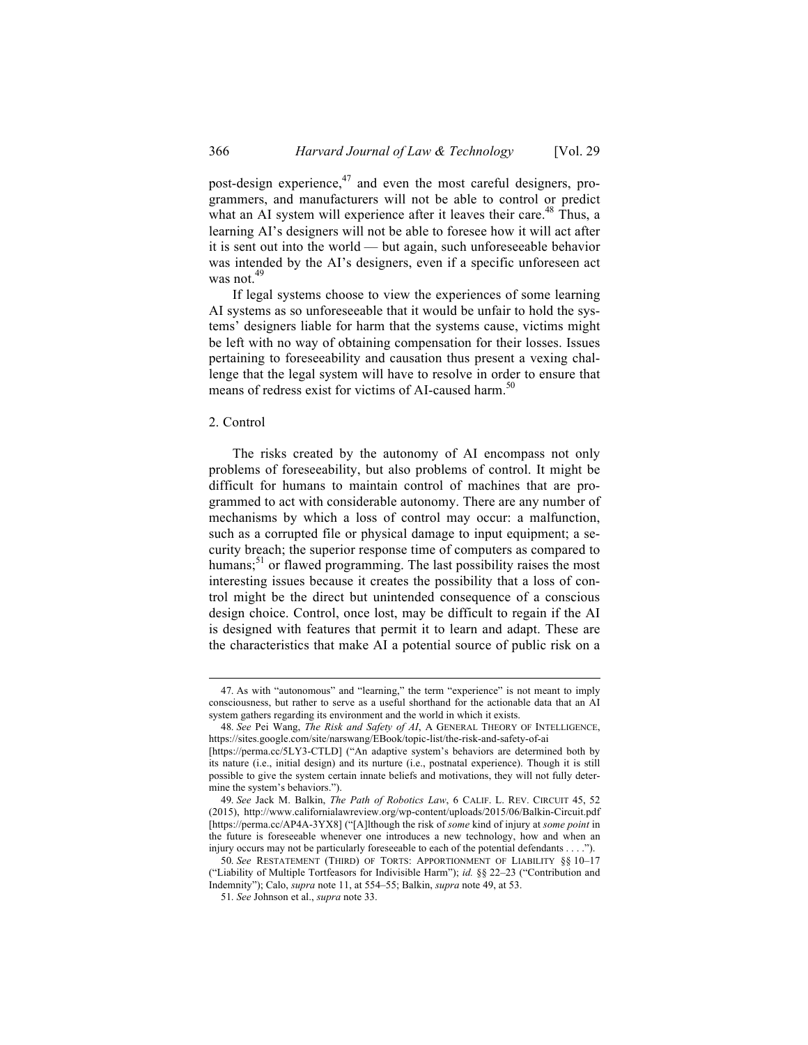post-design experience, $47$  and even the most careful designers, programmers, and manufacturers will not be able to control or predict what an AI system will experience after it leaves their care.<sup>48</sup> Thus, a learning AI's designers will not be able to foresee how it will act after it is sent out into the world — but again, such unforeseeable behavior was intended by the AI's designers, even if a specific unforeseen act was not. $49$ 

If legal systems choose to view the experiences of some learning AI systems as so unforeseeable that it would be unfair to hold the systems' designers liable for harm that the systems cause, victims might be left with no way of obtaining compensation for their losses. Issues pertaining to foreseeability and causation thus present a vexing challenge that the legal system will have to resolve in order to ensure that means of redress exist for victims of AI-caused harm.<sup>50</sup>

### 2. Control

The risks created by the autonomy of AI encompass not only problems of foreseeability, but also problems of control. It might be difficult for humans to maintain control of machines that are programmed to act with considerable autonomy. There are any number of mechanisms by which a loss of control may occur: a malfunction, such as a corrupted file or physical damage to input equipment; a security breach; the superior response time of computers as compared to humans;<sup>51</sup> or flawed programming. The last possibility raises the most interesting issues because it creates the possibility that a loss of control might be the direct but unintended consequence of a conscious design choice. Control, once lost, may be difficult to regain if the AI is designed with features that permit it to learn and adapt. These are the characteristics that make AI a potential source of public risk on a

 <sup>47.</sup> As with "autonomous" and "learning," the term "experience" is not meant to imply consciousness, but rather to serve as a useful shorthand for the actionable data that an AI system gathers regarding its environment and the world in which it exists.

<sup>48.</sup> *See* Pei Wang, *The Risk and Safety of AI*, A GENERAL THEORY OF INTELLIGENCE, https://sites.google.com/site/narswang/EBook/topic-list/the-risk-and-safety-of-ai [https://perma.cc/5LY3-CTLD] ("An adaptive system's behaviors are determined both by

its nature (i.e., initial design) and its nurture (i.e., postnatal experience). Though it is still possible to give the system certain innate beliefs and motivations, they will not fully determine the system's behaviors.").

<sup>49.</sup> *See* Jack M. Balkin, *The Path of Robotics Law*, 6 CALIF. L. REV. CIRCUIT 45, 52 (2015), http://www.californialawreview.org/wp-content/uploads/2015/06/Balkin-Circuit.pdf [https://perma.cc/AP4A-3YX8] ("[A]lthough the risk of *some* kind of injury at *some point* in the future is foreseeable whenever one introduces a new technology, how and when an injury occurs may not be particularly foreseeable to each of the potential defendants . . . .").

<sup>50.</sup> *See* RESTATEMENT (THIRD) OF TORTS: APPORTIONMENT OF LIABILITY §§ 10–17 ("Liability of Multiple Tortfeasors for Indivisible Harm"); *id.* §§ 22–23 ("Contribution and Indemnity"); Calo, *supra* note 11, at 554–55; Balkin, *supra* note 49, at 53.

<sup>51.</sup> *See* Johnson et al., *supra* note 33.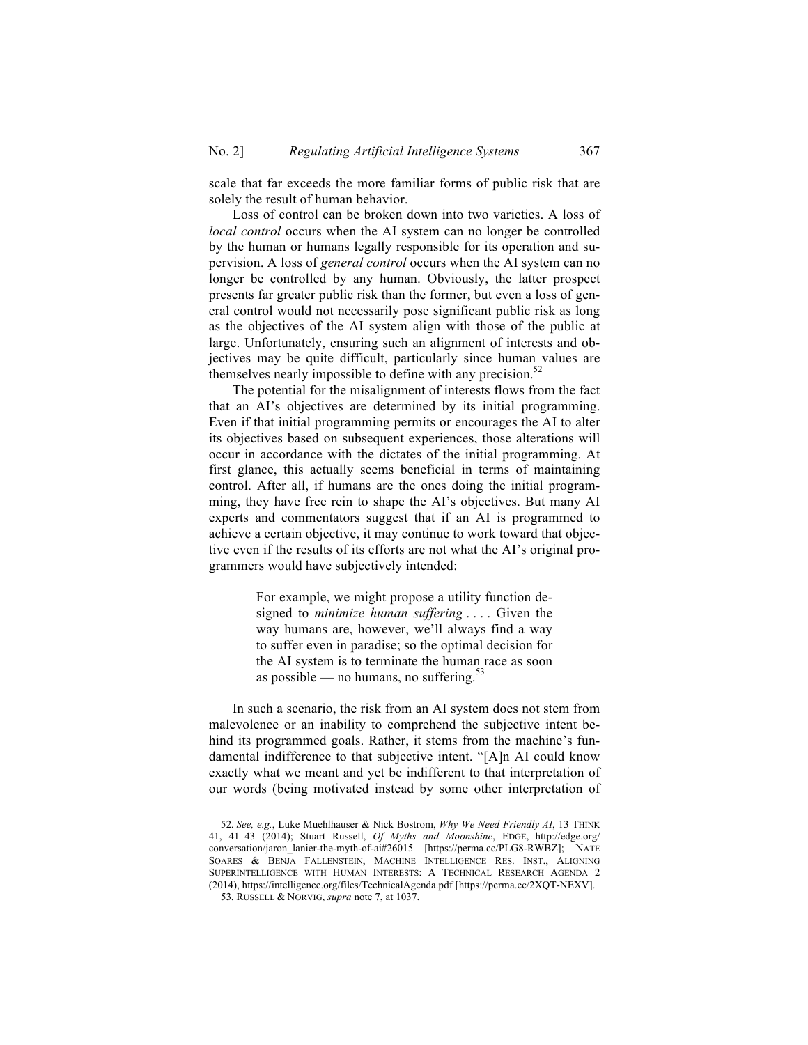scale that far exceeds the more familiar forms of public risk that are solely the result of human behavior.

Loss of control can be broken down into two varieties. A loss of *local control* occurs when the AI system can no longer be controlled by the human or humans legally responsible for its operation and supervision. A loss of *general control* occurs when the AI system can no longer be controlled by any human. Obviously, the latter prospect presents far greater public risk than the former, but even a loss of general control would not necessarily pose significant public risk as long as the objectives of the AI system align with those of the public at large. Unfortunately, ensuring such an alignment of interests and objectives may be quite difficult, particularly since human values are themselves nearly impossible to define with any precision. $52$ 

The potential for the misalignment of interests flows from the fact that an AI's objectives are determined by its initial programming. Even if that initial programming permits or encourages the AI to alter its objectives based on subsequent experiences, those alterations will occur in accordance with the dictates of the initial programming. At first glance, this actually seems beneficial in terms of maintaining control. After all, if humans are the ones doing the initial programming, they have free rein to shape the AI's objectives. But many AI experts and commentators suggest that if an AI is programmed to achieve a certain objective, it may continue to work toward that objective even if the results of its efforts are not what the AI's original programmers would have subjectively intended:

> For example, we might propose a utility function designed to *minimize human suffering* . . . . Given the way humans are, however, we'll always find a way to suffer even in paradise; so the optimal decision for the AI system is to terminate the human race as soon as possible — no humans, no suffering.<sup>53</sup>

In such a scenario, the risk from an AI system does not stem from malevolence or an inability to comprehend the subjective intent behind its programmed goals. Rather, it stems from the machine's fundamental indifference to that subjective intent. "[A]n AI could know exactly what we meant and yet be indifferent to that interpretation of our words (being motivated instead by some other interpretation of

 <sup>52.</sup> *See, e.g.*, Luke Muehlhauser & Nick Bostrom, *Why We Need Friendly AI*, 13 THINK 41, 41–43 (2014); Stuart Russell, *Of Myths and Moonshine*, EDGE, http://edge.org/ conversation/jaron\_lanier-the-myth-of-ai#26015 [https://perma.cc/PLG8-RWBZ]; NATE SOARES & BENJA FALLENSTEIN, MACHINE INTELLIGENCE RES. INST., ALIGNING SUPERINTELLIGENCE WITH HUMAN INTERESTS: A TECHNICAL RESEARCH AGENDA 2 (2014), https://intelligence.org/files/TechnicalAgenda.pdf [https://perma.cc/2XQT-NEXV].

<sup>53.</sup> RUSSELL & NORVIG, *supra* note 7, at 1037.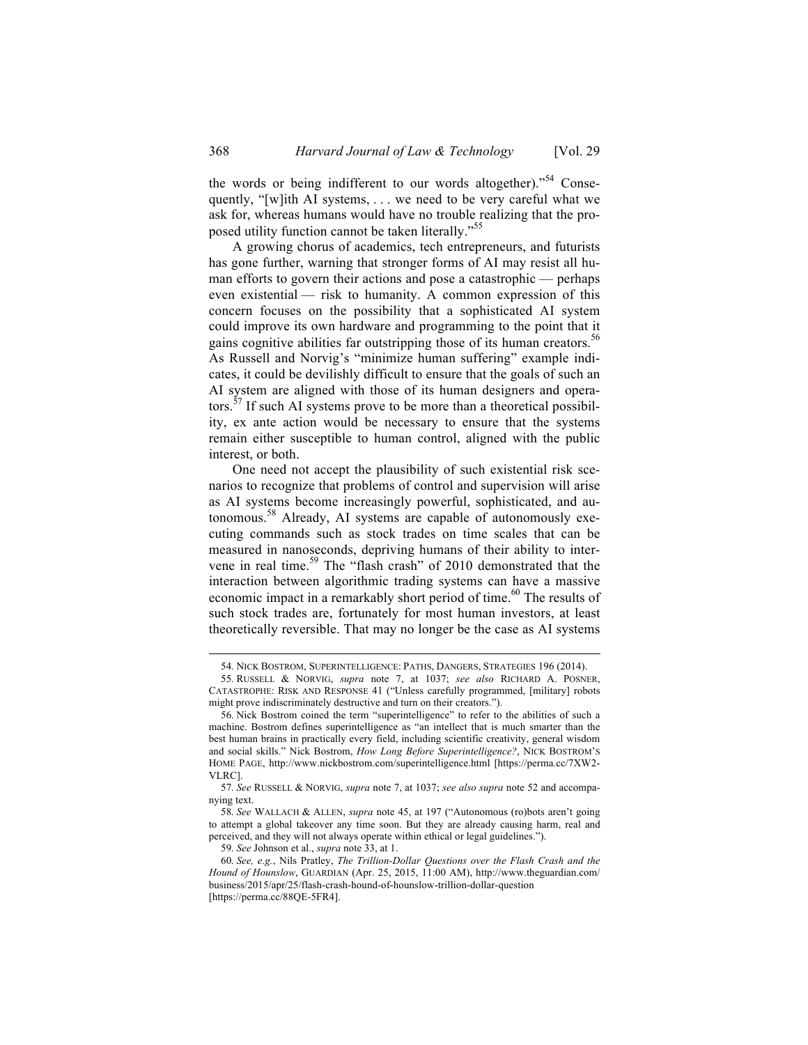the words or being indifferent to our words altogether).<sup>54</sup> Consequently, "[w]ith AI systems, . . . we need to be very careful what we ask for, whereas humans would have no trouble realizing that the proposed utility function cannot be taken literally."<sup>55</sup>

A growing chorus of academics, tech entrepreneurs, and futurists has gone further, warning that stronger forms of AI may resist all human efforts to govern their actions and pose a catastrophic — perhaps even existential — risk to humanity. A common expression of this concern focuses on the possibility that a sophisticated AI system could improve its own hardware and programming to the point that it gains cognitive abilities far outstripping those of its human creators.<sup>56</sup> As Russell and Norvig's "minimize human suffering" example indicates, it could be devilishly difficult to ensure that the goals of such an AI system are aligned with those of its human designers and operators.<sup>57</sup> If such AI systems prove to be more than a theoretical possibility, ex ante action would be necessary to ensure that the systems remain either susceptible to human control, aligned with the public interest, or both.

One need not accept the plausibility of such existential risk scenarios to recognize that problems of control and supervision will arise as AI systems become increasingly powerful, sophisticated, and autonomous.<sup>58</sup> Already, AI systems are capable of autonomously executing commands such as stock trades on time scales that can be measured in nanoseconds, depriving humans of their ability to intervene in real time.<sup>59</sup> The "flash crash" of 2010 demonstrated that the interaction between algorithmic trading systems can have a massive economic impact in a remarkably short period of time.<sup>60</sup> The results of such stock trades are, fortunately for most human investors, at least theoretically reversible. That may no longer be the case as AI systems

 <sup>54.</sup> NICK BOSTROM, SUPERINTELLIGENCE: PATHS, DANGERS, STRATEGIES 196 (2014).

<sup>55.</sup> RUSSELL & NORVIG, *supra* note 7, at 1037; *see also* RICHARD A. POSNER, CATASTROPHE: RISK AND RESPONSE 41 ("Unless carefully programmed, [military] robots might prove indiscriminately destructive and turn on their creators.").

<sup>56.</sup> Nick Bostrom coined the term "superintelligence" to refer to the abilities of such a machine. Bostrom defines superintelligence as "an intellect that is much smarter than the best human brains in practically every field, including scientific creativity, general wisdom and social skills." Nick Bostrom, *How Long Before Superintelligence?*, NICK BOSTROM'S HOME PAGE, http://www.nickbostrom.com/superintelligence.html [https://perma.cc/7XW2- VLRC].

<sup>57.</sup> *See* RUSSELL & NORVIG, *supra* note 7, at 1037; *see also supra* note 52 and accompanying text.

<sup>58.</sup> *See* WALLACH & ALLEN, *supra* note 45, at 197 ("Autonomous (ro)bots aren't going to attempt a global takeover any time soon. But they are already causing harm, real and perceived, and they will not always operate within ethical or legal guidelines.").

<sup>59.</sup> *See* Johnson et al., *supra* note 33, at 1.

<sup>60.</sup> *See, e.g.*, Nils Pratley, *The Trillion-Dollar Questions over the Flash Crash and the Hound of Hounslow*, GUARDIAN (Apr. 25, 2015, 11:00 AM), http://www.theguardian.com/ business/2015/apr/25/flash-crash-hound-of-hounslow-trillion-dollar-question [https://perma.cc/88QE-5FR4].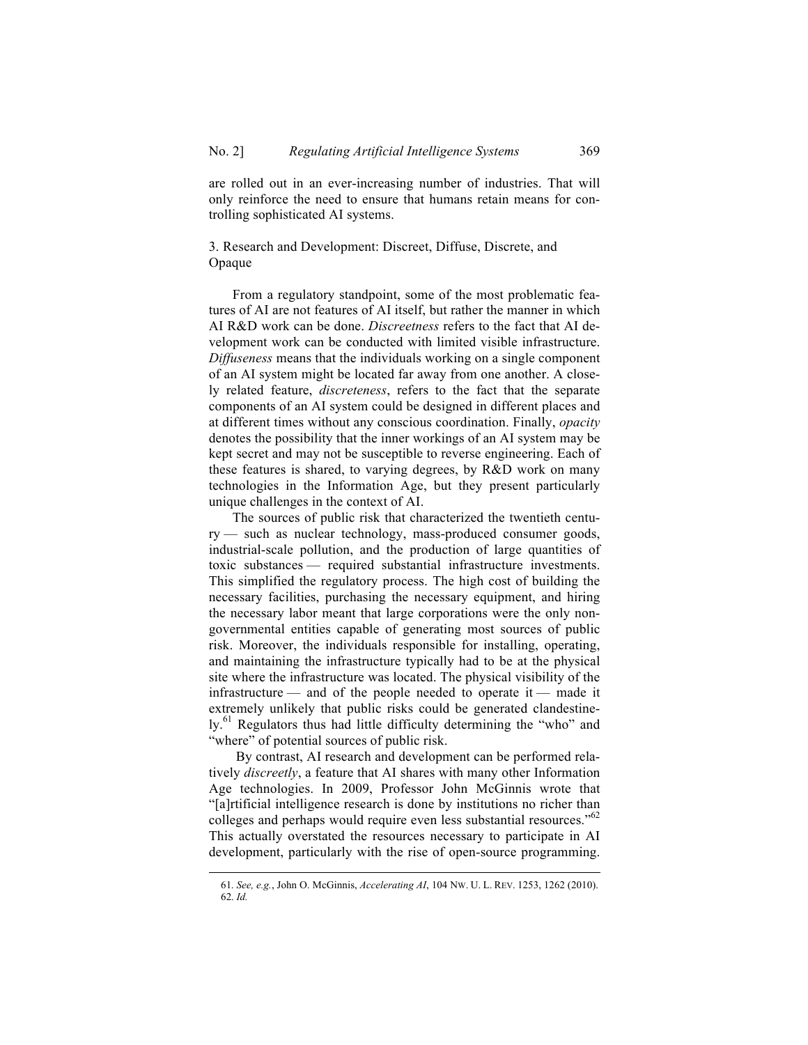are rolled out in an ever-increasing number of industries. That will only reinforce the need to ensure that humans retain means for controlling sophisticated AI systems.

# 3. Research and Development: Discreet, Diffuse, Discrete, and Opaque

From a regulatory standpoint, some of the most problematic features of AI are not features of AI itself, but rather the manner in which AI R&D work can be done. *Discreetness* refers to the fact that AI development work can be conducted with limited visible infrastructure. *Diffuseness* means that the individuals working on a single component of an AI system might be located far away from one another. A closely related feature, *discreteness*, refers to the fact that the separate components of an AI system could be designed in different places and at different times without any conscious coordination. Finally, *opacity* denotes the possibility that the inner workings of an AI system may be kept secret and may not be susceptible to reverse engineering. Each of these features is shared, to varying degrees, by R&D work on many technologies in the Information Age, but they present particularly unique challenges in the context of AI.

The sources of public risk that characterized the twentieth century — such as nuclear technology, mass-produced consumer goods, industrial-scale pollution, and the production of large quantities of toxic substances — required substantial infrastructure investments. This simplified the regulatory process. The high cost of building the necessary facilities, purchasing the necessary equipment, and hiring the necessary labor meant that large corporations were the only nongovernmental entities capable of generating most sources of public risk. Moreover, the individuals responsible for installing, operating, and maintaining the infrastructure typically had to be at the physical site where the infrastructure was located. The physical visibility of the infrastructure — and of the people needed to operate it — made it extremely unlikely that public risks could be generated clandestinely.<sup>61</sup> Regulators thus had little difficulty determining the "who" and "where" of potential sources of public risk.

By contrast, AI research and development can be performed relatively *discreetly*, a feature that AI shares with many other Information Age technologies. In 2009, Professor John McGinnis wrote that "[a]rtificial intelligence research is done by institutions no richer than colleges and perhaps would require even less substantial resources."<sup>62</sup> This actually overstated the resources necessary to participate in AI development, particularly with the rise of open-source programming.

 <sup>61.</sup> *See, e.g.*, John O. McGinnis, *Accelerating AI*, 104 NW. U. L. REV. 1253, 1262 (2010). 62. *Id.*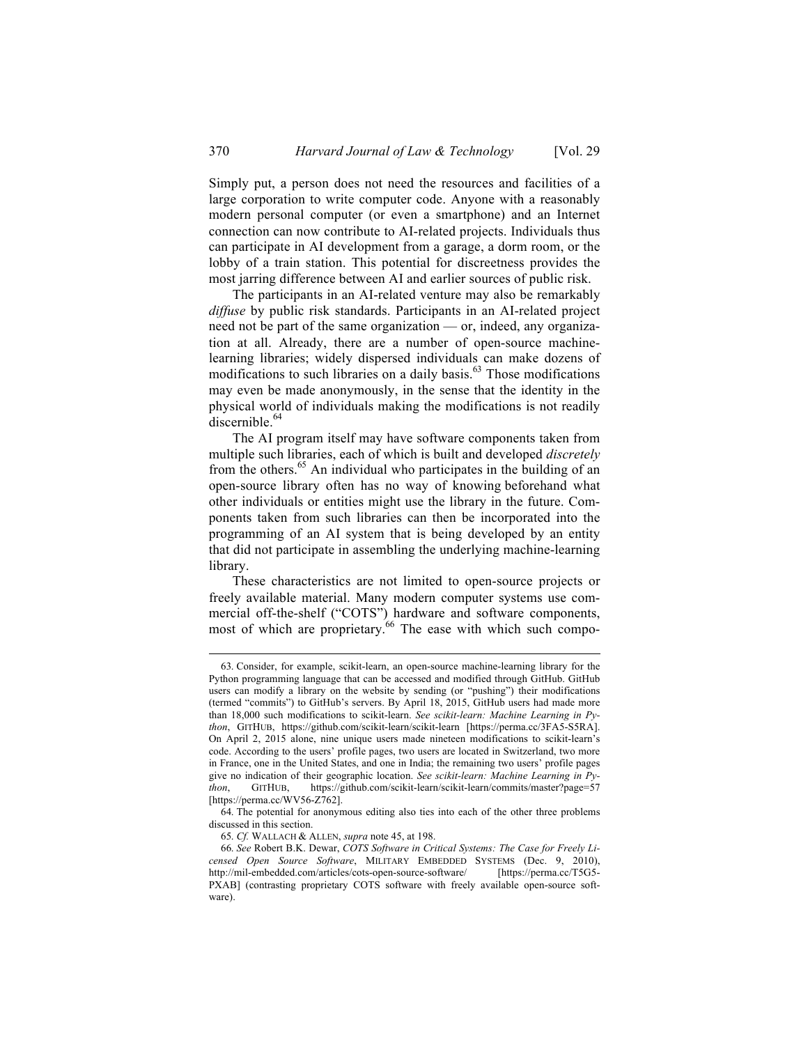Simply put, a person does not need the resources and facilities of a large corporation to write computer code. Anyone with a reasonably modern personal computer (or even a smartphone) and an Internet connection can now contribute to AI-related projects. Individuals thus can participate in AI development from a garage, a dorm room, or the lobby of a train station. This potential for discreetness provides the most jarring difference between AI and earlier sources of public risk.

The participants in an AI-related venture may also be remarkably *diffuse* by public risk standards. Participants in an AI-related project need not be part of the same organization — or, indeed, any organization at all. Already, there are a number of open-source machinelearning libraries; widely dispersed individuals can make dozens of  $\frac{1}{2}$  modifications to such libraries on a daily basis.<sup>63</sup> Those modifications may even be made anonymously, in the sense that the identity in the physical world of individuals making the modifications is not readily discernible.<sup>64</sup>

The AI program itself may have software components taken from multiple such libraries, each of which is built and developed *discretely* from the others.<sup>65</sup> An individual who participates in the building of an open-source library often has no way of knowing beforehand what other individuals or entities might use the library in the future. Components taken from such libraries can then be incorporated into the programming of an AI system that is being developed by an entity that did not participate in assembling the underlying machine-learning library.

These characteristics are not limited to open-source projects or freely available material. Many modern computer systems use commercial off-the-shelf ("COTS") hardware and software components, most of which are proprietary.<sup>66</sup> The ease with which such compo-

 <sup>63.</sup> Consider, for example, scikit-learn, an open-source machine-learning library for the Python programming language that can be accessed and modified through GitHub. GitHub users can modify a library on the website by sending (or "pushing") their modifications (termed "commits") to GitHub's servers. By April 18, 2015, GitHub users had made more than 18,000 such modifications to scikit-learn. *See scikit-learn: Machine Learning in Python*, GITHUB, https://github.com/scikit-learn/scikit-learn [https://perma.cc/3FA5-S5RA]. On April 2, 2015 alone, nine unique users made nineteen modifications to scikit-learn's code. According to the users' profile pages, two users are located in Switzerland, two more in France, one in the United States, and one in India; the remaining two users' profile pages give no indication of their geographic location. *See scikit-learn: Machine Learning in Python*, GITHUB, https://github.com/scikit-learn/scikit-learn/commits/master?page=57 [https://perma.cc/WV56-Z762].

<sup>64.</sup> The potential for anonymous editing also ties into each of the other three problems discussed in this section.

<sup>65.</sup> *Cf.* WALLACH & ALLEN, *supra* note 45, at 198.

<sup>66.</sup> *See* Robert B.K. Dewar, *COTS Software in Critical Systems: The Case for Freely Licensed Open Source Software*, MILITARY EMBEDDED SYSTEMS (Dec. 9, 2010), http://mil-embedded.com/articles/cots-open-source-software/ [https://perma.cc/T5G5- PXAB] (contrasting proprietary COTS software with freely available open-source software).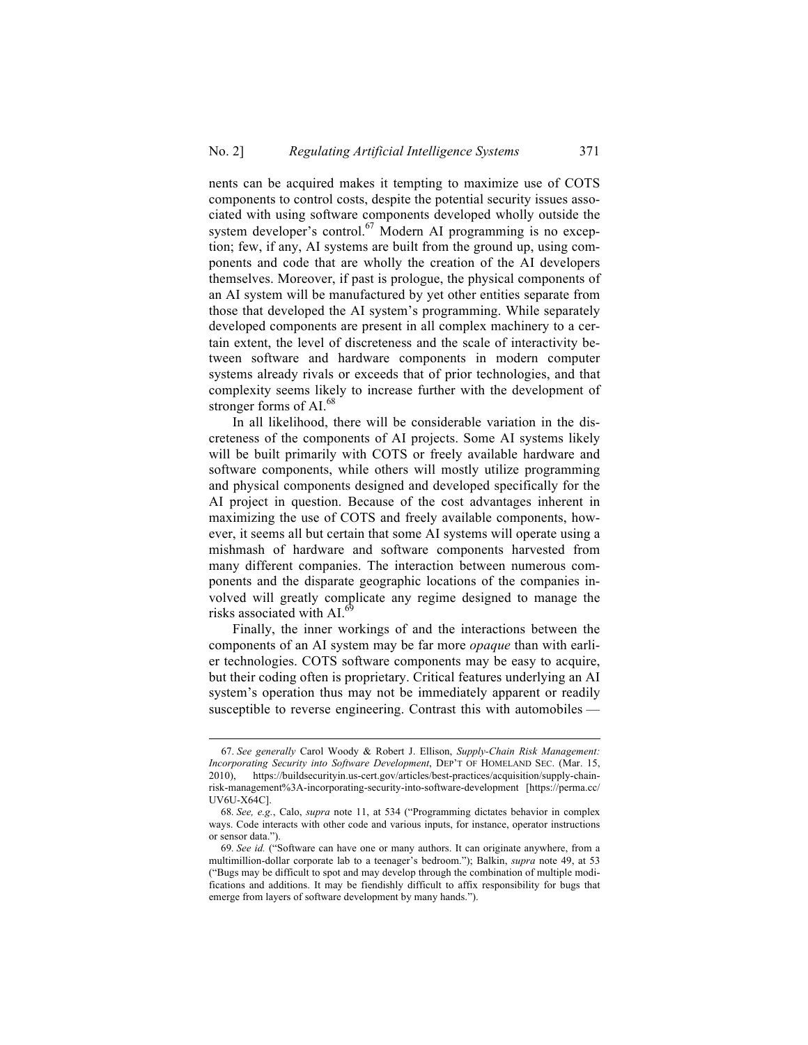nents can be acquired makes it tempting to maximize use of COTS components to control costs, despite the potential security issues associated with using software components developed wholly outside the system developer's control. $\frac{67}{100}$  Modern AI programming is no exception; few, if any, AI systems are built from the ground up, using components and code that are wholly the creation of the AI developers themselves. Moreover, if past is prologue, the physical components of an AI system will be manufactured by yet other entities separate from those that developed the AI system's programming. While separately developed components are present in all complex machinery to a certain extent, the level of discreteness and the scale of interactivity between software and hardware components in modern computer systems already rivals or exceeds that of prior technologies, and that complexity seems likely to increase further with the development of stronger forms of AI. $^{68}$ 

In all likelihood, there will be considerable variation in the discreteness of the components of AI projects. Some AI systems likely will be built primarily with COTS or freely available hardware and software components, while others will mostly utilize programming and physical components designed and developed specifically for the AI project in question. Because of the cost advantages inherent in maximizing the use of COTS and freely available components, however, it seems all but certain that some AI systems will operate using a mishmash of hardware and software components harvested from many different companies. The interaction between numerous components and the disparate geographic locations of the companies involved will greatly complicate any regime designed to manage the risks associated with AI.<sup>69</sup>

Finally, the inner workings of and the interactions between the components of an AI system may be far more *opaque* than with earlier technologies. COTS software components may be easy to acquire, but their coding often is proprietary. Critical features underlying an AI system's operation thus may not be immediately apparent or readily susceptible to reverse engineering. Contrast this with automobiles -

 <sup>67.</sup> *See generally* Carol Woody & Robert J. Ellison, *Supply-Chain Risk Management: Incorporating Security into Software Development*, DEP'T OF HOMELAND SEC. (Mar. 15, 2010), https://buildsecurityin.us-cert.gov/articles/best-practices/acquisition/supply-chainhttps://buildsecurityin.us-cert.gov/articles/best-practices/acquisition/supply-chainrisk-management%3A-incorporating-security-into-software-development [https://perma.cc/ UV6U-X64C].

<sup>68.</sup> *See, e.g.*, Calo, *supra* note 11, at 534 ("Programming dictates behavior in complex ways. Code interacts with other code and various inputs, for instance, operator instructions or sensor data.").

<sup>69.</sup> *See id.* ("Software can have one or many authors. It can originate anywhere, from a multimillion-dollar corporate lab to a teenager's bedroom."); Balkin, *supra* note 49, at 53 ("Bugs may be difficult to spot and may develop through the combination of multiple modifications and additions. It may be fiendishly difficult to affix responsibility for bugs that emerge from layers of software development by many hands.").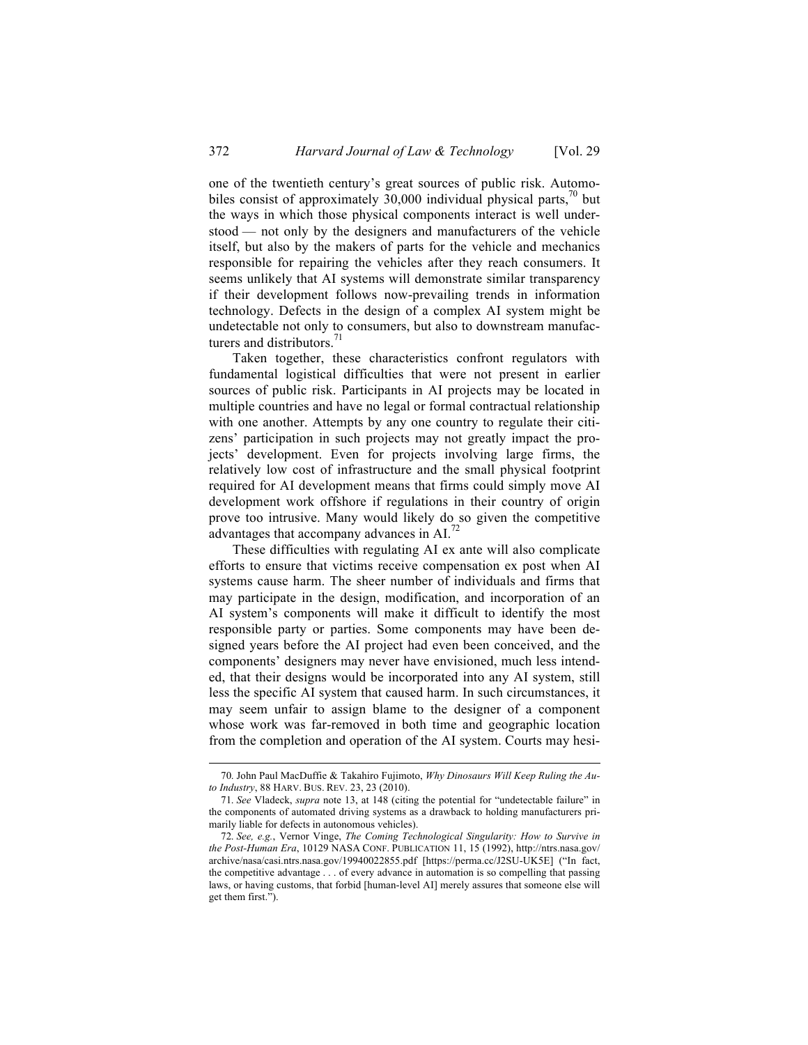one of the twentieth century's great sources of public risk. Automobiles consist of approximately  $30,000$  individual physical parts,<sup> $\frac{1}{10}$ </sup> but the ways in which those physical components interact is well understood — not only by the designers and manufacturers of the vehicle itself, but also by the makers of parts for the vehicle and mechanics responsible for repairing the vehicles after they reach consumers. It seems unlikely that AI systems will demonstrate similar transparency if their development follows now-prevailing trends in information technology. Defects in the design of a complex AI system might be undetectable not only to consumers, but also to downstream manufacturers and distributors. $71$ 

Taken together, these characteristics confront regulators with fundamental logistical difficulties that were not present in earlier sources of public risk. Participants in AI projects may be located in multiple countries and have no legal or formal contractual relationship with one another. Attempts by any one country to regulate their citizens' participation in such projects may not greatly impact the projects' development. Even for projects involving large firms, the relatively low cost of infrastructure and the small physical footprint required for AI development means that firms could simply move AI development work offshore if regulations in their country of origin prove too intrusive. Many would likely do so given the competitive advantages that accompany advances in AI. $^{72}$ 

These difficulties with regulating AI ex ante will also complicate efforts to ensure that victims receive compensation ex post when AI systems cause harm. The sheer number of individuals and firms that may participate in the design, modification, and incorporation of an AI system's components will make it difficult to identify the most responsible party or parties. Some components may have been designed years before the AI project had even been conceived, and the components' designers may never have envisioned, much less intended, that their designs would be incorporated into any AI system, still less the specific AI system that caused harm. In such circumstances, it may seem unfair to assign blame to the designer of a component whose work was far-removed in both time and geographic location from the completion and operation of the AI system. Courts may hesi-

 <sup>70.</sup> John Paul MacDuffie & Takahiro Fujimoto, *Why Dinosaurs Will Keep Ruling the Auto Industry*, 88 HARV. BUS. REV. 23, 23 (2010).

<sup>71.</sup> *See* Vladeck, *supra* note 13, at 148 (citing the potential for "undetectable failure" in the components of automated driving systems as a drawback to holding manufacturers primarily liable for defects in autonomous vehicles).

<sup>72.</sup> *See, e.g.*, Vernor Vinge, *The Coming Technological Singularity: How to Survive in the Post-Human Era*, 10129 NASA CONF. PUBLICATION 11, 15 (1992), http://ntrs.nasa.gov/ archive/nasa/casi.ntrs.nasa.gov/19940022855.pdf [https://perma.cc/J2SU-UK5E] ("In fact, the competitive advantage . . . of every advance in automation is so compelling that passing laws, or having customs, that forbid [human-level AI] merely assures that someone else will get them first.").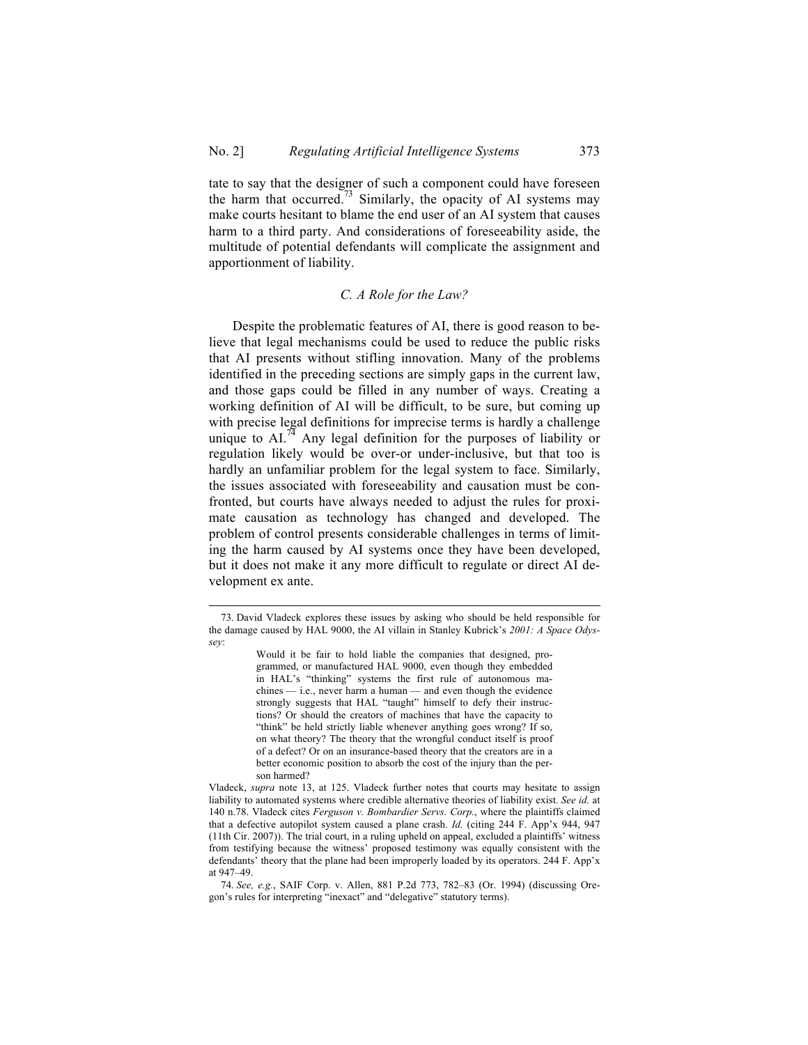tate to say that the designer of such a component could have foreseen the harm that occurred.<sup>73</sup> Similarly, the opacity of AI systems may make courts hesitant to blame the end user of an AI system that causes harm to a third party. And considerations of foreseeability aside, the multitude of potential defendants will complicate the assignment and apportionment of liability.

### *C. A Role for the Law?*

Despite the problematic features of AI, there is good reason to believe that legal mechanisms could be used to reduce the public risks that AI presents without stifling innovation. Many of the problems identified in the preceding sections are simply gaps in the current law, and those gaps could be filled in any number of ways. Creating a working definition of AI will be difficult, to be sure, but coming up with precise legal definitions for imprecise terms is hardly a challenge unique to  $AI^{74}$  Any legal definition for the purposes of liability or regulation likely would be over-or under-inclusive, but that too is hardly an unfamiliar problem for the legal system to face. Similarly, the issues associated with foreseeability and causation must be confronted, but courts have always needed to adjust the rules for proximate causation as technology has changed and developed. The problem of control presents considerable challenges in terms of limiting the harm caused by AI systems once they have been developed, but it does not make it any more difficult to regulate or direct AI development ex ante.

 <sup>73.</sup> David Vladeck explores these issues by asking who should be held responsible for the damage caused by HAL 9000, the AI villain in Stanley Kubrick's *2001: A Space Odyssey*:

Would it be fair to hold liable the companies that designed, programmed, or manufactured HAL 9000, even though they embedded in HAL's "thinking" systems the first rule of autonomous machines — i.e., never harm a human — and even though the evidence strongly suggests that HAL "taught" himself to defy their instructions? Or should the creators of machines that have the capacity to "think" be held strictly liable whenever anything goes wrong? If so, on what theory? The theory that the wrongful conduct itself is proof of a defect? Or on an insurance-based theory that the creators are in a better economic position to absorb the cost of the injury than the person harmed?

Vladeck, *supra* note 13, at 125. Vladeck further notes that courts may hesitate to assign liability to automated systems where credible alternative theories of liability exist. *See id.* at 140 n.78. Vladeck cites *Ferguson v. Bombardier Servs. Corp.*, where the plaintiffs claimed that a defective autopilot system caused a plane crash. *Id.* (citing 244 F. App'x 944, 947 (11th Cir. 2007)). The trial court, in a ruling upheld on appeal, excluded a plaintiffs' witness from testifying because the witness' proposed testimony was equally consistent with the defendants' theory that the plane had been improperly loaded by its operators. 244 F. App'x at 947–49.

<sup>74.</sup> *See, e.g.*, SAIF Corp. v. Allen, 881 P.2d 773, 782–83 (Or. 1994) (discussing Oregon's rules for interpreting "inexact" and "delegative" statutory terms).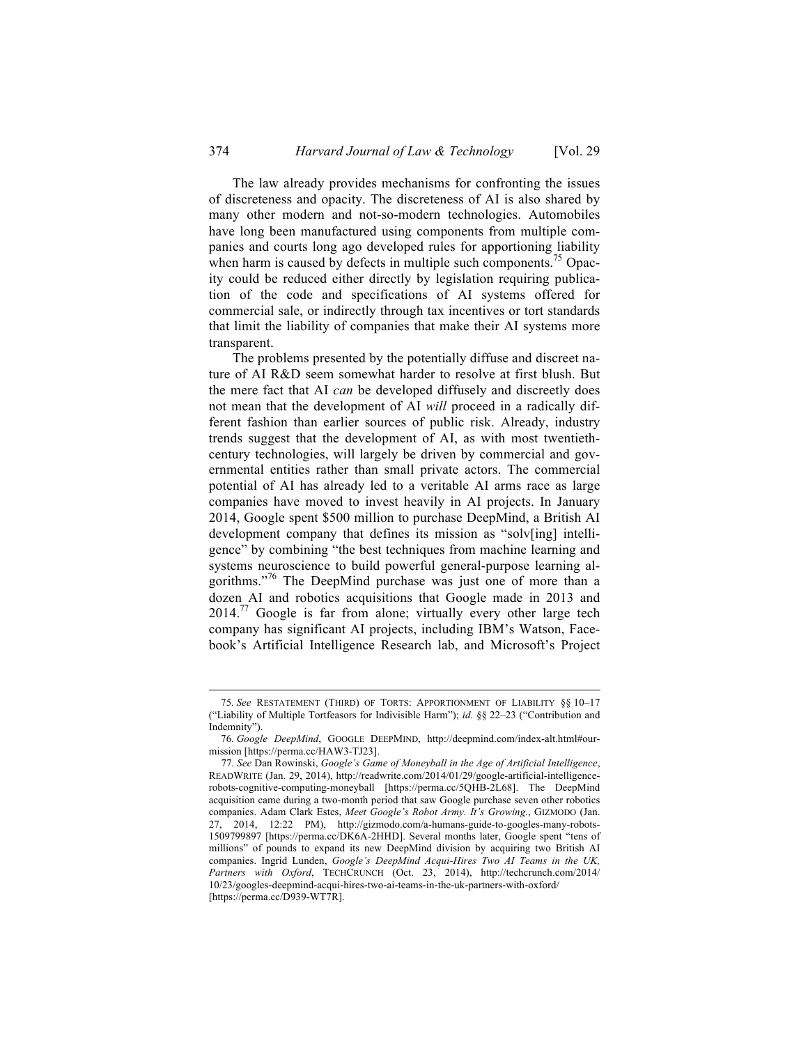The law already provides mechanisms for confronting the issues of discreteness and opacity. The discreteness of AI is also shared by many other modern and not-so-modern technologies. Automobiles have long been manufactured using components from multiple companies and courts long ago developed rules for apportioning liability when harm is caused by defects in multiple such components.<sup>75</sup> Opacity could be reduced either directly by legislation requiring publication of the code and specifications of AI systems offered for commercial sale, or indirectly through tax incentives or tort standards that limit the liability of companies that make their AI systems more transparent.

The problems presented by the potentially diffuse and discreet nature of AI R&D seem somewhat harder to resolve at first blush. But the mere fact that AI *can* be developed diffusely and discreetly does not mean that the development of AI *will* proceed in a radically different fashion than earlier sources of public risk. Already, industry trends suggest that the development of AI, as with most twentiethcentury technologies, will largely be driven by commercial and governmental entities rather than small private actors. The commercial potential of AI has already led to a veritable AI arms race as large companies have moved to invest heavily in AI projects. In January 2014, Google spent \$500 million to purchase DeepMind, a British AI development company that defines its mission as "solv[ing] intelligence" by combining "the best techniques from machine learning and systems neuroscience to build powerful general-purpose learning algorithms."<sup>76</sup> The DeepMind purchase was just one of more than a dozen AI and robotics acquisitions that Google made in 2013 and  $2014<sup>77</sup>$  Google is far from alone; virtually every other large tech company has significant AI projects, including IBM's Watson, Facebook's Artificial Intelligence Research lab, and Microsoft's Project

 <sup>75.</sup> *See* RESTATEMENT (THIRD) OF TORTS: APPORTIONMENT OF LIABILITY §§ 10–17 ("Liability of Multiple Tortfeasors for Indivisible Harm"); *id.* §§ 22–23 ("Contribution and Indemnity").

<sup>76.</sup> *Google DeepMind*, GOOGLE DEEPMIND, http://deepmind.com/index-alt.html#ourmission [https://perma.cc/HAW3-TJ23].

<sup>77.</sup> *See* Dan Rowinski, *Google's Game of Moneyball in the Age of Artificial Intelligence*, READWRITE (Jan. 29, 2014), http://readwrite.com/2014/01/29/google-artificial-intelligencerobots-cognitive-computing-moneyball [https://perma.cc/5QHB-2L68]. The DeepMind acquisition came during a two-month period that saw Google purchase seven other robotics companies. Adam Clark Estes, *Meet Google's Robot Army. It's Growing.*, GIZMODO (Jan. 27, 2014, 12:22 PM), http://gizmodo.com/a-humans-guide-to-googles-many-robots-1509799897 [https://perma.cc/DK6A-2HHD]. Several months later, Google spent "tens of millions" of pounds to expand its new DeepMind division by acquiring two British AI companies. Ingrid Lunden, *Google's DeepMind Acqui-Hires Two AI Teams in the UK, Partners with Oxford*, TECHCRUNCH (Oct. 23, 2014), http://techcrunch.com/2014/ 10/23/googles-deepmind-acqui-hires-two-ai-teams-in-the-uk-partners-with-oxford/ [https://perma.cc/D939-WT7R].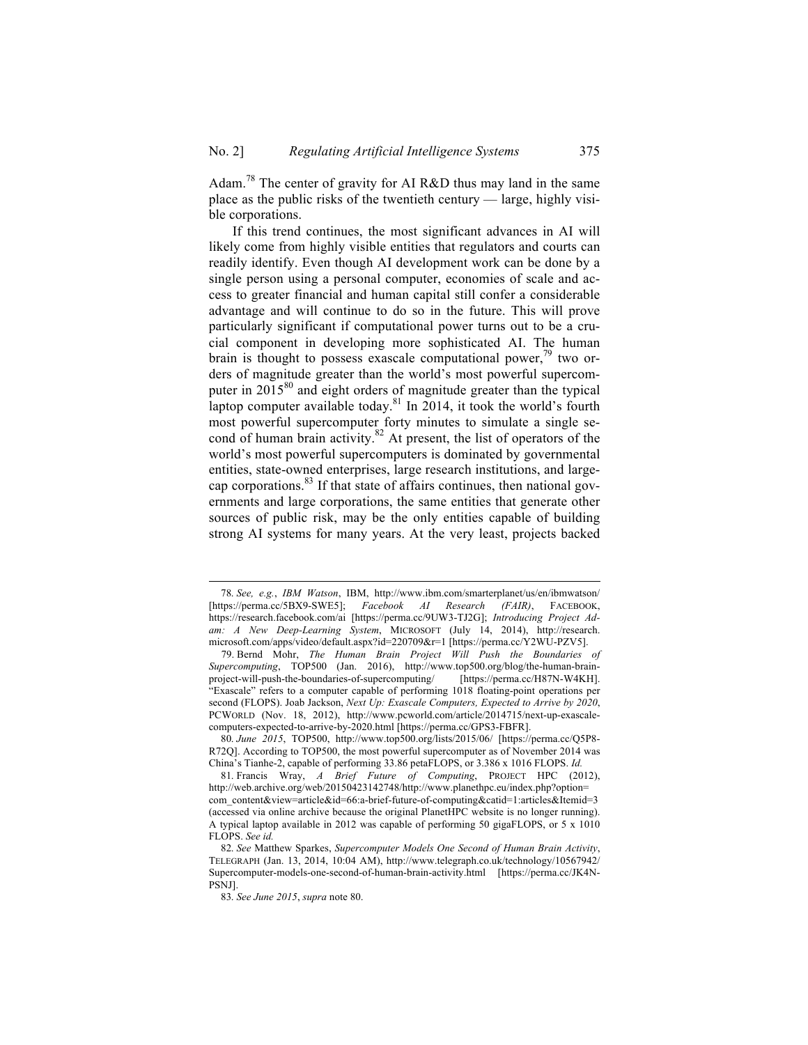Adam.<sup>78</sup> The center of gravity for AI R&D thus may land in the same place as the public risks of the twentieth century — large, highly visible corporations.

If this trend continues, the most significant advances in AI will likely come from highly visible entities that regulators and courts can readily identify. Even though AI development work can be done by a single person using a personal computer, economies of scale and access to greater financial and human capital still confer a considerable advantage and will continue to do so in the future. This will prove particularly significant if computational power turns out to be a crucial component in developing more sophisticated AI. The human brain is thought to possess exascale computational power, $^{79}$  two orders of magnitude greater than the world's most powerful supercomputer in  $2015^{80}$  and eight orders of magnitude greater than the typical laptop computer available today.<sup>81</sup> In 2014, it took the world's fourth most powerful supercomputer forty minutes to simulate a single second of human brain activity.<sup>82</sup> At present, the list of operators of the world's most powerful supercomputers is dominated by governmental entities, state-owned enterprises, large research institutions, and largecap corporations. $83$  If that state of affairs continues, then national governments and large corporations, the same entities that generate other sources of public risk, may be the only entities capable of building strong AI systems for many years. At the very least, projects backed

 <sup>78.</sup> *See, e.g.*, *IBM Watson*, IBM, http://www.ibm.com/smarterplanet/us/en/ibmwatson/ [https://perma.cc/5BX9-SWE5]; *Facebook AI Research (FAIR)*, FACEBOOK, https://research.facebook.com/ai [https://perma.cc/9UW3-TJ2G]; *Introducing Project Adam: A New Deep-Learning System*, MICROSOFT (July 14, 2014), http://research. microsoft.com/apps/video/default.aspx?id=220709&r=1 [https://perma.cc/Y2WU-PZV5].

<sup>79.</sup> Bernd Mohr, *The Human Brain Project Will Push the Boundaries of Supercomputing*, TOP500 (Jan. 2016), http://www.top500.org/blog/the-human-brainproject-will-push-the-boundaries-of-supercomputing/ [https://perma.cc/H87N-W4KH]. "Exascale" refers to a computer capable of performing 1018 floating-point operations per second (FLOPS). Joab Jackson, *Next Up: Exascale Computers, Expected to Arrive by 2020*, PCWORLD (Nov. 18, 2012), http://www.pcworld.com/article/2014715/next-up-exascalecomputers-expected-to-arrive-by-2020.html [https://perma.cc/GPS3-FBFR].

<sup>80.</sup> *June 2015*, TOP500, http://www.top500.org/lists/2015/06/ [https://perma.cc/Q5P8- R72Q]. According to TOP500, the most powerful supercomputer as of November 2014 was China's Tianhe-2, capable of performing 33.86 petaFLOPS, or 3.386 x 1016 FLOPS. *Id.*

<sup>81.</sup> Francis Wray, *A Brief Future of Computing*, PROJECT HPC (2012), http://web.archive.org/web/20150423142748/http://www.planethpc.eu/index.php?option= com\_content&view=article&id=66:a-brief-future-of-computing&catid=1:articles&Itemid=3 (accessed via online archive because the original PlanetHPC website is no longer running). A typical laptop available in 2012 was capable of performing 50 gigaFLOPS, or 5 x 1010 FLOPS. *See id.*

<sup>82.</sup> *See* Matthew Sparkes, *Supercomputer Models One Second of Human Brain Activity*, TELEGRAPH (Jan. 13, 2014, 10:04 AM), http://www.telegraph.co.uk/technology/10567942/ Supercomputer-models-one-second-of-human-brain-activity.html [https://perma.cc/JK4N-PSNJ].

<sup>83.</sup> *See June 2015*, *supra* note 80.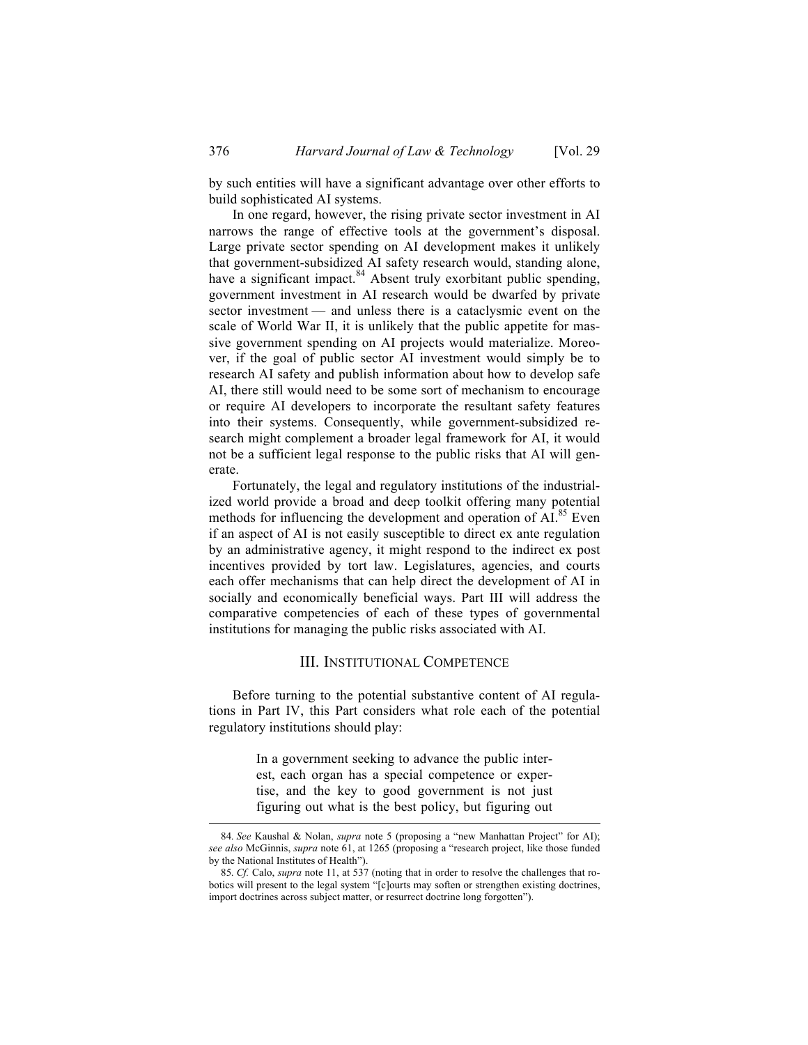by such entities will have a significant advantage over other efforts to build sophisticated AI systems.

In one regard, however, the rising private sector investment in AI narrows the range of effective tools at the government's disposal. Large private sector spending on AI development makes it unlikely that government-subsidized AI safety research would, standing alone, have a significant impact.<sup>84</sup> Absent truly exorbitant public spending, government investment in AI research would be dwarfed by private sector investment — and unless there is a cataclysmic event on the scale of World War II, it is unlikely that the public appetite for massive government spending on AI projects would materialize. Moreover, if the goal of public sector AI investment would simply be to research AI safety and publish information about how to develop safe AI, there still would need to be some sort of mechanism to encourage or require AI developers to incorporate the resultant safety features into their systems. Consequently, while government-subsidized research might complement a broader legal framework for AI, it would not be a sufficient legal response to the public risks that AI will generate.

Fortunately, the legal and regulatory institutions of the industrialized world provide a broad and deep toolkit offering many potential methods for influencing the development and operation of AI.<sup>85</sup> Even if an aspect of AI is not easily susceptible to direct ex ante regulation by an administrative agency, it might respond to the indirect ex post incentives provided by tort law. Legislatures, agencies, and courts each offer mechanisms that can help direct the development of AI in socially and economically beneficial ways. Part III will address the comparative competencies of each of these types of governmental institutions for managing the public risks associated with AI.

### III. INSTITUTIONAL COMPETENCE

Before turning to the potential substantive content of AI regulations in Part IV, this Part considers what role each of the potential regulatory institutions should play:

> In a government seeking to advance the public interest, each organ has a special competence or expertise, and the key to good government is not just figuring out what is the best policy, but figuring out

 <sup>84.</sup> *See* Kaushal & Nolan, *supra* note 5 (proposing a "new Manhattan Project" for AI); *see also* McGinnis, *supra* note 61, at 1265 (proposing a "research project, like those funded by the National Institutes of Health").

<sup>85.</sup> *Cf.* Calo, *supra* note 11, at 537 (noting that in order to resolve the challenges that robotics will present to the legal system "[c]ourts may soften or strengthen existing doctrines, import doctrines across subject matter, or resurrect doctrine long forgotten").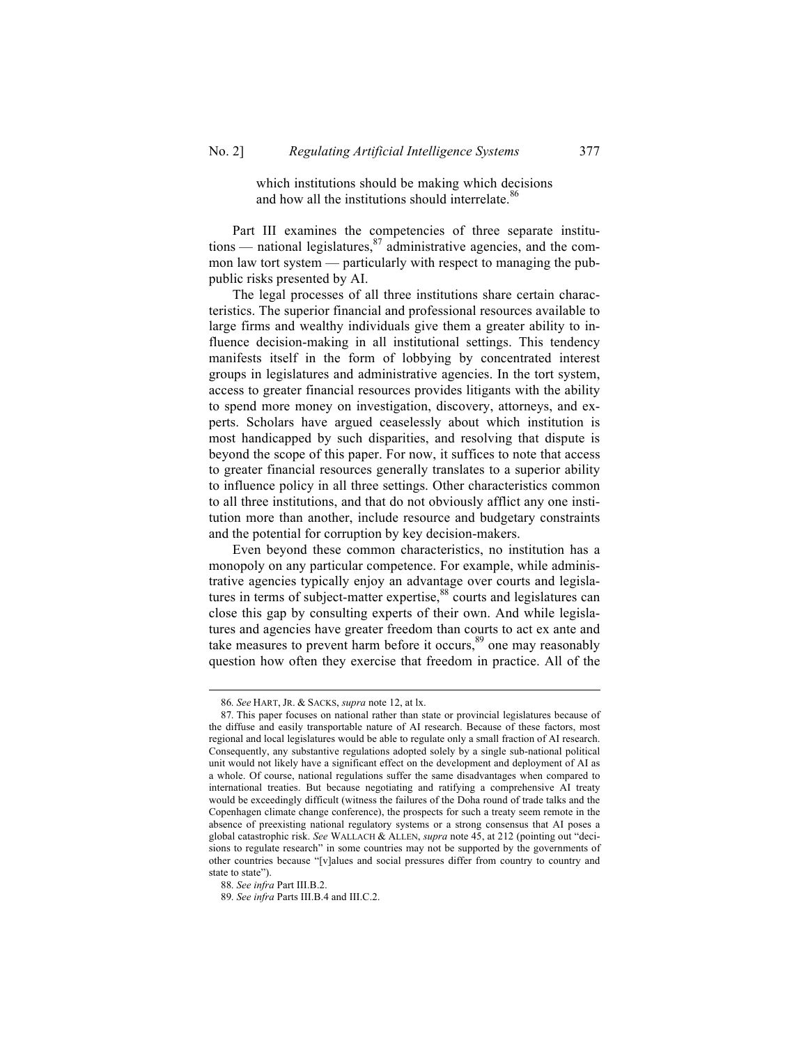which institutions should be making which decisions and how all the institutions should interrelate.<sup>86</sup>

Part III examines the competencies of three separate institutions — national legislatures, $^{87}$  administrative agencies, and the common law tort system — particularly with respect to managing the pubpublic risks presented by AI.

The legal processes of all three institutions share certain characteristics. The superior financial and professional resources available to large firms and wealthy individuals give them a greater ability to influence decision-making in all institutional settings. This tendency manifests itself in the form of lobbying by concentrated interest groups in legislatures and administrative agencies. In the tort system, access to greater financial resources provides litigants with the ability to spend more money on investigation, discovery, attorneys, and experts. Scholars have argued ceaselessly about which institution is most handicapped by such disparities, and resolving that dispute is beyond the scope of this paper. For now, it suffices to note that access to greater financial resources generally translates to a superior ability to influence policy in all three settings. Other characteristics common to all three institutions, and that do not obviously afflict any one institution more than another, include resource and budgetary constraints and the potential for corruption by key decision-makers.

Even beyond these common characteristics, no institution has a monopoly on any particular competence. For example, while administrative agencies typically enjoy an advantage over courts and legislatures in terms of subject-matter expertise,<sup>88</sup> courts and legislatures can close this gap by consulting experts of their own. And while legislatures and agencies have greater freedom than courts to act ex ante and take measures to prevent harm before it occurs,  $89$  one may reasonably question how often they exercise that freedom in practice. All of the

 <sup>86.</sup> *See* HART, JR. & SACKS, *supra* note 12, at lx.

<sup>87.</sup> This paper focuses on national rather than state or provincial legislatures because of the diffuse and easily transportable nature of AI research. Because of these factors, most regional and local legislatures would be able to regulate only a small fraction of AI research. Consequently, any substantive regulations adopted solely by a single sub-national political unit would not likely have a significant effect on the development and deployment of AI as a whole. Of course, national regulations suffer the same disadvantages when compared to international treaties. But because negotiating and ratifying a comprehensive AI treaty would be exceedingly difficult (witness the failures of the Doha round of trade talks and the Copenhagen climate change conference), the prospects for such a treaty seem remote in the absence of preexisting national regulatory systems or a strong consensus that AI poses a global catastrophic risk. *See* WALLACH & ALLEN, *supra* note 45, at 212 (pointing out "decisions to regulate research" in some countries may not be supported by the governments of other countries because "[v]alues and social pressures differ from country to country and state to state").

<sup>88.</sup> *See infra* Part III.B.2.

<sup>89.</sup> *See infra* Parts III.B.4 and III.C.2.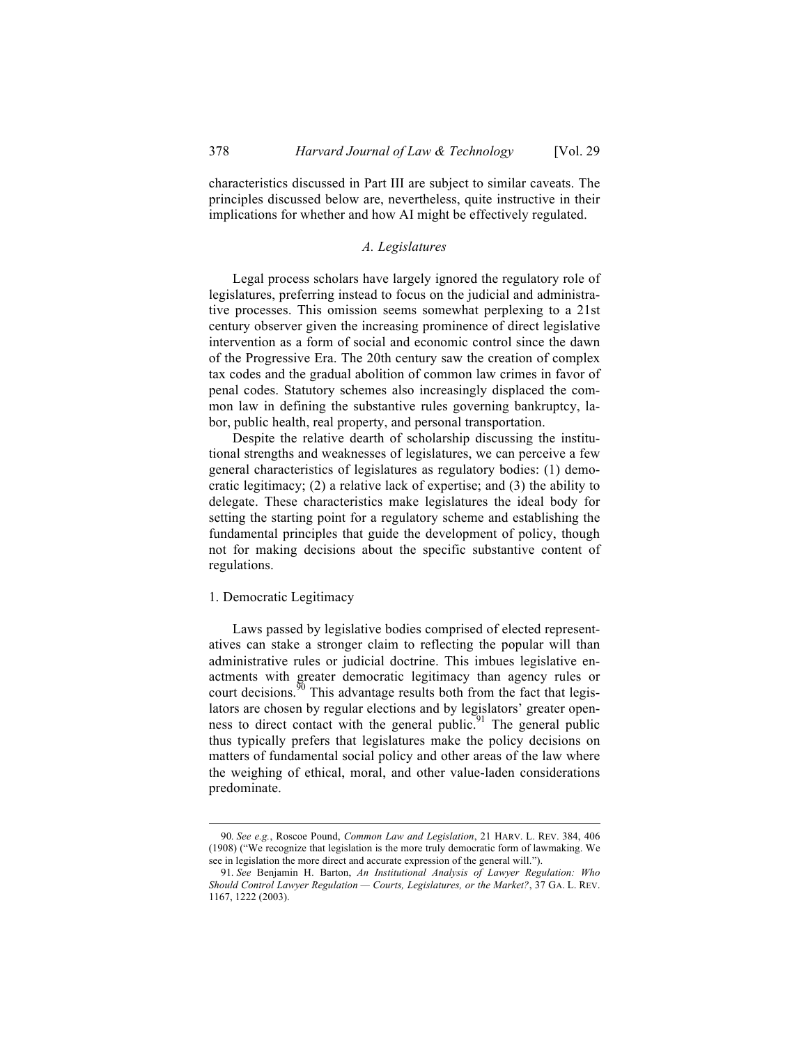characteristics discussed in Part III are subject to similar caveats. The principles discussed below are, nevertheless, quite instructive in their implications for whether and how AI might be effectively regulated.

#### *A. Legislatures*

Legal process scholars have largely ignored the regulatory role of legislatures, preferring instead to focus on the judicial and administrative processes. This omission seems somewhat perplexing to a 21st century observer given the increasing prominence of direct legislative intervention as a form of social and economic control since the dawn of the Progressive Era. The 20th century saw the creation of complex tax codes and the gradual abolition of common law crimes in favor of penal codes. Statutory schemes also increasingly displaced the common law in defining the substantive rules governing bankruptcy, labor, public health, real property, and personal transportation.

Despite the relative dearth of scholarship discussing the institutional strengths and weaknesses of legislatures, we can perceive a few general characteristics of legislatures as regulatory bodies: (1) democratic legitimacy; (2) a relative lack of expertise; and (3) the ability to delegate. These characteristics make legislatures the ideal body for setting the starting point for a regulatory scheme and establishing the fundamental principles that guide the development of policy, though not for making decisions about the specific substantive content of regulations.

### 1. Democratic Legitimacy

Laws passed by legislative bodies comprised of elected representatives can stake a stronger claim to reflecting the popular will than administrative rules or judicial doctrine. This imbues legislative enactments with greater democratic legitimacy than agency rules or court decisions.<sup>90</sup> This advantage results both from the fact that legislators are chosen by regular elections and by legislators' greater openness to direct contact with the general public.<sup>91</sup> The general public thus typically prefers that legislatures make the policy decisions on matters of fundamental social policy and other areas of the law where the weighing of ethical, moral, and other value-laden considerations predominate.

 <sup>90.</sup> *See e.g.*, Roscoe Pound, *Common Law and Legislation*, 21 HARV. L. REV. 384, 406 (1908) ("We recognize that legislation is the more truly democratic form of lawmaking. We see in legislation the more direct and accurate expression of the general will.").

<sup>91.</sup> *See* Benjamin H. Barton, *An Institutional Analysis of Lawyer Regulation: Who Should Control Lawyer Regulation — Courts, Legislatures, or the Market?*, 37 GA. L. REV. 1167, 1222 (2003).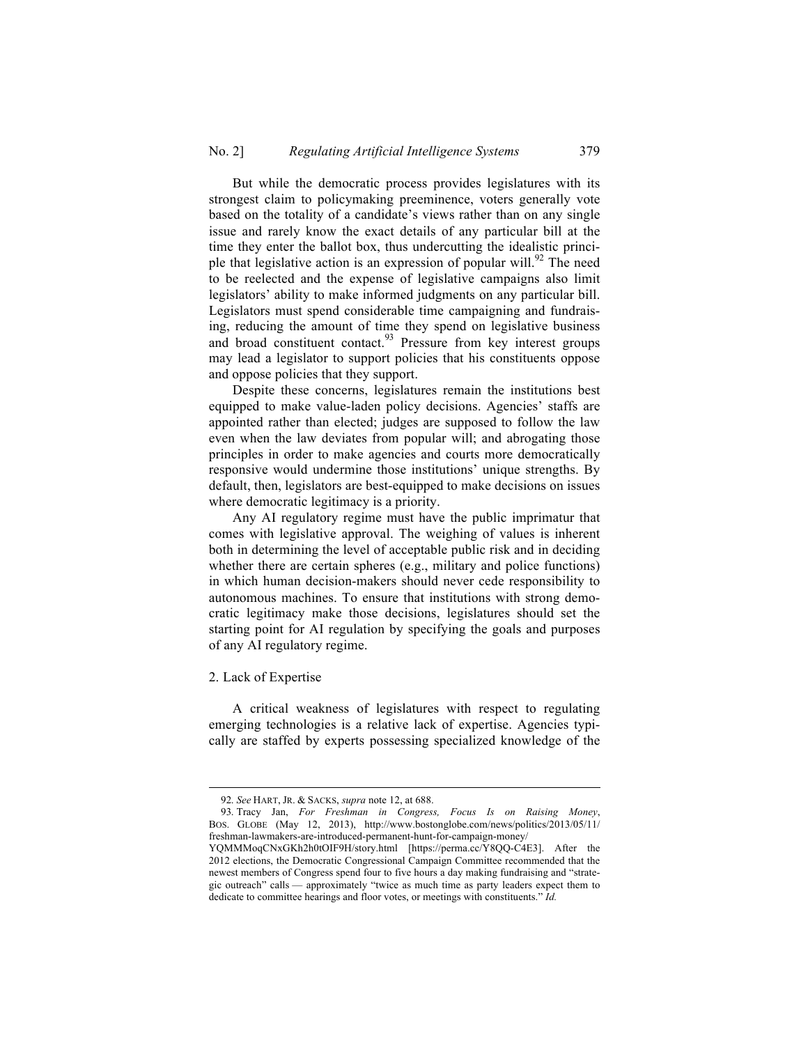But while the democratic process provides legislatures with its strongest claim to policymaking preeminence, voters generally vote based on the totality of a candidate's views rather than on any single issue and rarely know the exact details of any particular bill at the time they enter the ballot box, thus undercutting the idealistic principle that legislative action is an expression of popular will.<sup>92</sup> The need to be reelected and the expense of legislative campaigns also limit legislators' ability to make informed judgments on any particular bill. Legislators must spend considerable time campaigning and fundraising, reducing the amount of time they spend on legislative business and broad constituent contact.<sup>93</sup> Pressure from key interest groups may lead a legislator to support policies that his constituents oppose and oppose policies that they support.

Despite these concerns, legislatures remain the institutions best equipped to make value-laden policy decisions. Agencies' staffs are appointed rather than elected; judges are supposed to follow the law even when the law deviates from popular will; and abrogating those principles in order to make agencies and courts more democratically responsive would undermine those institutions' unique strengths. By default, then, legislators are best-equipped to make decisions on issues where democratic legitimacy is a priority.

Any AI regulatory regime must have the public imprimatur that comes with legislative approval. The weighing of values is inherent both in determining the level of acceptable public risk and in deciding whether there are certain spheres (e.g., military and police functions) in which human decision-makers should never cede responsibility to autonomous machines. To ensure that institutions with strong democratic legitimacy make those decisions, legislatures should set the starting point for AI regulation by specifying the goals and purposes of any AI regulatory regime.

#### 2. Lack of Expertise

A critical weakness of legislatures with respect to regulating emerging technologies is a relative lack of expertise. Agencies typically are staffed by experts possessing specialized knowledge of the

 <sup>92.</sup> *See* HART, JR. & SACKS, *supra* note 12, at 688.

<sup>93.</sup> Tracy Jan, *For Freshman in Congress, Focus Is on Raising Money*, BOS. GLOBE (May 12, 2013), http://www.bostonglobe.com/news/politics/2013/05/11/ freshman-lawmakers-are-introduced-permanent-hunt-for-campaign-money/

YQMMMoqCNxGKh2h0tOIF9H/story.html [https://perma.cc/Y8QQ-C4E3]. After the 2012 elections, the Democratic Congressional Campaign Committee recommended that the newest members of Congress spend four to five hours a day making fundraising and "strategic outreach" calls — approximately "twice as much time as party leaders expect them to dedicate to committee hearings and floor votes, or meetings with constituents." *Id.*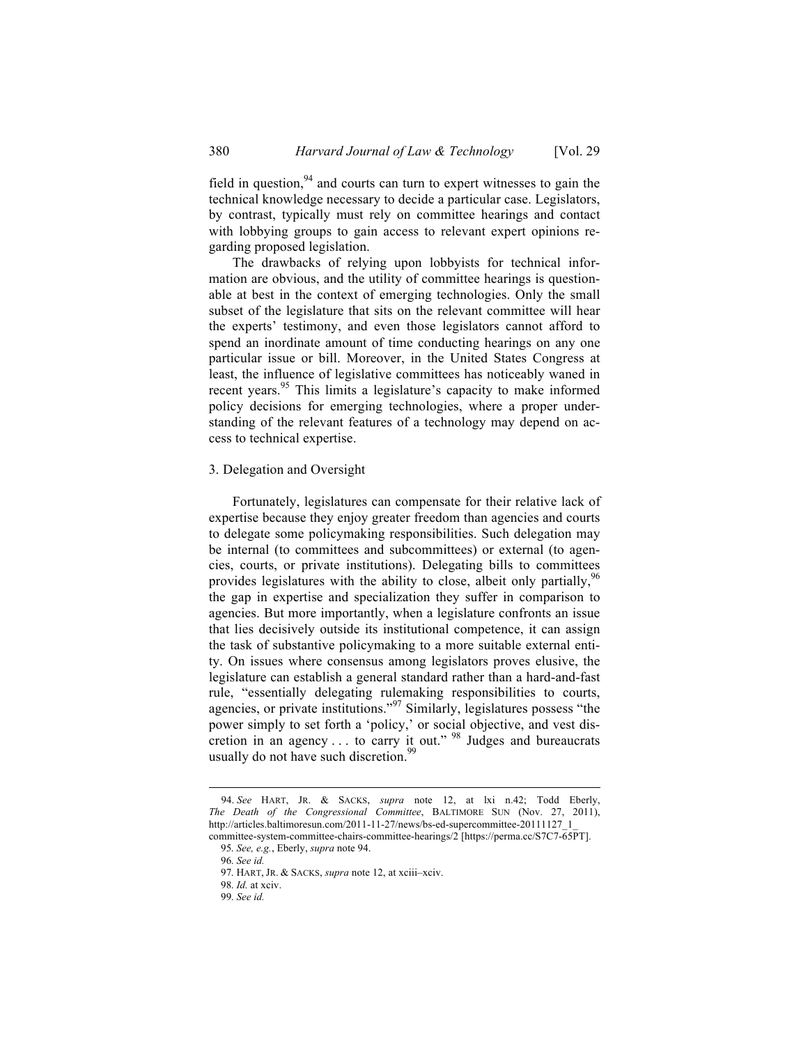field in question, $94$  and courts can turn to expert witnesses to gain the technical knowledge necessary to decide a particular case. Legislators, by contrast, typically must rely on committee hearings and contact with lobbying groups to gain access to relevant expert opinions regarding proposed legislation.

The drawbacks of relying upon lobbyists for technical information are obvious, and the utility of committee hearings is questionable at best in the context of emerging technologies. Only the small subset of the legislature that sits on the relevant committee will hear the experts' testimony, and even those legislators cannot afford to spend an inordinate amount of time conducting hearings on any one particular issue or bill. Moreover, in the United States Congress at least, the influence of legislative committees has noticeably waned in recent years.<sup>95</sup> This limits a legislature's capacity to make informed policy decisions for emerging technologies, where a proper understanding of the relevant features of a technology may depend on access to technical expertise.

#### 3. Delegation and Oversight

Fortunately, legislatures can compensate for their relative lack of expertise because they enjoy greater freedom than agencies and courts to delegate some policymaking responsibilities. Such delegation may be internal (to committees and subcommittees) or external (to agencies, courts, or private institutions). Delegating bills to committees provides legislatures with the ability to close, albeit only partially, $\frac{9}{2}$ the gap in expertise and specialization they suffer in comparison to agencies. But more importantly, when a legislature confronts an issue that lies decisively outside its institutional competence, it can assign the task of substantive policymaking to a more suitable external entity. On issues where consensus among legislators proves elusive, the legislature can establish a general standard rather than a hard-and-fast rule, "essentially delegating rulemaking responsibilities to courts, agencies, or private institutions." <sup>97</sup> Similarly, legislatures possess "the power simply to set forth a 'policy,' or social objective, and vest discretion in an agency . . . to carry it out." <sup>98</sup> Judges and bureaucrats usually do not have such discretion.<sup>99</sup>

 <sup>94.</sup> *See* HART, JR. & SACKS, *supra* note 12, at lxi n.42; Todd Eberly, *The Death of the Congressional Committee*, BALTIMORE SUN (Nov. 27, 2011), http://articles.baltimoresun.com/2011-11-27/news/bs-ed-supercommittee-20111127\_1

committee-system-committee-chairs-committee-hearings/2 [https://perma.cc/S7C7-65PT]. 95. *See, e.g.*, Eberly, *supra* note 94.

<sup>96.</sup> *See id.*

<sup>97.</sup> HART, JR. & SACKS, *supra* note 12, at xciii–xciv.

<sup>98.</sup> *Id.* at xciv.

<sup>99.</sup> *See id.*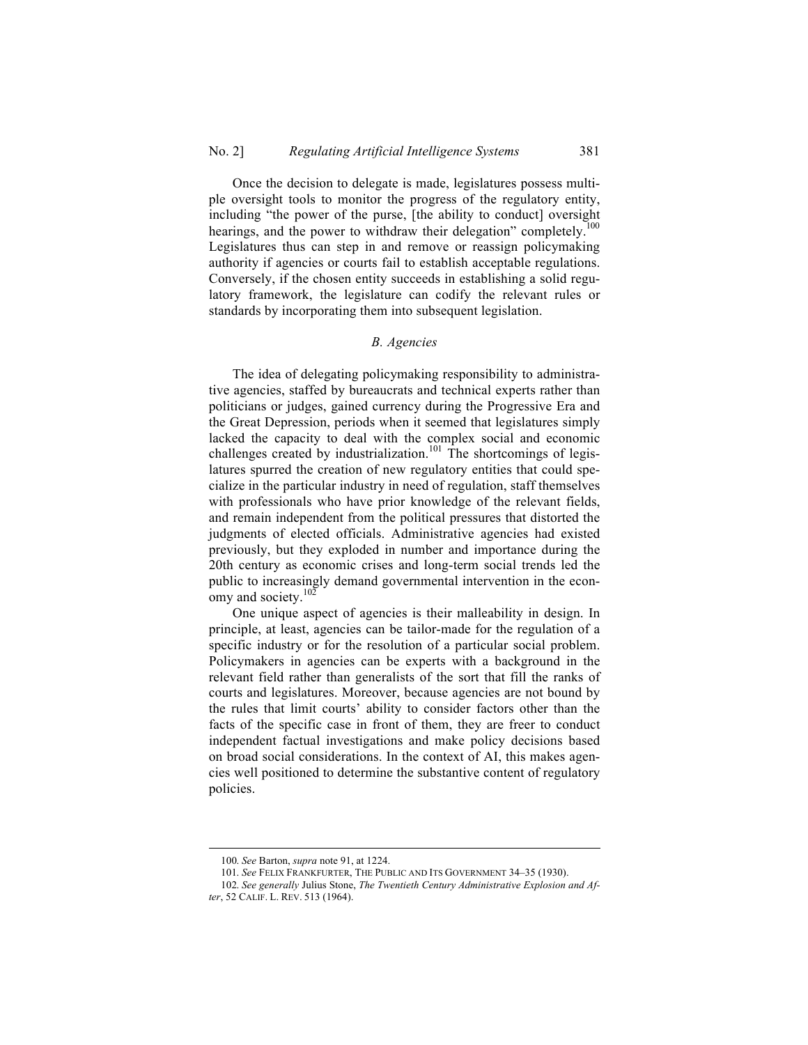Once the decision to delegate is made, legislatures possess multiple oversight tools to monitor the progress of the regulatory entity, including "the power of the purse, [the ability to conduct] oversight hearings, and the power to withdraw their delegation" completely.<sup>100</sup> Legislatures thus can step in and remove or reassign policymaking authority if agencies or courts fail to establish acceptable regulations. Conversely, if the chosen entity succeeds in establishing a solid regulatory framework, the legislature can codify the relevant rules or standards by incorporating them into subsequent legislation.

### *B. Agencies*

The idea of delegating policymaking responsibility to administrative agencies, staffed by bureaucrats and technical experts rather than politicians or judges, gained currency during the Progressive Era and the Great Depression, periods when it seemed that legislatures simply lacked the capacity to deal with the complex social and economic challenges created by industrialization.<sup>101</sup> The shortcomings of legislatures spurred the creation of new regulatory entities that could specialize in the particular industry in need of regulation, staff themselves with professionals who have prior knowledge of the relevant fields, and remain independent from the political pressures that distorted the judgments of elected officials. Administrative agencies had existed previously, but they exploded in number and importance during the 20th century as economic crises and long-term social trends led the public to increasingly demand governmental intervention in the economy and society.<sup>102</sup>

One unique aspect of agencies is their malleability in design. In principle, at least, agencies can be tailor-made for the regulation of a specific industry or for the resolution of a particular social problem. Policymakers in agencies can be experts with a background in the relevant field rather than generalists of the sort that fill the ranks of courts and legislatures. Moreover, because agencies are not bound by the rules that limit courts' ability to consider factors other than the facts of the specific case in front of them, they are freer to conduct independent factual investigations and make policy decisions based on broad social considerations. In the context of AI, this makes agencies well positioned to determine the substantive content of regulatory policies.

 <sup>100.</sup> *See* Barton, *supra* note 91, at 1224.

<sup>101.</sup> *See* FELIX FRANKFURTER, THE PUBLIC AND ITS GOVERNMENT 34–35 (1930).

<sup>102.</sup> *See generally* Julius Stone, *The Twentieth Century Administrative Explosion and After*, 52 CALIF. L. REV. 513 (1964).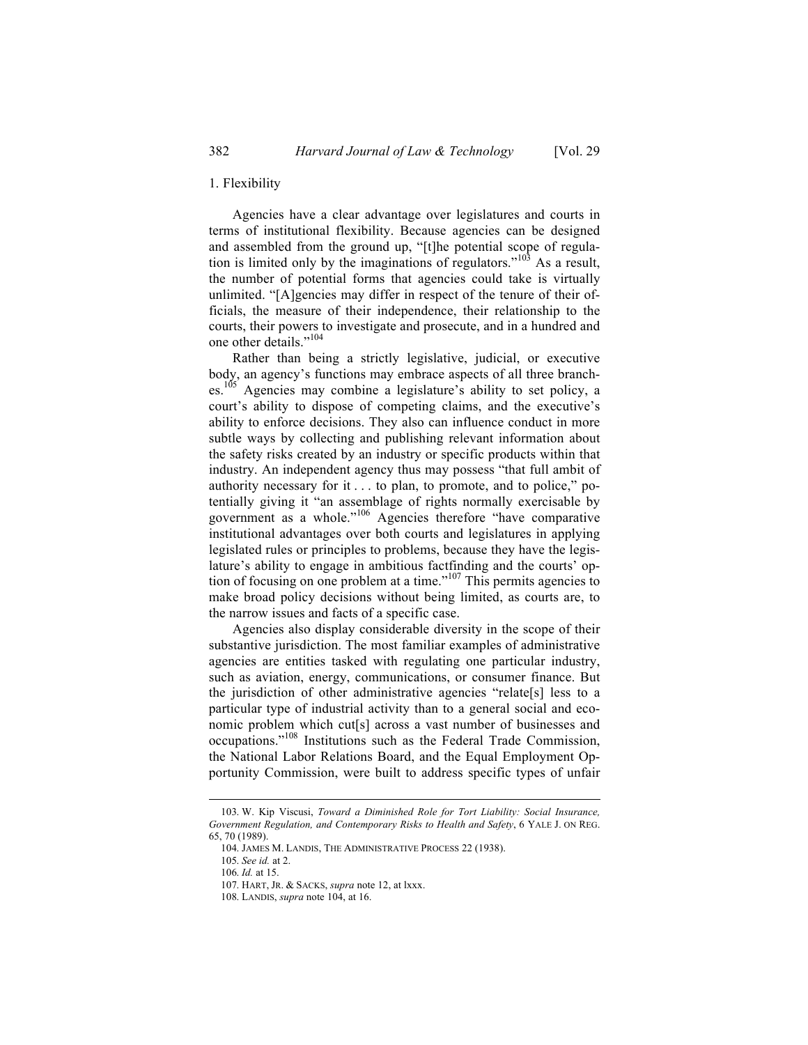#### 1. Flexibility

Agencies have a clear advantage over legislatures and courts in terms of institutional flexibility. Because agencies can be designed and assembled from the ground up, "[t]he potential scope of regulation is limited only by the imaginations of regulators." $103$  As a result, the number of potential forms that agencies could take is virtually unlimited. "[A]gencies may differ in respect of the tenure of their officials, the measure of their independence, their relationship to the courts, their powers to investigate and prosecute, and in a hundred and one other details."<sup>104</sup>

Rather than being a strictly legislative, judicial, or executive body, an agency's functions may embrace aspects of all three branch $es.<sup>10</sup>$ Agencies may combine a legislature's ability to set policy, a court's ability to dispose of competing claims, and the executive's ability to enforce decisions. They also can influence conduct in more subtle ways by collecting and publishing relevant information about the safety risks created by an industry or specific products within that industry. An independent agency thus may possess "that full ambit of authority necessary for it . . . to plan, to promote, and to police," potentially giving it "an assemblage of rights normally exercisable by government as a whole." <sup>106</sup> Agencies therefore "have comparative institutional advantages over both courts and legislatures in applying legislated rules or principles to problems, because they have the legislature's ability to engage in ambitious factfinding and the courts' option of focusing on one problem at a time." <sup>107</sup> This permits agencies to make broad policy decisions without being limited, as courts are, to the narrow issues and facts of a specific case.

Agencies also display considerable diversity in the scope of their substantive jurisdiction. The most familiar examples of administrative agencies are entities tasked with regulating one particular industry, such as aviation, energy, communications, or consumer finance. But the jurisdiction of other administrative agencies "relate[s] less to a particular type of industrial activity than to a general social and economic problem which cut[s] across a vast number of businesses and occupations." <sup>108</sup> Institutions such as the Federal Trade Commission, the National Labor Relations Board, and the Equal Employment Opportunity Commission, were built to address specific types of unfair

 <sup>103.</sup> W. Kip Viscusi, *Toward a Diminished Role for Tort Liability: Social Insurance, Government Regulation, and Contemporary Risks to Health and Safety*, 6 YALE J. ON REG. 65, 70 (1989).

<sup>104.</sup> JAMES M. LANDIS, THE ADMINISTRATIVE PROCESS 22 (1938).

<sup>105.</sup> *See id.* at 2.

<sup>106.</sup> *Id.* at 15.

<sup>107.</sup> HART, JR. & SACKS, *supra* note 12, at lxxx.

<sup>108.</sup> LANDIS, *supra* note 104, at 16.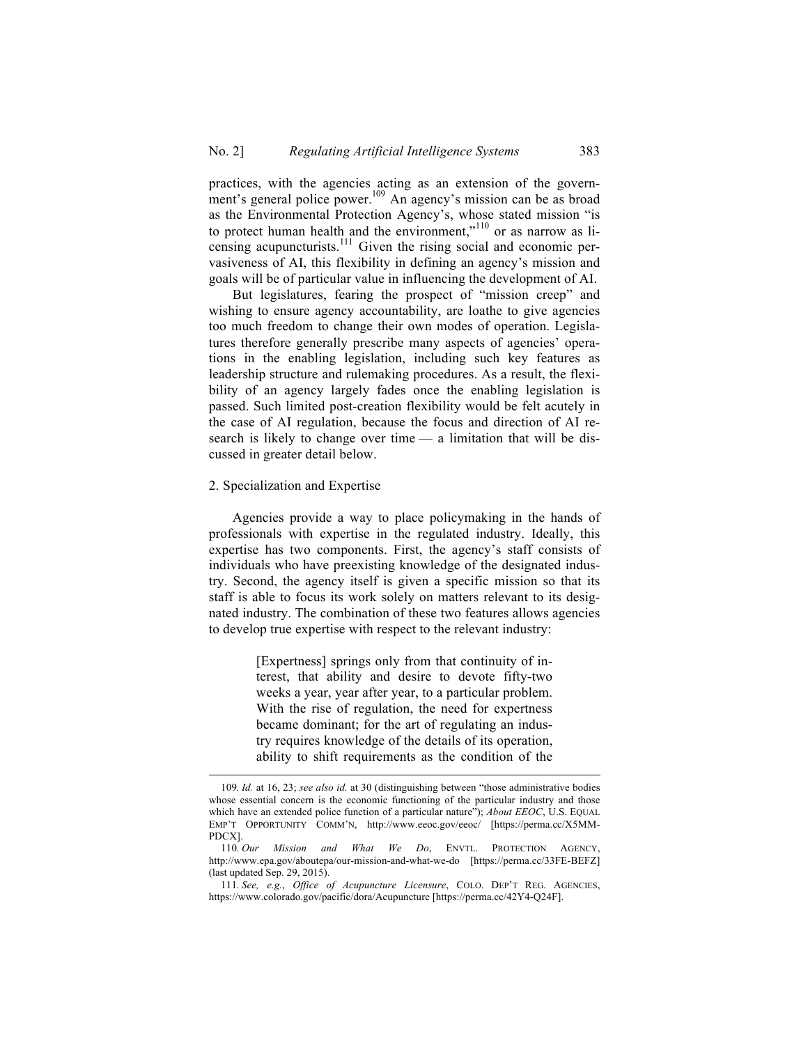practices, with the agencies acting as an extension of the government's general police power.<sup>109</sup> An agency's mission can be as broad as the Environmental Protection Agency's, whose stated mission "is to protect human health and the environment,"<sup>110</sup> or as narrow as licensing acupuncturists.<sup>111</sup> Given the rising social and economic pervasiveness of AI, this flexibility in defining an agency's mission and goals will be of particular value in influencing the development of AI.

But legislatures, fearing the prospect of "mission creep" and wishing to ensure agency accountability, are loathe to give agencies too much freedom to change their own modes of operation. Legislatures therefore generally prescribe many aspects of agencies' operations in the enabling legislation, including such key features as leadership structure and rulemaking procedures. As a result, the flexibility of an agency largely fades once the enabling legislation is passed. Such limited post-creation flexibility would be felt acutely in the case of AI regulation, because the focus and direction of AI research is likely to change over time — a limitation that will be discussed in greater detail below.

#### 2. Specialization and Expertise

Agencies provide a way to place policymaking in the hands of professionals with expertise in the regulated industry. Ideally, this expertise has two components. First, the agency's staff consists of individuals who have preexisting knowledge of the designated industry. Second, the agency itself is given a specific mission so that its staff is able to focus its work solely on matters relevant to its designated industry. The combination of these two features allows agencies to develop true expertise with respect to the relevant industry:

> [Expertness] springs only from that continuity of interest, that ability and desire to devote fifty-two weeks a year, year after year, to a particular problem. With the rise of regulation, the need for expertness became dominant; for the art of regulating an industry requires knowledge of the details of its operation, ability to shift requirements as the condition of the

 <sup>109.</sup> *Id.* at 16, 23; *see also id.* at 30 (distinguishing between "those administrative bodies whose essential concern is the economic functioning of the particular industry and those which have an extended police function of a particular nature"); *About EEOC*, U.S. EQUAL EMP'T OPPORTUNITY COMM'N, http://www.eeoc.gov/eeoc/ [https://perma.cc/X5MM-PDCX].

<sup>110.</sup> *Our Mission and What We Do*, ENVTL. PROTECTION AGENCY, http://www.epa.gov/aboutepa/our-mission-and-what-we-do [https://perma.cc/33FE-BEFZ] (last updated Sep. 29, 2015).

<sup>111.</sup> *See, e.g.*, *Office of Acupuncture Licensure*, COLO. DEP'T REG. AGENCIES, https://www.colorado.gov/pacific/dora/Acupuncture [https://perma.cc/42Y4-Q24F].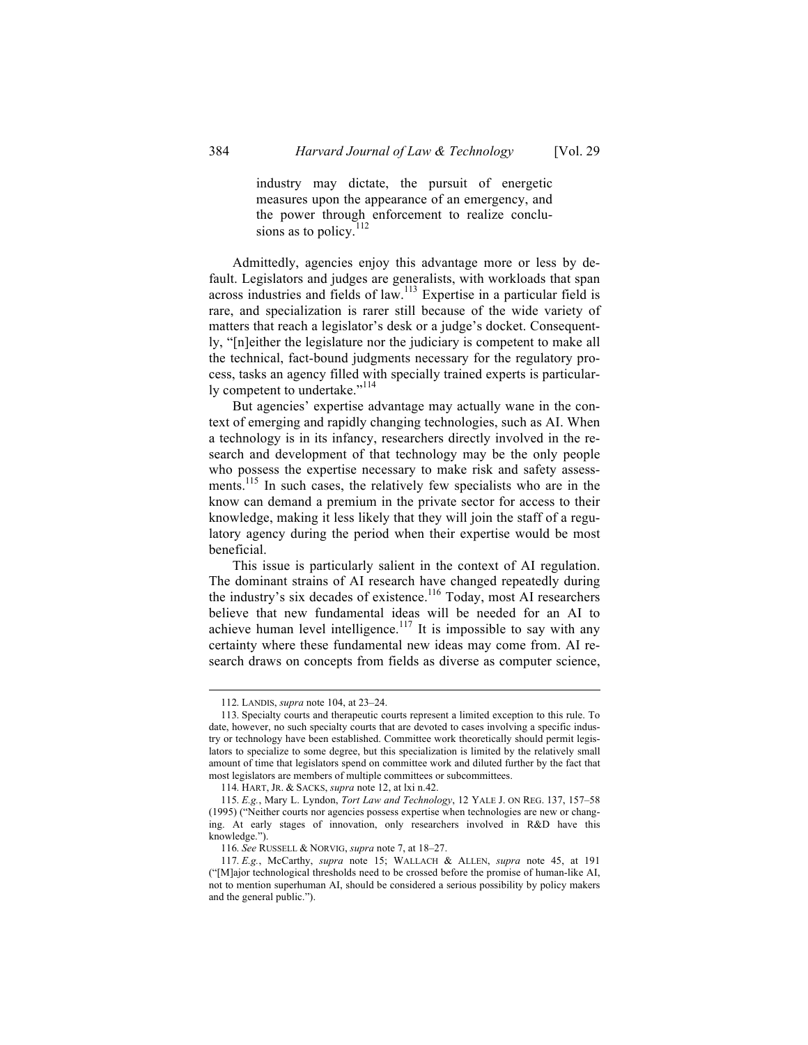industry may dictate, the pursuit of energetic measures upon the appearance of an emergency, and the power through enforcement to realize conclusions as to policy. $\frac{5}{112}$ 

Admittedly, agencies enjoy this advantage more or less by default. Legislators and judges are generalists, with workloads that span across industries and fields of law.<sup>113</sup> Expertise in a particular field is rare, and specialization is rarer still because of the wide variety of matters that reach a legislator's desk or a judge's docket. Consequently, "[n]either the legislature nor the judiciary is competent to make all the technical, fact-bound judgments necessary for the regulatory process, tasks an agency filled with specially trained experts is particularly competent to undertake."<sup>114</sup>

But agencies' expertise advantage may actually wane in the context of emerging and rapidly changing technologies, such as AI. When a technology is in its infancy, researchers directly involved in the research and development of that technology may be the only people who possess the expertise necessary to make risk and safety assessments.<sup>115</sup> In such cases, the relatively few specialists who are in the know can demand a premium in the private sector for access to their knowledge, making it less likely that they will join the staff of a regulatory agency during the period when their expertise would be most beneficial.

This issue is particularly salient in the context of AI regulation. The dominant strains of AI research have changed repeatedly during the industry's six decades of existence.<sup>116</sup> Today, most AI researchers believe that new fundamental ideas will be needed for an AI to achieve human level intelligence.<sup>117</sup> It is impossible to say with any certainty where these fundamental new ideas may come from. AI research draws on concepts from fields as diverse as computer science,

 <sup>112.</sup> LANDIS, *supra* note 104, at 23–24.

<sup>113.</sup> Specialty courts and therapeutic courts represent a limited exception to this rule. To date, however, no such specialty courts that are devoted to cases involving a specific industry or technology have been established. Committee work theoretically should permit legislators to specialize to some degree, but this specialization is limited by the relatively small amount of time that legislators spend on committee work and diluted further by the fact that most legislators are members of multiple committees or subcommittees.

<sup>114.</sup> HART, JR. & SACKS, *supra* note 12, at lxi n.42.

<sup>115.</sup> *E.g.*, Mary L. Lyndon, *Tort Law and Technology*, 12 YALE J. ON REG. 137, 157–58 (1995) ("Neither courts nor agencies possess expertise when technologies are new or changing. At early stages of innovation, only researchers involved in R&D have this knowledge.").

<sup>116.</sup> *See* RUSSELL & NORVIG, *supra* note 7, at 18–27.

<sup>117.</sup> *E.g.*, McCarthy, *supra* note 15; WALLACH & ALLEN, *supra* note 45, at 191 ("[M]ajor technological thresholds need to be crossed before the promise of human-like AI, not to mention superhuman AI, should be considered a serious possibility by policy makers and the general public.").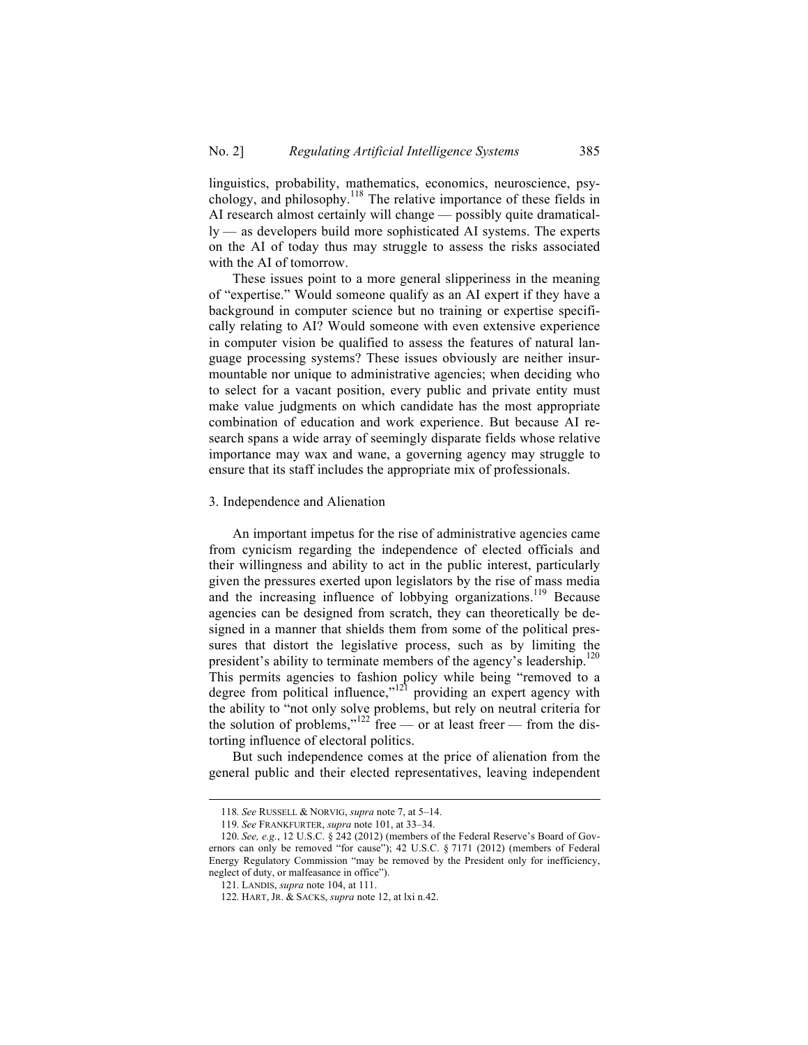linguistics, probability, mathematics, economics, neuroscience, psychology, and philosophy.<sup>118</sup> The relative importance of these fields in AI research almost certainly will change — possibly quite dramatically — as developers build more sophisticated AI systems. The experts on the AI of today thus may struggle to assess the risks associated with the AI of tomorrow.

These issues point to a more general slipperiness in the meaning of "expertise." Would someone qualify as an AI expert if they have a background in computer science but no training or expertise specifically relating to AI? Would someone with even extensive experience in computer vision be qualified to assess the features of natural language processing systems? These issues obviously are neither insurmountable nor unique to administrative agencies; when deciding who to select for a vacant position, every public and private entity must make value judgments on which candidate has the most appropriate combination of education and work experience. But because AI research spans a wide array of seemingly disparate fields whose relative importance may wax and wane, a governing agency may struggle to ensure that its staff includes the appropriate mix of professionals.

#### 3. Independence and Alienation

An important impetus for the rise of administrative agencies came from cynicism regarding the independence of elected officials and their willingness and ability to act in the public interest, particularly given the pressures exerted upon legislators by the rise of mass media and the increasing influence of lobbying organizations.<sup>119</sup> Because agencies can be designed from scratch, they can theoretically be designed in a manner that shields them from some of the political pressures that distort the legislative process, such as by limiting the president's ability to terminate members of the agency's leadership.<sup>120</sup> This permits agencies to fashion policy while being "removed to a degree from political influence,"<sup>121</sup> providing an expert agency with the ability to "not only solve problems, but rely on neutral criteria for the solution of problems," $122$  free — or at least freer — from the distorting influence of electoral politics.

But such independence comes at the price of alienation from the general public and their elected representatives, leaving independent

 <sup>118.</sup> *See* RUSSELL & NORVIG, *supra* note 7, at 5–14.

<sup>119.</sup> *See* FRANKFURTER, *supra* note 101, at 33–34.

<sup>120.</sup> *See, e.g.*, 12 U.S.C. § 242 (2012) (members of the Federal Reserve's Board of Governors can only be removed "for cause"); 42 U.S.C. § 7171 (2012) (members of Federal Energy Regulatory Commission "may be removed by the President only for inefficiency, neglect of duty, or malfeasance in office").

<sup>121.</sup> LANDIS, *supra* note 104, at 111.

<sup>122.</sup> HART, JR. & SACKS, *supra* note 12, at lxi n.42.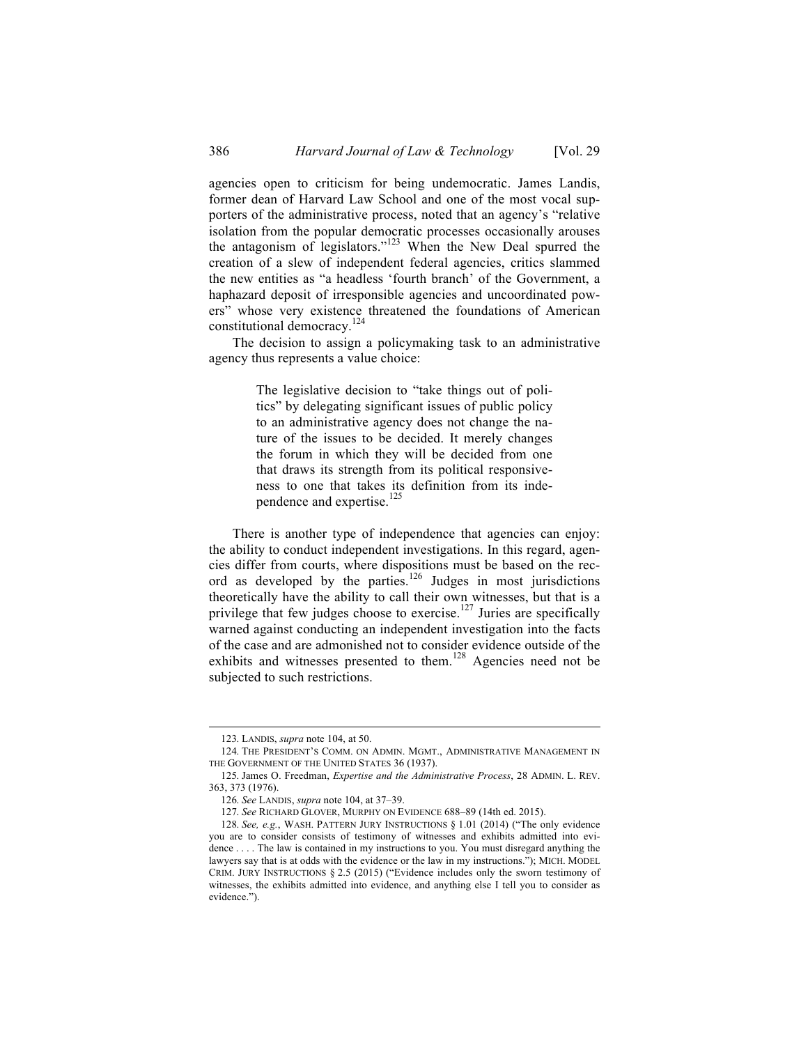agencies open to criticism for being undemocratic. James Landis, former dean of Harvard Law School and one of the most vocal supporters of the administrative process, noted that an agency's "relative isolation from the popular democratic processes occasionally arouses the antagonism of legislators."<sup>123</sup> When the New Deal spurred the creation of a slew of independent federal agencies, critics slammed the new entities as "a headless 'fourth branch' of the Government, a haphazard deposit of irresponsible agencies and uncoordinated powers" whose very existence threatened the foundations of American constitutional democracy.<sup>124</sup>

The decision to assign a policymaking task to an administrative agency thus represents a value choice:

> The legislative decision to "take things out of politics" by delegating significant issues of public policy to an administrative agency does not change the nature of the issues to be decided. It merely changes the forum in which they will be decided from one that draws its strength from its political responsiveness to one that takes its definition from its independence and expertise. 125

There is another type of independence that agencies can enjoy: the ability to conduct independent investigations. In this regard, agencies differ from courts, where dispositions must be based on the record as developed by the parties.<sup>126</sup> Judges in most jurisdictions theoretically have the ability to call their own witnesses, but that is a privilege that few judges choose to exercise.<sup>127</sup> Juries are specifically warned against conducting an independent investigation into the facts of the case and are admonished not to consider evidence outside of the exhibits and witnesses presented to them.<sup>128</sup> Agencies need not be subjected to such restrictions.

 <sup>123.</sup> LANDIS, *supra* note 104, at 50.

<sup>124.</sup> THE PRESIDENT'S COMM. ON ADMIN. MGMT., ADMINISTRATIVE MANAGEMENT IN THE GOVERNMENT OF THE UNITED STATES 36 (1937).

<sup>125.</sup> James O. Freedman, *Expertise and the Administrative Process*, 28 ADMIN. L. REV. 363, 373 (1976).

<sup>126.</sup> *See* LANDIS, *supra* note 104, at 37–39.

<sup>127.</sup> *See* RICHARD GLOVER, MURPHY ON EVIDENCE 688–89 (14th ed. 2015).

<sup>128.</sup> *See, e.g.*, WASH. PATTERN JURY INSTRUCTIONS § 1.01 (2014) ("The only evidence you are to consider consists of testimony of witnesses and exhibits admitted into evidence . . . . The law is contained in my instructions to you. You must disregard anything the lawyers say that is at odds with the evidence or the law in my instructions."); MICH. MODEL CRIM. JURY INSTRUCTIONS § 2.5 (2015) ("Evidence includes only the sworn testimony of witnesses, the exhibits admitted into evidence, and anything else I tell you to consider as evidence.").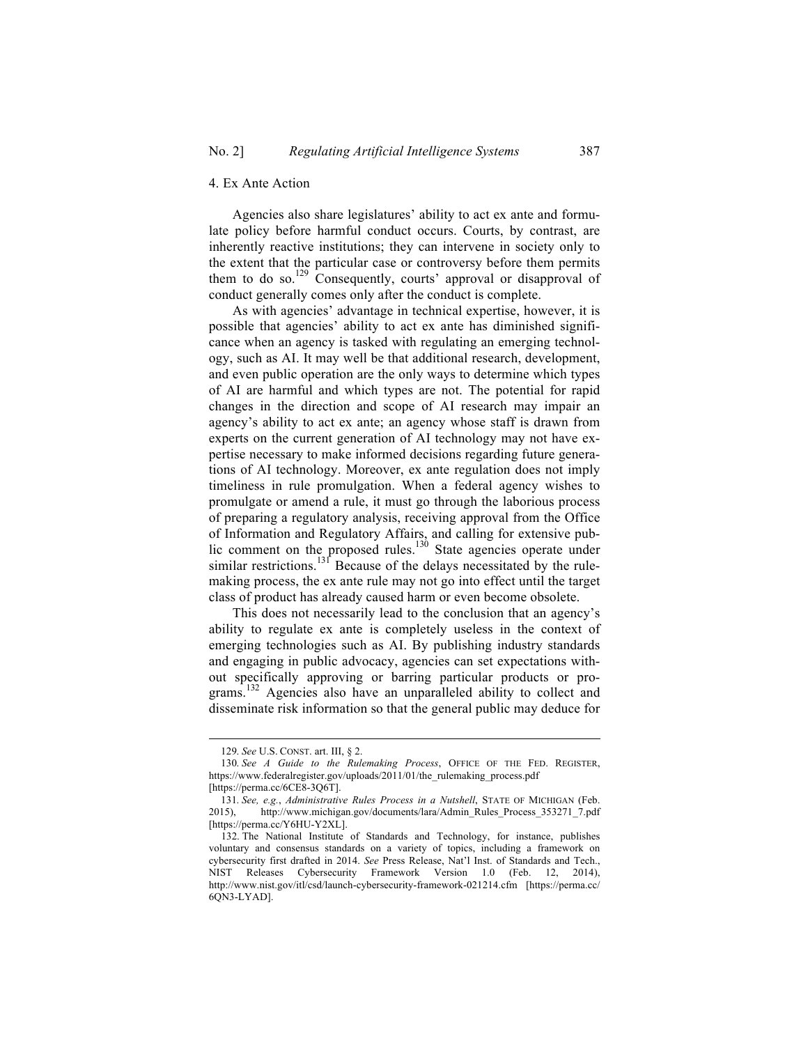### 4. Ex Ante Action

Agencies also share legislatures' ability to act ex ante and formulate policy before harmful conduct occurs. Courts, by contrast, are inherently reactive institutions; they can intervene in society only to the extent that the particular case or controversy before them permits them to do so.<sup>129</sup> Consequently, courts' approval or disapproval of conduct generally comes only after the conduct is complete.

As with agencies' advantage in technical expertise, however, it is possible that agencies' ability to act ex ante has diminished significance when an agency is tasked with regulating an emerging technology, such as AI. It may well be that additional research, development, and even public operation are the only ways to determine which types of AI are harmful and which types are not. The potential for rapid changes in the direction and scope of AI research may impair an agency's ability to act ex ante; an agency whose staff is drawn from experts on the current generation of AI technology may not have expertise necessary to make informed decisions regarding future generations of AI technology. Moreover, ex ante regulation does not imply timeliness in rule promulgation. When a federal agency wishes to promulgate or amend a rule, it must go through the laborious process of preparing a regulatory analysis, receiving approval from the Office of Information and Regulatory Affairs, and calling for extensive public comment on the proposed rules.<sup>130</sup> State agencies operate under similar restrictions.<sup>131</sup> Because of the delays necessitated by the rulemaking process, the ex ante rule may not go into effect until the target class of product has already caused harm or even become obsolete.

This does not necessarily lead to the conclusion that an agency's ability to regulate ex ante is completely useless in the context of emerging technologies such as AI. By publishing industry standards and engaging in public advocacy, agencies can set expectations without specifically approving or barring particular products or programs.<sup>132</sup> Agencies also have an unparalleled ability to collect and disseminate risk information so that the general public may deduce for

 <sup>129.</sup> *See* U.S. CONST. art. III, § 2.

<sup>130.</sup> *See A Guide to the Rulemaking Process*, OFFICE OF THE FED. REGISTER, https://www.federalregister.gov/uploads/2011/01/the\_rulemaking\_process.pdf

<sup>[</sup>https://perma.cc/6CE8-3Q6T].

<sup>131.</sup> *See, e.g.*, *Administrative Rules Process in a Nutshell*, STATE OF MICHIGAN (Feb. 2015), http://www.michigan.gov/documents/lara/Admin\_Rules\_Process\_353271\_7.pdf [https://perma.cc/Y6HU-Y2XL].

<sup>132.</sup> The National Institute of Standards and Technology, for instance, publishes voluntary and consensus standards on a variety of topics, including a framework on cybersecurity first drafted in 2014. *See* Press Release, Nat'l Inst. of Standards and Tech., NIST Releases Cybersecurity Framework Version 1.0 (Feb. 12, 2014), http://www.nist.gov/itl/csd/launch-cybersecurity-framework-021214.cfm [https://perma.cc/ 6QN3-LYAD].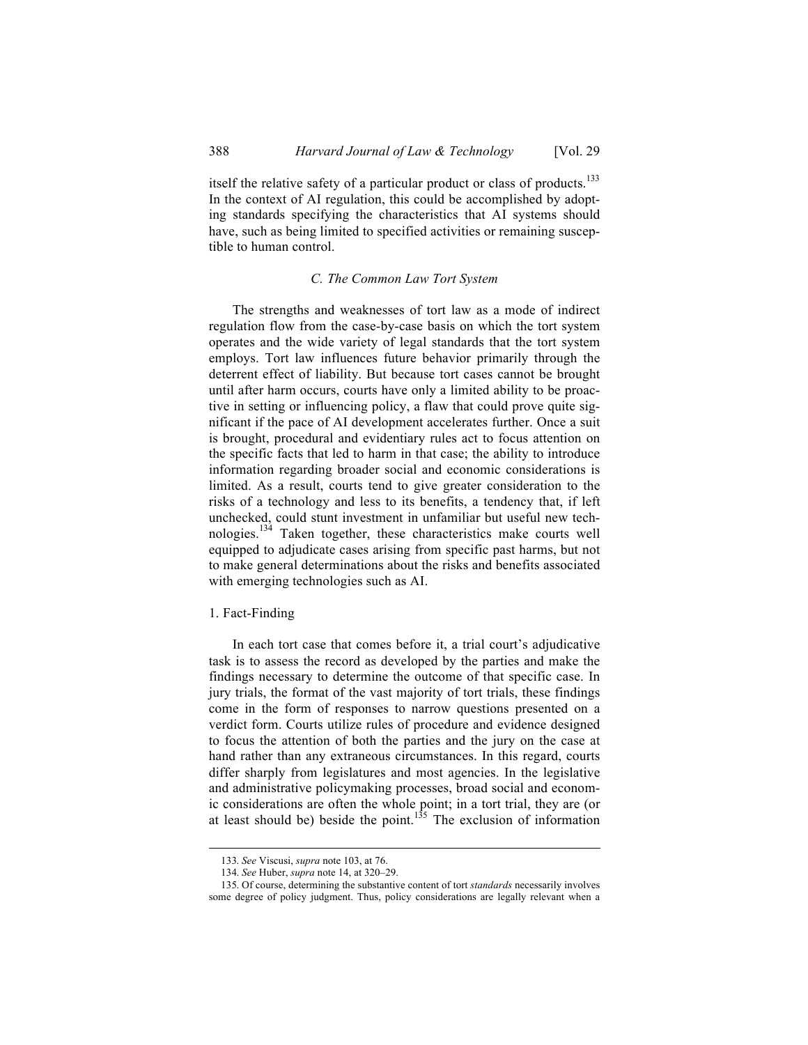itself the relative safety of a particular product or class of products.<sup>133</sup> In the context of AI regulation, this could be accomplished by adopting standards specifying the characteristics that AI systems should have, such as being limited to specified activities or remaining susceptible to human control.

### *C. The Common Law Tort System*

The strengths and weaknesses of tort law as a mode of indirect regulation flow from the case-by-case basis on which the tort system operates and the wide variety of legal standards that the tort system employs. Tort law influences future behavior primarily through the deterrent effect of liability. But because tort cases cannot be brought until after harm occurs, courts have only a limited ability to be proactive in setting or influencing policy, a flaw that could prove quite significant if the pace of AI development accelerates further. Once a suit is brought, procedural and evidentiary rules act to focus attention on the specific facts that led to harm in that case; the ability to introduce information regarding broader social and economic considerations is limited. As a result, courts tend to give greater consideration to the risks of a technology and less to its benefits, a tendency that, if left unchecked, could stunt investment in unfamiliar but useful new technologies.<sup>134</sup> Taken together, these characteristics make courts well equipped to adjudicate cases arising from specific past harms, but not to make general determinations about the risks and benefits associated with emerging technologies such as AI.

#### 1. Fact-Finding

In each tort case that comes before it, a trial court's adjudicative task is to assess the record as developed by the parties and make the findings necessary to determine the outcome of that specific case. In jury trials, the format of the vast majority of tort trials, these findings come in the form of responses to narrow questions presented on a verdict form. Courts utilize rules of procedure and evidence designed to focus the attention of both the parties and the jury on the case at hand rather than any extraneous circumstances. In this regard, courts differ sharply from legislatures and most agencies. In the legislative and administrative policymaking processes, broad social and economic considerations are often the whole point; in a tort trial, they are (or at least should be) beside the point.<sup>135</sup> The exclusion of information

 <sup>133.</sup> *See* Viscusi, *supra* note 103, at 76.

<sup>134.</sup> *See* Huber, *supra* note 14, at 320–29.

<sup>135.</sup> Of course, determining the substantive content of tort *standards* necessarily involves some degree of policy judgment. Thus, policy considerations are legally relevant when a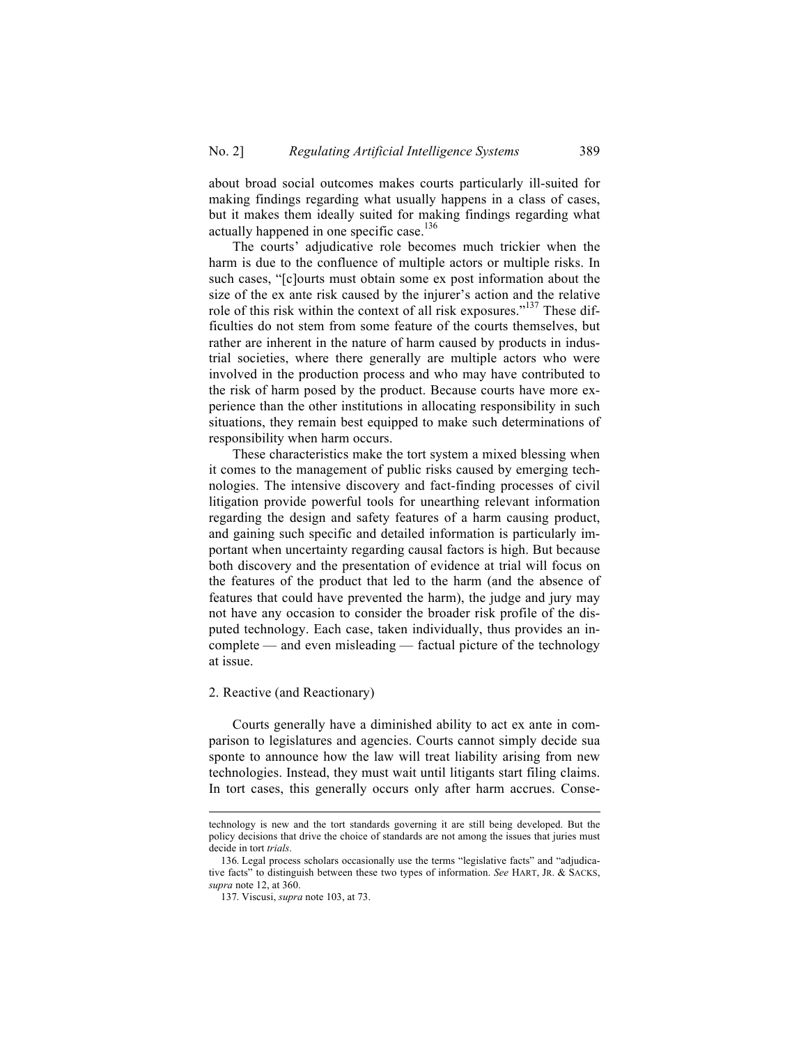about broad social outcomes makes courts particularly ill-suited for making findings regarding what usually happens in a class of cases, but it makes them ideally suited for making findings regarding what actually happened in one specific case.<sup>136</sup>

The courts' adjudicative role becomes much trickier when the harm is due to the confluence of multiple actors or multiple risks. In such cases, "[c]ourts must obtain some ex post information about the size of the ex ante risk caused by the injurer's action and the relative role of this risk within the context of all risk exposures."<sup>137</sup> These difficulties do not stem from some feature of the courts themselves, but rather are inherent in the nature of harm caused by products in industrial societies, where there generally are multiple actors who were involved in the production process and who may have contributed to the risk of harm posed by the product. Because courts have more experience than the other institutions in allocating responsibility in such situations, they remain best equipped to make such determinations of responsibility when harm occurs.

These characteristics make the tort system a mixed blessing when it comes to the management of public risks caused by emerging technologies. The intensive discovery and fact-finding processes of civil litigation provide powerful tools for unearthing relevant information regarding the design and safety features of a harm causing product, and gaining such specific and detailed information is particularly important when uncertainty regarding causal factors is high. But because both discovery and the presentation of evidence at trial will focus on the features of the product that led to the harm (and the absence of features that could have prevented the harm), the judge and jury may not have any occasion to consider the broader risk profile of the disputed technology. Each case, taken individually, thus provides an incomplete — and even misleading — factual picture of the technology at issue.

#### 2. Reactive (and Reactionary)

Courts generally have a diminished ability to act ex ante in comparison to legislatures and agencies. Courts cannot simply decide sua sponte to announce how the law will treat liability arising from new technologies. Instead, they must wait until litigants start filing claims. In tort cases, this generally occurs only after harm accrues. Conse-

technology is new and the tort standards governing it are still being developed. But the policy decisions that drive the choice of standards are not among the issues that juries must decide in tort *trials*.

<sup>136.</sup> Legal process scholars occasionally use the terms "legislative facts" and "adjudicative facts" to distinguish between these two types of information. *See* HART, JR. & SACKS, *supra* note 12, at 360.

<sup>137.</sup> Viscusi, *supra* note 103, at 73.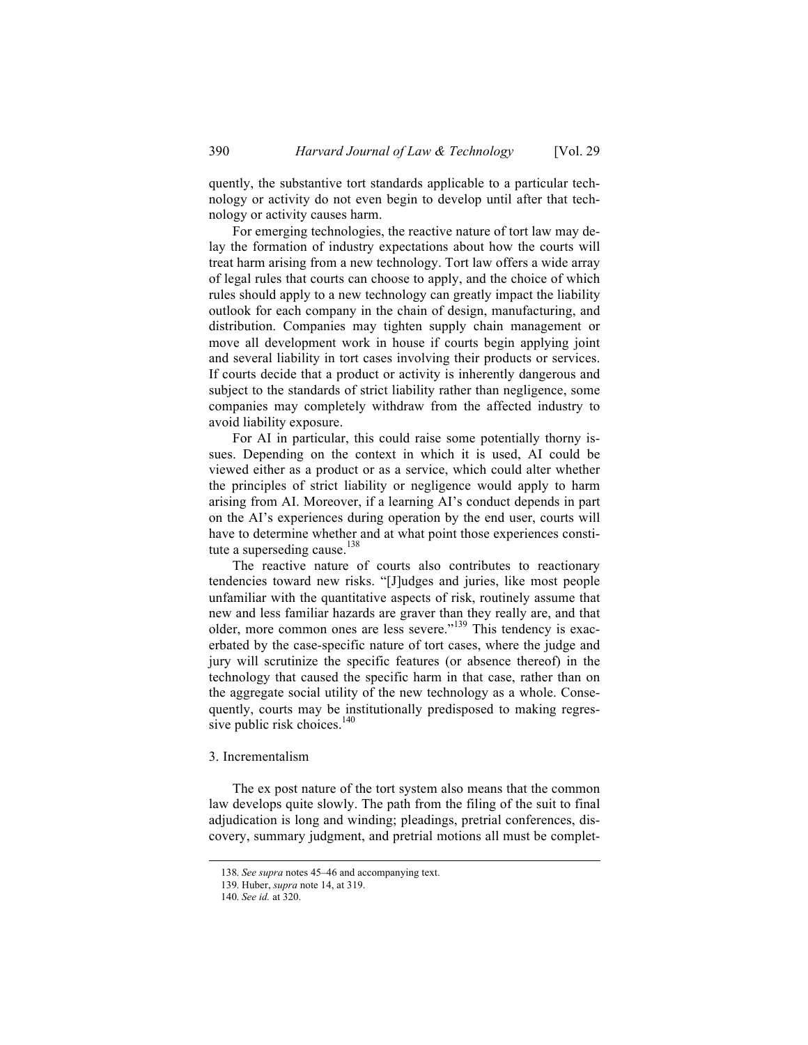quently, the substantive tort standards applicable to a particular technology or activity do not even begin to develop until after that technology or activity causes harm.

For emerging technologies, the reactive nature of tort law may delay the formation of industry expectations about how the courts will treat harm arising from a new technology. Tort law offers a wide array of legal rules that courts can choose to apply, and the choice of which rules should apply to a new technology can greatly impact the liability outlook for each company in the chain of design, manufacturing, and distribution. Companies may tighten supply chain management or move all development work in house if courts begin applying joint and several liability in tort cases involving their products or services. If courts decide that a product or activity is inherently dangerous and subject to the standards of strict liability rather than negligence, some companies may completely withdraw from the affected industry to avoid liability exposure.

For AI in particular, this could raise some potentially thorny issues. Depending on the context in which it is used, AI could be viewed either as a product or as a service, which could alter whether the principles of strict liability or negligence would apply to harm arising from AI. Moreover, if a learning AI's conduct depends in part on the AI's experiences during operation by the end user, courts will have to determine whether and at what point those experiences constitute a superseding cause.<sup>138</sup>

The reactive nature of courts also contributes to reactionary tendencies toward new risks. "[J]udges and juries, like most people unfamiliar with the quantitative aspects of risk, routinely assume that new and less familiar hazards are graver than they really are, and that older, more common ones are less severe."<sup>139</sup> This tendency is exacerbated by the case-specific nature of tort cases, where the judge and jury will scrutinize the specific features (or absence thereof) in the technology that caused the specific harm in that case, rather than on the aggregate social utility of the new technology as a whole. Consequently, courts may be institutionally predisposed to making regressive public risk choices.<sup>140</sup>

#### 3. Incrementalism

The ex post nature of the tort system also means that the common law develops quite slowly. The path from the filing of the suit to final adjudication is long and winding; pleadings, pretrial conferences, discovery, summary judgment, and pretrial motions all must be complet-

 <sup>138.</sup> *See supra* notes 45–46 and accompanying text.

<sup>139.</sup> Huber, *supra* note 14, at 319.

<sup>140.</sup> *See id.* at 320.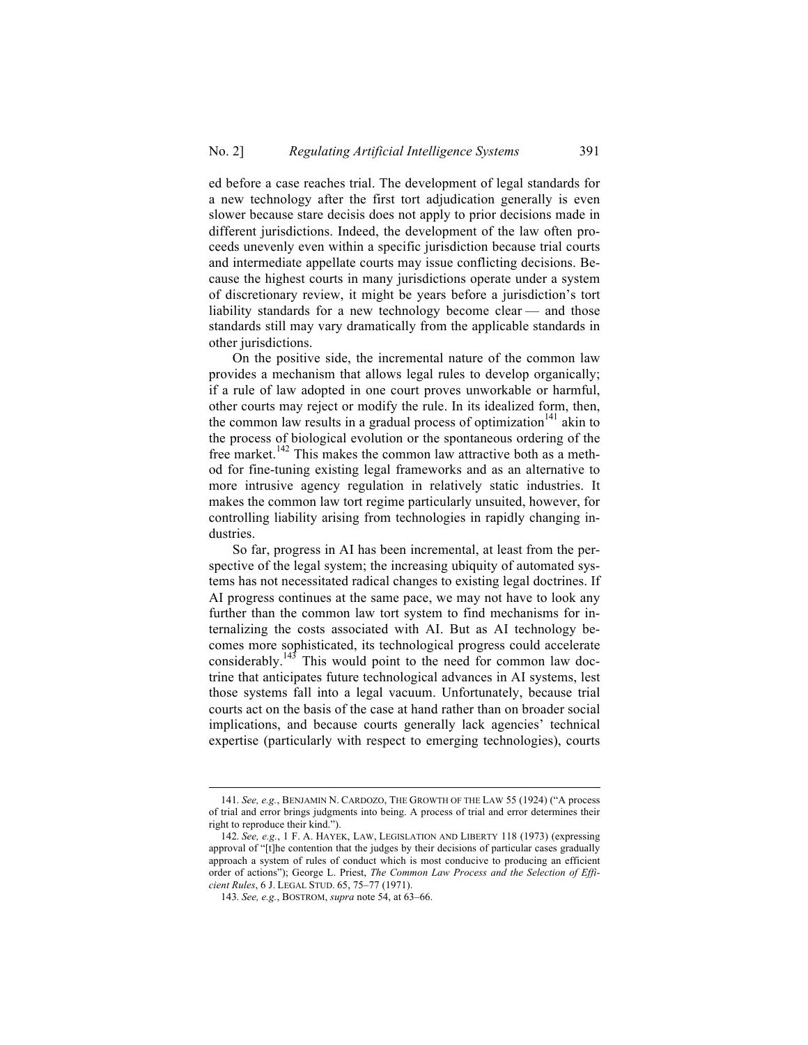ed before a case reaches trial. The development of legal standards for a new technology after the first tort adjudication generally is even slower because stare decisis does not apply to prior decisions made in different jurisdictions. Indeed, the development of the law often proceeds unevenly even within a specific jurisdiction because trial courts and intermediate appellate courts may issue conflicting decisions. Because the highest courts in many jurisdictions operate under a system of discretionary review, it might be years before a jurisdiction's tort liability standards for a new technology become clear — and those standards still may vary dramatically from the applicable standards in other jurisdictions.

On the positive side, the incremental nature of the common law provides a mechanism that allows legal rules to develop organically; if a rule of law adopted in one court proves unworkable or harmful, other courts may reject or modify the rule. In its idealized form, then, the common law results in a gradual process of optimization  $141$  akin to the process of biological evolution or the spontaneous ordering of the free market.<sup>142</sup> This makes the common law attractive both as a method for fine-tuning existing legal frameworks and as an alternative to more intrusive agency regulation in relatively static industries. It makes the common law tort regime particularly unsuited, however, for controlling liability arising from technologies in rapidly changing industries.

So far, progress in AI has been incremental, at least from the perspective of the legal system; the increasing ubiquity of automated systems has not necessitated radical changes to existing legal doctrines. If AI progress continues at the same pace, we may not have to look any further than the common law tort system to find mechanisms for internalizing the costs associated with AI. But as AI technology becomes more sophisticated, its technological progress could accelerate considerably.<sup>143</sup> This would point to the need for common law doctrine that anticipates future technological advances in AI systems, lest those systems fall into a legal vacuum. Unfortunately, because trial courts act on the basis of the case at hand rather than on broader social implications, and because courts generally lack agencies' technical expertise (particularly with respect to emerging technologies), courts

 <sup>141.</sup> *See, e.g.*, BENJAMIN N. CARDOZO, THE GROWTH OF THE LAW 55 (1924) ("A process of trial and error brings judgments into being. A process of trial and error determines their right to reproduce their kind.").

<sup>142.</sup> *See, e.g.*, 1 F. A. HAYEK, LAW, LEGISLATION AND LIBERTY 118 (1973) (expressing approval of "[t]he contention that the judges by their decisions of particular cases gradually approach a system of rules of conduct which is most conducive to producing an efficient order of actions"); George L. Priest, *The Common Law Process and the Selection of Efficient Rules*, 6 J. LEGAL STUD. 65, 75–77 (1971).

<sup>143.</sup> *See, e.g.*, BOSTROM, *supra* note 54, at 63–66.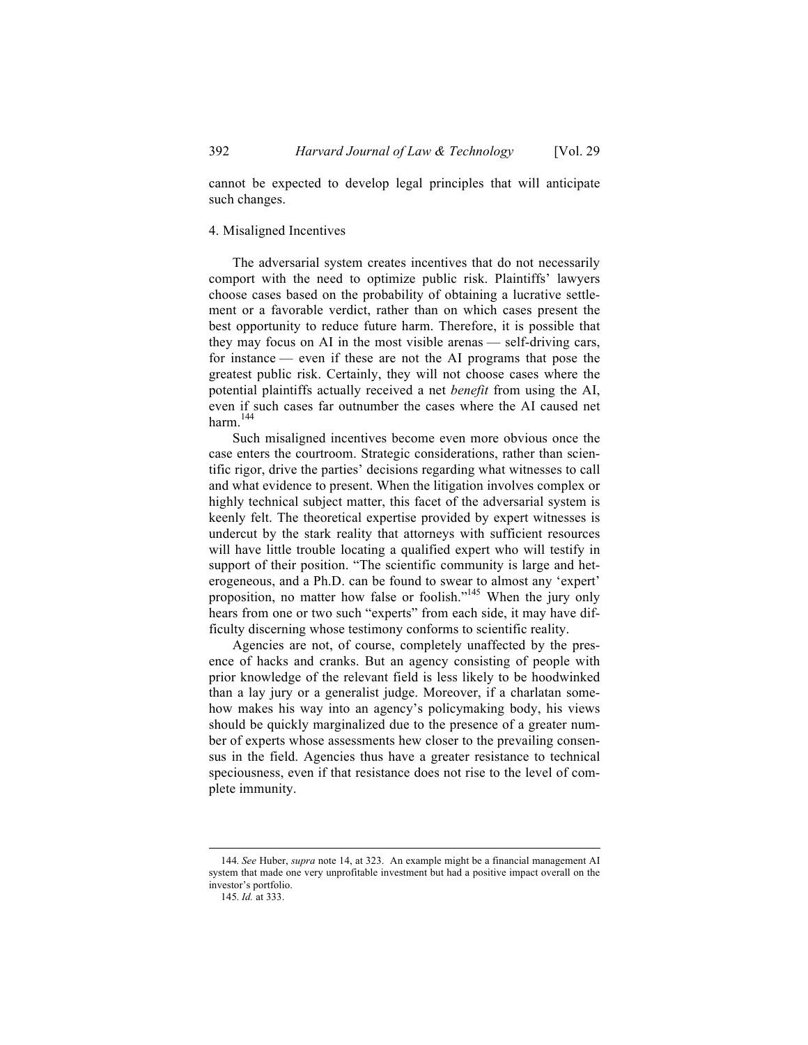cannot be expected to develop legal principles that will anticipate such changes.

### 4. Misaligned Incentives

The adversarial system creates incentives that do not necessarily comport with the need to optimize public risk. Plaintiffs' lawyers choose cases based on the probability of obtaining a lucrative settlement or a favorable verdict, rather than on which cases present the best opportunity to reduce future harm. Therefore, it is possible that they may focus on AI in the most visible arenas — self-driving cars, for instance — even if these are not the AI programs that pose the greatest public risk. Certainly, they will not choose cases where the potential plaintiffs actually received a net *benefit* from using the AI, even if such cases far outnumber the cases where the AI caused net harm.<sup>144</sup>

Such misaligned incentives become even more obvious once the case enters the courtroom. Strategic considerations, rather than scientific rigor, drive the parties' decisions regarding what witnesses to call and what evidence to present. When the litigation involves complex or highly technical subject matter, this facet of the adversarial system is keenly felt. The theoretical expertise provided by expert witnesses is undercut by the stark reality that attorneys with sufficient resources will have little trouble locating a qualified expert who will testify in support of their position. "The scientific community is large and heterogeneous, and a Ph.D. can be found to swear to almost any 'expert' proposition, no matter how false or foolish."<sup>145</sup> When the jury only hears from one or two such "experts" from each side, it may have difficulty discerning whose testimony conforms to scientific reality.

Agencies are not, of course, completely unaffected by the presence of hacks and cranks. But an agency consisting of people with prior knowledge of the relevant field is less likely to be hoodwinked than a lay jury or a generalist judge. Moreover, if a charlatan somehow makes his way into an agency's policymaking body, his views should be quickly marginalized due to the presence of a greater number of experts whose assessments hew closer to the prevailing consensus in the field. Agencies thus have a greater resistance to technical speciousness, even if that resistance does not rise to the level of complete immunity.

 <sup>144.</sup> *See* Huber, *supra* note 14, at 323. An example might be a financial management AI system that made one very unprofitable investment but had a positive impact overall on the investor's portfolio.

<sup>145.</sup> *Id.* at 333.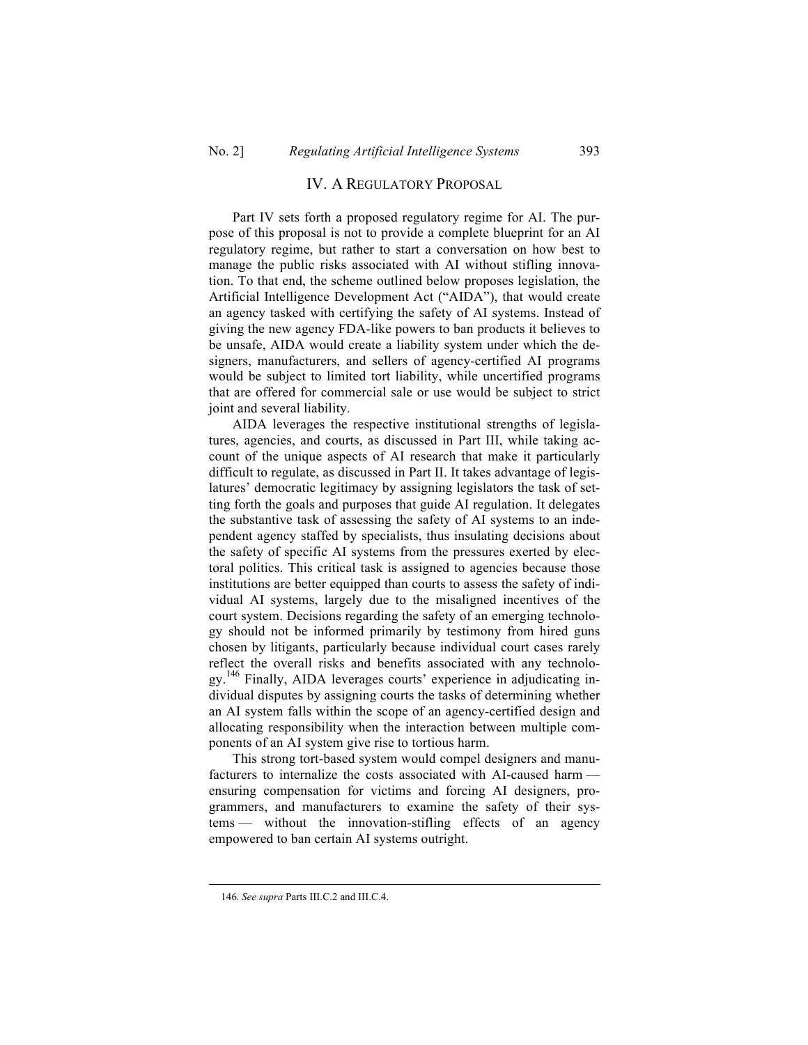### IV. A REGULATORY PROPOSAL

Part IV sets forth a proposed regulatory regime for AI. The purpose of this proposal is not to provide a complete blueprint for an AI regulatory regime, but rather to start a conversation on how best to manage the public risks associated with AI without stifling innovation. To that end, the scheme outlined below proposes legislation, the Artificial Intelligence Development Act ("AIDA"), that would create an agency tasked with certifying the safety of AI systems. Instead of giving the new agency FDA-like powers to ban products it believes to be unsafe, AIDA would create a liability system under which the designers, manufacturers, and sellers of agency-certified AI programs would be subject to limited tort liability, while uncertified programs that are offered for commercial sale or use would be subject to strict joint and several liability.

AIDA leverages the respective institutional strengths of legislatures, agencies, and courts, as discussed in Part III, while taking account of the unique aspects of AI research that make it particularly difficult to regulate, as discussed in Part II. It takes advantage of legislatures' democratic legitimacy by assigning legislators the task of setting forth the goals and purposes that guide AI regulation. It delegates the substantive task of assessing the safety of AI systems to an independent agency staffed by specialists, thus insulating decisions about the safety of specific AI systems from the pressures exerted by electoral politics. This critical task is assigned to agencies because those institutions are better equipped than courts to assess the safety of individual AI systems, largely due to the misaligned incentives of the court system. Decisions regarding the safety of an emerging technology should not be informed primarily by testimony from hired guns chosen by litigants, particularly because individual court cases rarely reflect the overall risks and benefits associated with any technology.<sup>146</sup> Finally, AIDA leverages courts' experience in adjudicating individual disputes by assigning courts the tasks of determining whether an AI system falls within the scope of an agency-certified design and allocating responsibility when the interaction between multiple components of an AI system give rise to tortious harm.

This strong tort-based system would compel designers and manufacturers to internalize the costs associated with AI-caused harm ensuring compensation for victims and forcing AI designers, programmers, and manufacturers to examine the safety of their systems — without the innovation-stifling effects of an agency empowered to ban certain AI systems outright.

 <sup>146.</sup> *See supra* Parts III.C.2 and III.C.4.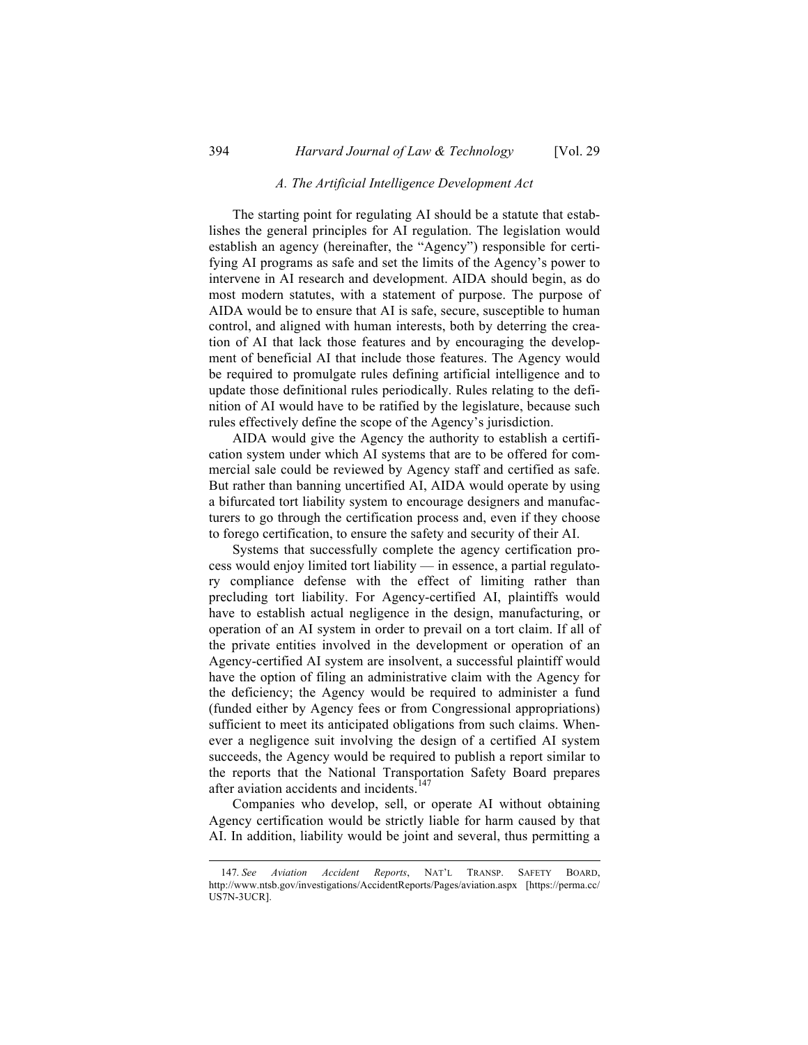#### *A. The Artificial Intelligence Development Act*

The starting point for regulating AI should be a statute that establishes the general principles for AI regulation. The legislation would establish an agency (hereinafter, the "Agency") responsible for certifying AI programs as safe and set the limits of the Agency's power to intervene in AI research and development. AIDA should begin, as do most modern statutes, with a statement of purpose. The purpose of AIDA would be to ensure that AI is safe, secure, susceptible to human control, and aligned with human interests, both by deterring the creation of AI that lack those features and by encouraging the development of beneficial AI that include those features. The Agency would be required to promulgate rules defining artificial intelligence and to update those definitional rules periodically. Rules relating to the definition of AI would have to be ratified by the legislature, because such rules effectively define the scope of the Agency's jurisdiction.

AIDA would give the Agency the authority to establish a certification system under which AI systems that are to be offered for commercial sale could be reviewed by Agency staff and certified as safe. But rather than banning uncertified AI, AIDA would operate by using a bifurcated tort liability system to encourage designers and manufacturers to go through the certification process and, even if they choose to forego certification, to ensure the safety and security of their AI.

Systems that successfully complete the agency certification process would enjoy limited tort liability — in essence, a partial regulatory compliance defense with the effect of limiting rather than precluding tort liability. For Agency-certified AI, plaintiffs would have to establish actual negligence in the design, manufacturing, or operation of an AI system in order to prevail on a tort claim. If all of the private entities involved in the development or operation of an Agency-certified AI system are insolvent, a successful plaintiff would have the option of filing an administrative claim with the Agency for the deficiency; the Agency would be required to administer a fund (funded either by Agency fees or from Congressional appropriations) sufficient to meet its anticipated obligations from such claims. Whenever a negligence suit involving the design of a certified AI system succeeds, the Agency would be required to publish a report similar to the reports that the National Transportation Safety Board prepares after aviation accidents and incidents.<sup>147</sup>

Companies who develop, sell, or operate AI without obtaining Agency certification would be strictly liable for harm caused by that AI. In addition, liability would be joint and several, thus permitting a

 <sup>147.</sup> *See Aviation Accident Reports*, NAT'L TRANSP. SAFETY BOARD, http://www.ntsb.gov/investigations/AccidentReports/Pages/aviation.aspx [https://perma.cc/ US7N-3UCR].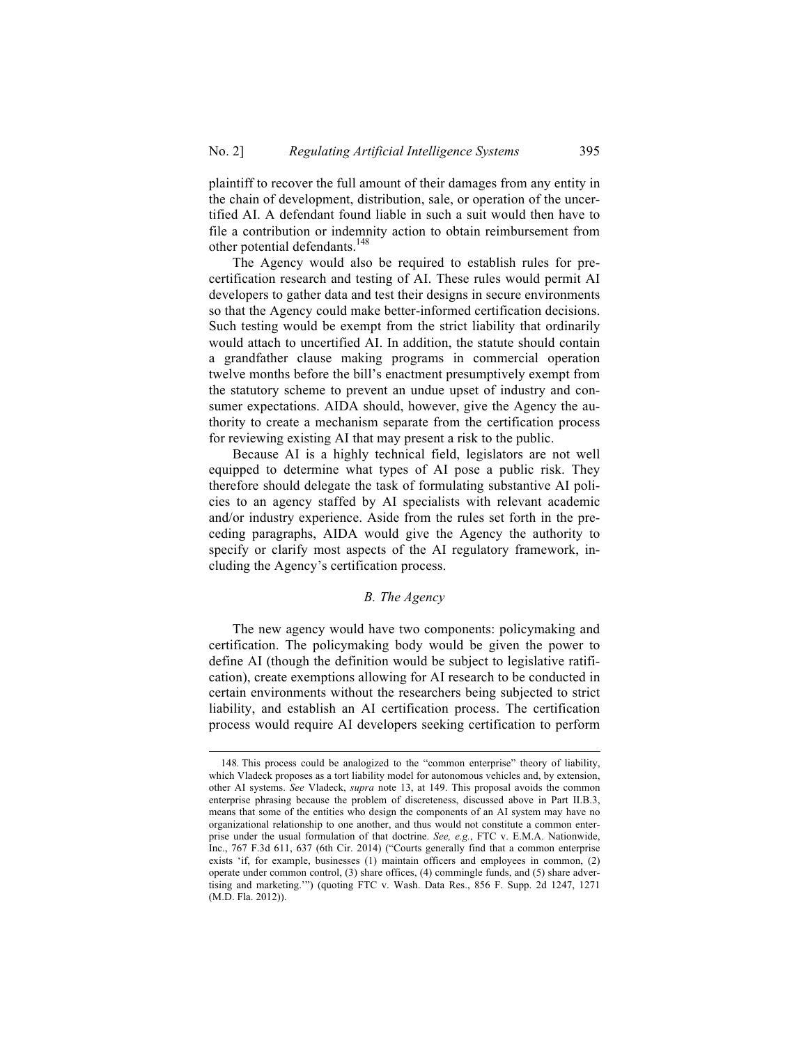plaintiff to recover the full amount of their damages from any entity in the chain of development, distribution, sale, or operation of the uncertified AI. A defendant found liable in such a suit would then have to file a contribution or indemnity action to obtain reimbursement from other potential defendants.<sup>148</sup>

The Agency would also be required to establish rules for precertification research and testing of AI. These rules would permit AI developers to gather data and test their designs in secure environments so that the Agency could make better-informed certification decisions. Such testing would be exempt from the strict liability that ordinarily would attach to uncertified AI. In addition, the statute should contain a grandfather clause making programs in commercial operation twelve months before the bill's enactment presumptively exempt from the statutory scheme to prevent an undue upset of industry and consumer expectations. AIDA should, however, give the Agency the authority to create a mechanism separate from the certification process for reviewing existing AI that may present a risk to the public.

Because AI is a highly technical field, legislators are not well equipped to determine what types of AI pose a public risk. They therefore should delegate the task of formulating substantive AI policies to an agency staffed by AI specialists with relevant academic and/or industry experience. Aside from the rules set forth in the preceding paragraphs, AIDA would give the Agency the authority to specify or clarify most aspects of the AI regulatory framework, including the Agency's certification process.

### *B. The Agency*

The new agency would have two components: policymaking and certification. The policymaking body would be given the power to define AI (though the definition would be subject to legislative ratification), create exemptions allowing for AI research to be conducted in certain environments without the researchers being subjected to strict liability, and establish an AI certification process. The certification process would require AI developers seeking certification to perform

 <sup>148.</sup> This process could be analogized to the "common enterprise" theory of liability, which Vladeck proposes as a tort liability model for autonomous vehicles and, by extension, other AI systems. *See* Vladeck, *supra* note 13, at 149. This proposal avoids the common enterprise phrasing because the problem of discreteness, discussed above in Part II.B.3, means that some of the entities who design the components of an AI system may have no organizational relationship to one another, and thus would not constitute a common enterprise under the usual formulation of that doctrine. *See, e.g.*, FTC v. E.M.A. Nationwide, Inc., 767 F.3d 611, 637 (6th Cir. 2014) ("Courts generally find that a common enterprise exists 'if, for example, businesses (1) maintain officers and employees in common, (2) operate under common control, (3) share offices, (4) commingle funds, and (5) share advertising and marketing.'") (quoting FTC v. Wash. Data Res., 856 F. Supp. 2d 1247, 1271 (M.D. Fla. 2012)).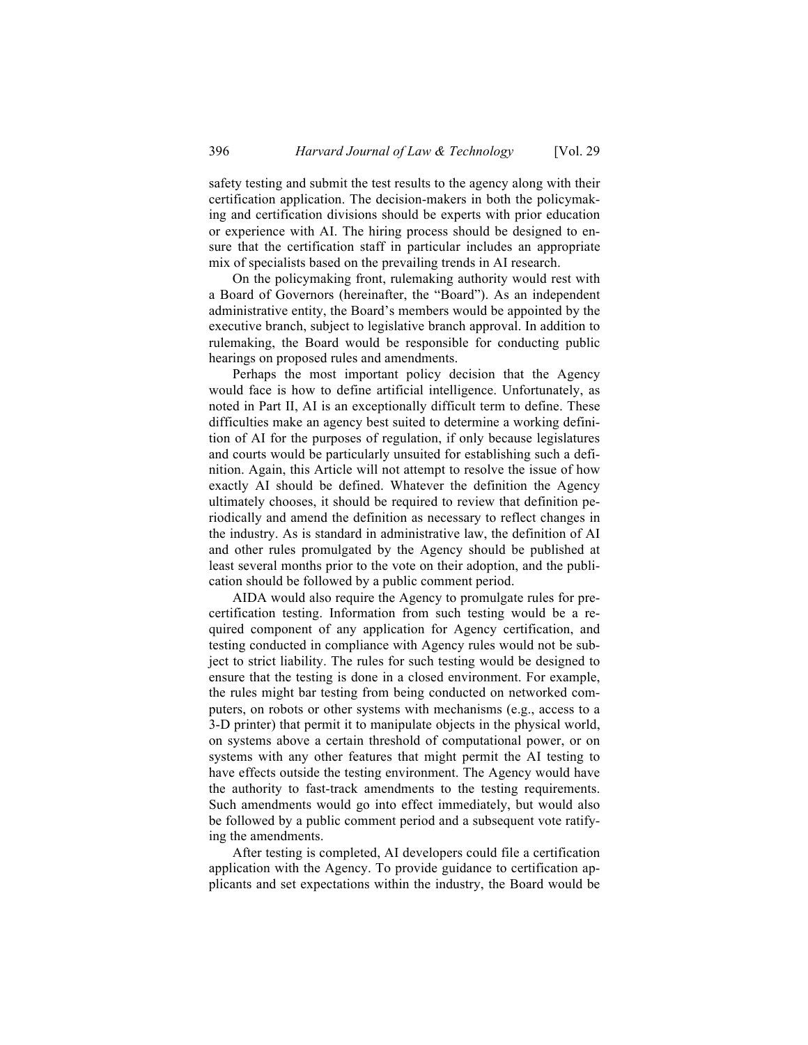safety testing and submit the test results to the agency along with their certification application. The decision-makers in both the policymaking and certification divisions should be experts with prior education or experience with AI. The hiring process should be designed to ensure that the certification staff in particular includes an appropriate mix of specialists based on the prevailing trends in AI research.

On the policymaking front, rulemaking authority would rest with a Board of Governors (hereinafter, the "Board"). As an independent administrative entity, the Board's members would be appointed by the executive branch, subject to legislative branch approval. In addition to rulemaking, the Board would be responsible for conducting public hearings on proposed rules and amendments.

Perhaps the most important policy decision that the Agency would face is how to define artificial intelligence. Unfortunately, as noted in Part II, AI is an exceptionally difficult term to define. These difficulties make an agency best suited to determine a working definition of AI for the purposes of regulation, if only because legislatures and courts would be particularly unsuited for establishing such a definition. Again, this Article will not attempt to resolve the issue of how exactly AI should be defined. Whatever the definition the Agency ultimately chooses, it should be required to review that definition periodically and amend the definition as necessary to reflect changes in the industry. As is standard in administrative law, the definition of AI and other rules promulgated by the Agency should be published at least several months prior to the vote on their adoption, and the publication should be followed by a public comment period.

AIDA would also require the Agency to promulgate rules for precertification testing. Information from such testing would be a required component of any application for Agency certification, and testing conducted in compliance with Agency rules would not be subject to strict liability. The rules for such testing would be designed to ensure that the testing is done in a closed environment. For example, the rules might bar testing from being conducted on networked computers, on robots or other systems with mechanisms (e.g., access to a 3-D printer) that permit it to manipulate objects in the physical world, on systems above a certain threshold of computational power, or on systems with any other features that might permit the AI testing to have effects outside the testing environment. The Agency would have the authority to fast-track amendments to the testing requirements. Such amendments would go into effect immediately, but would also be followed by a public comment period and a subsequent vote ratifying the amendments.

After testing is completed, AI developers could file a certification application with the Agency. To provide guidance to certification applicants and set expectations within the industry, the Board would be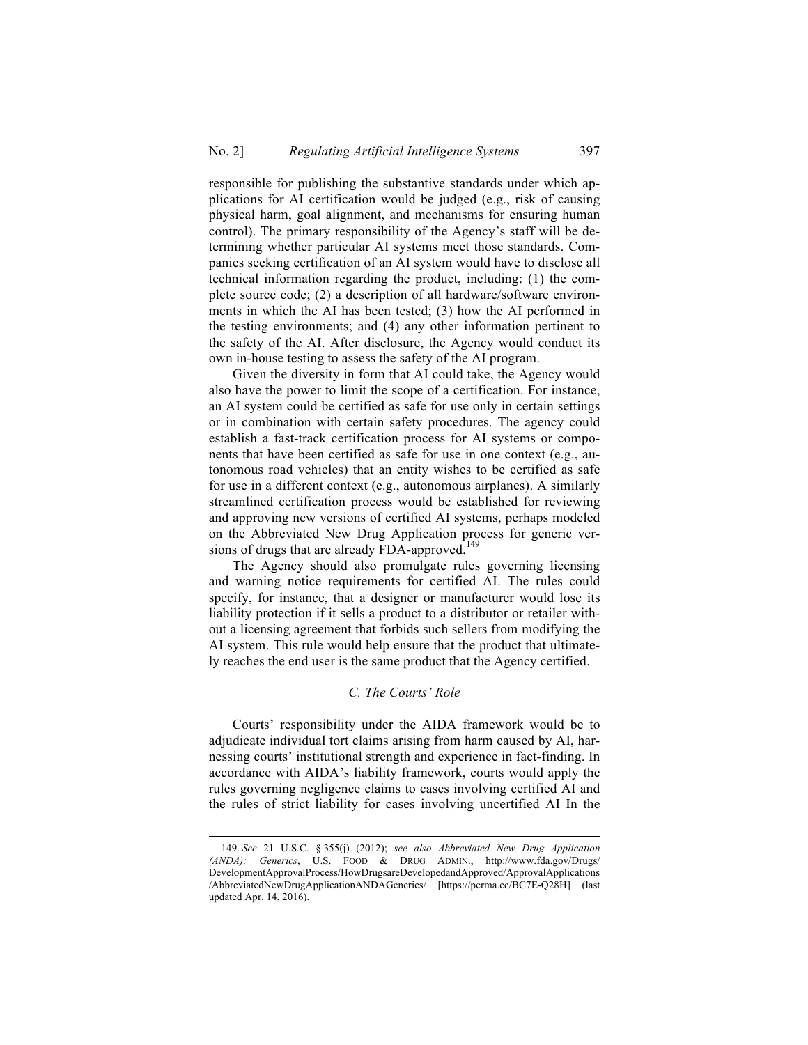responsible for publishing the substantive standards under which applications for AI certification would be judged (e.g., risk of causing physical harm, goal alignment, and mechanisms for ensuring human control). The primary responsibility of the Agency's staff will be determining whether particular AI systems meet those standards. Companies seeking certification of an AI system would have to disclose all technical information regarding the product, including: (1) the complete source code; (2) a description of all hardware/software environments in which the AI has been tested; (3) how the AI performed in the testing environments; and (4) any other information pertinent to the safety of the AI. After disclosure, the Agency would conduct its own in-house testing to assess the safety of the AI program.

Given the diversity in form that AI could take, the Agency would also have the power to limit the scope of a certification. For instance, an AI system could be certified as safe for use only in certain settings or in combination with certain safety procedures. The agency could establish a fast-track certification process for AI systems or components that have been certified as safe for use in one context (e.g., autonomous road vehicles) that an entity wishes to be certified as safe for use in a different context (e.g., autonomous airplanes). A similarly streamlined certification process would be established for reviewing and approving new versions of certified AI systems, perhaps modeled on the Abbreviated New Drug Application process for generic versions of drugs that are already FDA-approved.<sup>149</sup>

The Agency should also promulgate rules governing licensing and warning notice requirements for certified AI. The rules could specify, for instance, that a designer or manufacturer would lose its liability protection if it sells a product to a distributor or retailer without a licensing agreement that forbids such sellers from modifying the AI system. This rule would help ensure that the product that ultimately reaches the end user is the same product that the Agency certified.

# *C. The Courts' Role*

Courts' responsibility under the AIDA framework would be to adjudicate individual tort claims arising from harm caused by AI, harnessing courts' institutional strength and experience in fact-finding. In accordance with AIDA's liability framework, courts would apply the rules governing negligence claims to cases involving certified AI and the rules of strict liability for cases involving uncertified AI In the

 <sup>149.</sup> *See* 21 U.S.C. § 355(j) (2012); *see also Abbreviated New Drug Application (ANDA): Generics*, U.S. FOOD & DRUG ADMIN., http://www.fda.gov/Drugs/ DevelopmentApprovalProcess/HowDrugsareDevelopedandApproved/ApprovalApplications /AbbreviatedNewDrugApplicationANDAGenerics/ [https://perma.cc/BC7E-Q28H] (last updated Apr. 14, 2016).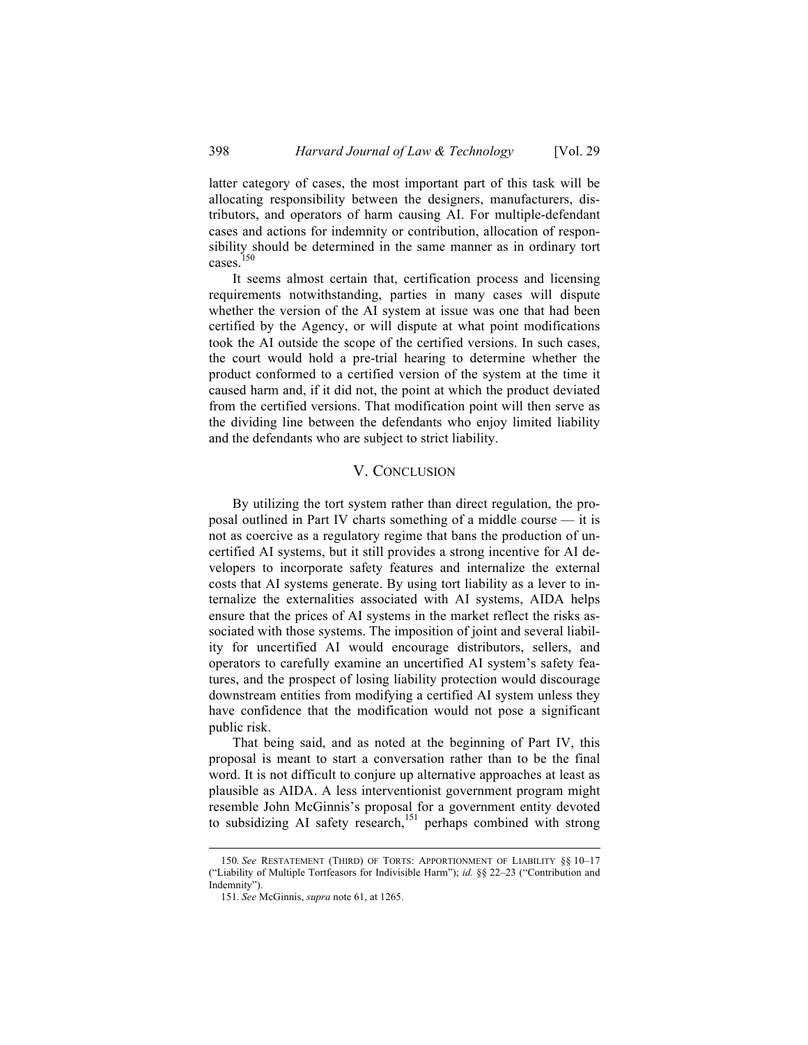latter category of cases, the most important part of this task will be allocating responsibility between the designers, manufacturers, distributors, and operators of harm causing AI. For multiple-defendant cases and actions for indemnity or contribution, allocation of responsibility should be determined in the same manner as in ordinary tort cases. 150

It seems almost certain that, certification process and licensing requirements notwithstanding, parties in many cases will dispute whether the version of the AI system at issue was one that had been certified by the Agency, or will dispute at what point modifications took the AI outside the scope of the certified versions. In such cases, the court would hold a pre-trial hearing to determine whether the product conformed to a certified version of the system at the time it caused harm and, if it did not, the point at which the product deviated from the certified versions. That modification point will then serve as the dividing line between the defendants who enjoy limited liability and the defendants who are subject to strict liability.

# V. CONCLUSION

By utilizing the tort system rather than direct regulation, the proposal outlined in Part IV charts something of a middle course — it is not as coercive as a regulatory regime that bans the production of uncertified AI systems, but it still provides a strong incentive for AI developers to incorporate safety features and internalize the external costs that AI systems generate. By using tort liability as a lever to internalize the externalities associated with AI systems, AIDA helps ensure that the prices of AI systems in the market reflect the risks associated with those systems. The imposition of joint and several liability for uncertified AI would encourage distributors, sellers, and operators to carefully examine an uncertified AI system's safety features, and the prospect of losing liability protection would discourage downstream entities from modifying a certified AI system unless they have confidence that the modification would not pose a significant public risk.

That being said, and as noted at the beginning of Part IV, this proposal is meant to start a conversation rather than to be the final word. It is not difficult to conjure up alternative approaches at least as plausible as AIDA. A less interventionist government program might resemble John McGinnis's proposal for a government entity devoted to subsidizing AI safety research,<sup>151</sup> perhaps combined with strong

 <sup>150.</sup> *See* RESTATEMENT (THIRD) OF TORTS: APPORTIONMENT OF LIABILITY §§ 10–17 ("Liability of Multiple Tortfeasors for Indivisible Harm"); *id.* §§ 22–23 ("Contribution and Indemnity").

<sup>151.</sup> *See* McGinnis, *supra* note 61, at 1265.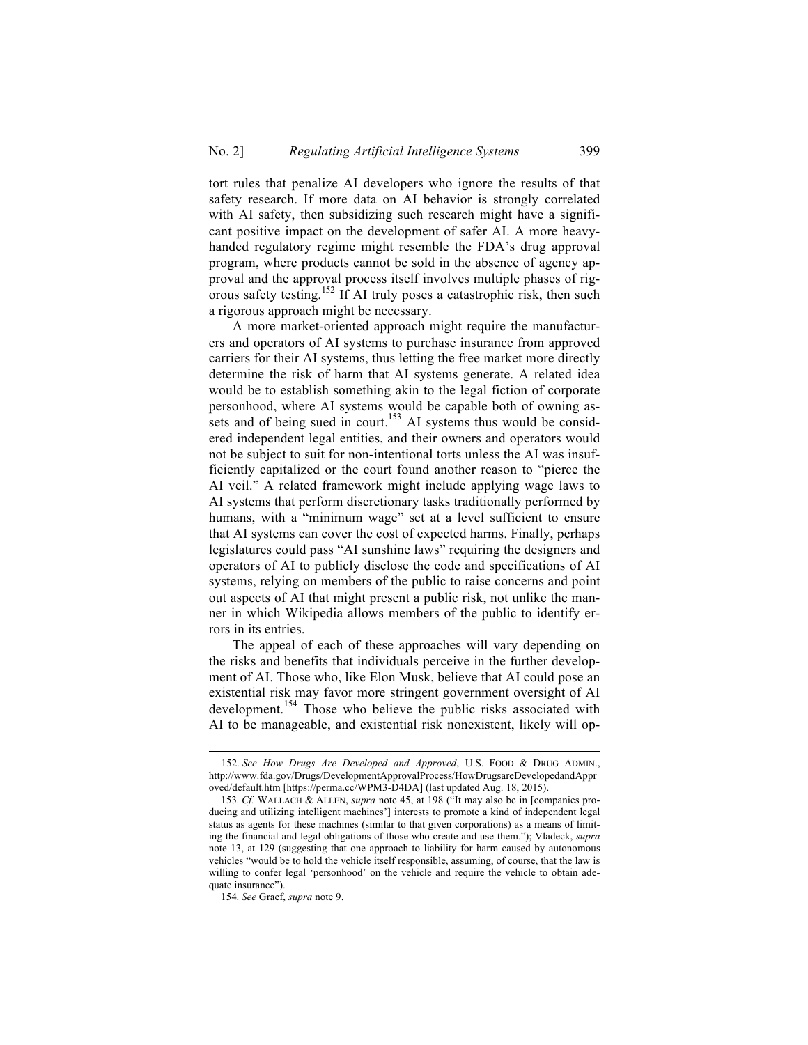tort rules that penalize AI developers who ignore the results of that safety research. If more data on AI behavior is strongly correlated with AI safety, then subsidizing such research might have a significant positive impact on the development of safer AI. A more heavyhanded regulatory regime might resemble the FDA's drug approval program, where products cannot be sold in the absence of agency approval and the approval process itself involves multiple phases of rigorous safety testing.<sup>152</sup> If AI truly poses a catastrophic risk, then such a rigorous approach might be necessary.

A more market-oriented approach might require the manufacturers and operators of AI systems to purchase insurance from approved carriers for their AI systems, thus letting the free market more directly determine the risk of harm that AI systems generate. A related idea would be to establish something akin to the legal fiction of corporate personhood, where AI systems would be capable both of owning assets and of being sued in court.<sup>153</sup> AI systems thus would be considered independent legal entities, and their owners and operators would not be subject to suit for non-intentional torts unless the AI was insufficiently capitalized or the court found another reason to "pierce the AI veil." A related framework might include applying wage laws to AI systems that perform discretionary tasks traditionally performed by humans, with a "minimum wage" set at a level sufficient to ensure that AI systems can cover the cost of expected harms. Finally, perhaps legislatures could pass "AI sunshine laws" requiring the designers and operators of AI to publicly disclose the code and specifications of AI systems, relying on members of the public to raise concerns and point out aspects of AI that might present a public risk, not unlike the manner in which Wikipedia allows members of the public to identify errors in its entries.

The appeal of each of these approaches will vary depending on the risks and benefits that individuals perceive in the further development of AI. Those who, like Elon Musk, believe that AI could pose an existential risk may favor more stringent government oversight of AI development.<sup>154</sup> Those who believe the public risks associated with AI to be manageable, and existential risk nonexistent, likely will op-

 <sup>152.</sup> *See How Drugs Are Developed and Approved*, U.S. FOOD & DRUG ADMIN., http://www.fda.gov/Drugs/DevelopmentApprovalProcess/HowDrugsareDevelopedandAppr oved/default.htm [https://perma.cc/WPM3-D4DA] (last updated Aug. 18, 2015).

<sup>153.</sup> *Cf.* WALLACH & ALLEN, *supra* note 45, at 198 ("It may also be in [companies producing and utilizing intelligent machines'] interests to promote a kind of independent legal status as agents for these machines (similar to that given corporations) as a means of limiting the financial and legal obligations of those who create and use them."); Vladeck, *supra* note 13, at 129 (suggesting that one approach to liability for harm caused by autonomous vehicles "would be to hold the vehicle itself responsible, assuming, of course, that the law is willing to confer legal 'personhood' on the vehicle and require the vehicle to obtain adequate insurance").

<sup>154.</sup> *See* Graef, *supra* note 9.